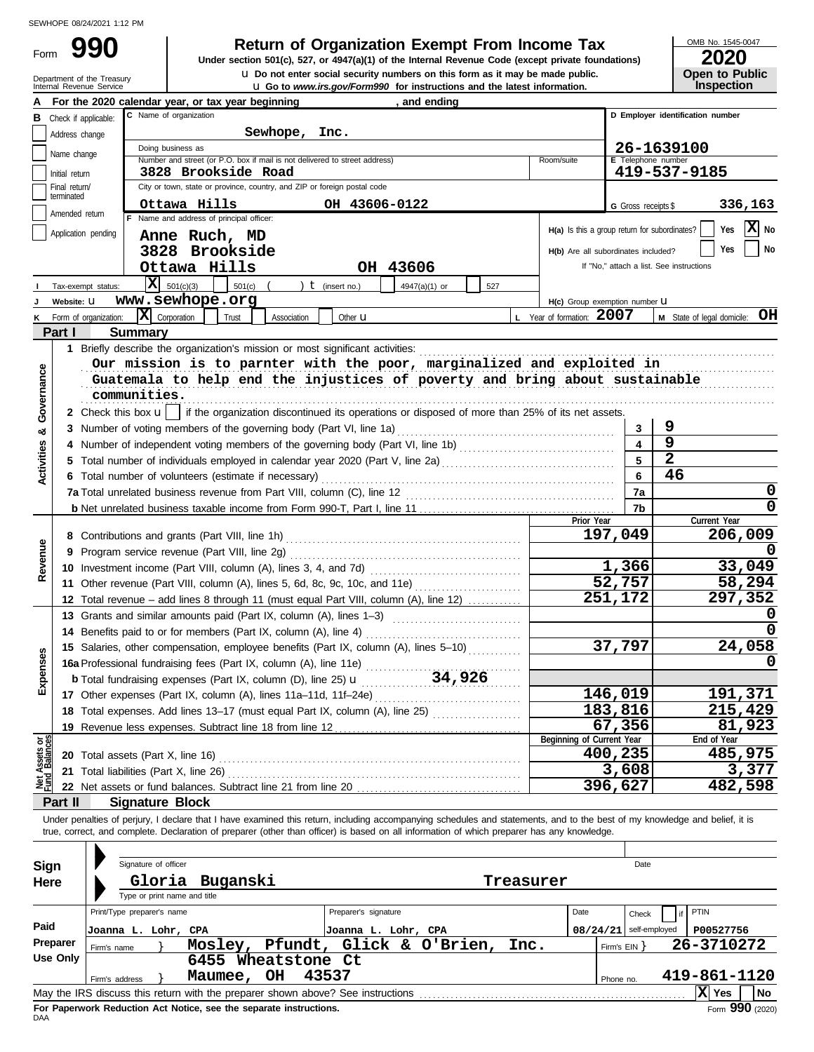Form

Department of the Treasury<br>Internal Revenue Service

# **990 2000 2020 Return of Organization Exempt From Income Tax**

**u** Go to *www.irs.gov/Form990* for instructions and the latest information. **u** Do not enter social security numbers on this form as it may be made public. **Under section 501(c), 527, or 4947(a)(1) of the Internal Revenue Code (except private foundations)** OMB No. 1545-0047

| ZUZU                  |
|-----------------------|
| <b>Open to Public</b> |
| <b>Inspection</b>     |

| А                              |                                 |                       | For the 2020 calendar year, or tax year beginning                                                                                                                          | and ending                                 |                           |                                     |                         |                                               |                                  |         |
|--------------------------------|---------------------------------|-----------------------|----------------------------------------------------------------------------------------------------------------------------------------------------------------------------|--------------------------------------------|---------------------------|-------------------------------------|-------------------------|-----------------------------------------------|----------------------------------|---------|
| в                              |                                 | Check if applicable:  | C Name of organization                                                                                                                                                     |                                            |                           |                                     |                         |                                               | D Employer identification number |         |
|                                | Address change                  |                       | Sewhope,                                                                                                                                                                   | Inc.                                       |                           |                                     |                         |                                               |                                  |         |
|                                | Name change                     |                       | Doing business as                                                                                                                                                          |                                            |                           |                                     |                         | 26-1639100                                    |                                  |         |
|                                |                                 |                       | Number and street (or P.O. box if mail is not delivered to street address)                                                                                                 |                                            | Room/suite                |                                     |                         | E Telephone number                            |                                  |         |
|                                | Initial return<br>Final return/ |                       | 3828 Brookside Road<br>City or town, state or province, country, and ZIP or foreign postal code                                                                            |                                            |                           |                                     |                         | 419-537-9185                                  |                                  |         |
|                                | terminated                      |                       |                                                                                                                                                                            |                                            |                           |                                     |                         |                                               |                                  |         |
|                                | Amended return                  |                       | Ottawa Hills                                                                                                                                                               | OH 43606-0122                              |                           |                                     |                         | G Gross receipts \$                           |                                  | 336,163 |
|                                |                                 |                       | F Name and address of principal officer:                                                                                                                                   |                                            |                           |                                     |                         | H(a) Is this a group return for subordinates? | Yes                              | X No    |
|                                |                                 | Application pending   | Anne Ruch, MD                                                                                                                                                              |                                            |                           |                                     |                         |                                               |                                  |         |
|                                |                                 |                       | 3828 Brookside                                                                                                                                                             |                                            |                           | H(b) Are all subordinates included? |                         |                                               | Yes                              | No      |
|                                |                                 |                       | Ottawa Hills                                                                                                                                                               | OH 43606                                   |                           |                                     |                         | If "No," attach a list. See instructions      |                                  |         |
|                                |                                 | Tax-exempt status:    | $ \mathbf{X} $ 501(c)(3)<br>501(c)                                                                                                                                         | ) $t$ (insert no.)<br>4947(a)(1) or<br>527 |                           |                                     |                         |                                               |                                  |         |
|                                | Website: U                      |                       | www.sewhope.org                                                                                                                                                            |                                            |                           | H(c) Group exemption number U       |                         |                                               |                                  |         |
|                                |                                 | Form of organization: | $\boxed{\mathbf{X}}$ Corporation<br>Trust<br>Association                                                                                                                   | Other <b>u</b>                             | L Year of formation: 2007 |                                     |                         |                                               | M State of legal domicile: OH    |         |
|                                | Part I                          | <b>Summary</b>        |                                                                                                                                                                            |                                            |                           |                                     |                         |                                               |                                  |         |
|                                |                                 |                       | 1 Briefly describe the organization's mission or most significant activities:                                                                                              |                                            |                           |                                     |                         |                                               |                                  |         |
|                                |                                 |                       | Our mission is to parnter with the poor, marginalized and exploited in                                                                                                     |                                            |                           |                                     |                         |                                               |                                  |         |
|                                |                                 |                       | Guatemala to help end the injustices of poverty and bring about sustainable                                                                                                |                                            |                           |                                     |                         |                                               |                                  |         |
|                                |                                 | communities.          |                                                                                                                                                                            |                                            |                           |                                     |                         |                                               |                                  |         |
| Governance                     |                                 |                       | 2 Check this box $\mathbf{u}$   if the organization discontinued its operations or disposed of more than 25% of its net assets.                                            |                                            |                           |                                     |                         |                                               |                                  |         |
| න්                             |                                 |                       | 3 Number of voting members of the governing body (Part VI, line 1a)                                                                                                        |                                            |                           |                                     | 3                       | 9                                             |                                  |         |
|                                |                                 |                       | 4 Number of independent voting members of the governing body (Part VI, line 1b) [11] (11] Number of independent voting members of the governing body (Part VI, line 1b)    |                                            |                           |                                     | $\overline{\mathbf{4}}$ | $\overline{9}$                                |                                  |         |
| <b>Activities</b>              |                                 |                       |                                                                                                                                                                            |                                            |                           |                                     | 5                       | $\overline{2}$                                |                                  |         |
|                                |                                 |                       | 6 Total number of volunteers (estimate if necessary)                                                                                                                       |                                            |                           |                                     | 6                       | 46                                            |                                  |         |
|                                |                                 |                       | 7a Total unrelated business revenue from Part VIII, column (C), line 12                                                                                                    |                                            |                           |                                     | 7a                      |                                               |                                  | 0       |
|                                |                                 |                       |                                                                                                                                                                            |                                            |                           |                                     | 7b                      |                                               |                                  | 0       |
|                                |                                 |                       |                                                                                                                                                                            |                                            |                           | Prior Year                          |                         |                                               | Current Year                     |         |
|                                |                                 |                       |                                                                                                                                                                            |                                            |                           |                                     | 197,049                 |                                               |                                  | 206,009 |
| Revenue                        |                                 |                       | 9 Program service revenue (Part VIII, line 2g)                                                                                                                             |                                            |                           |                                     |                         |                                               |                                  |         |
|                                |                                 |                       |                                                                                                                                                                            |                                            |                           |                                     | 1,366                   |                                               |                                  | 33,049  |
|                                |                                 |                       | 11 Other revenue (Part VIII, column (A), lines 5, 6d, 8c, 9c, 10c, and 11e)                                                                                                |                                            |                           |                                     | 52,757                  |                                               |                                  | 58,294  |
|                                |                                 |                       | 12 Total revenue - add lines 8 through 11 (must equal Part VIII, column (A), line 12)                                                                                      |                                            |                           |                                     | 251,172                 |                                               |                                  | 297,352 |
|                                |                                 |                       | 13 Grants and similar amounts paid (Part IX, column (A), lines 1-3)                                                                                                        |                                            |                           |                                     |                         |                                               |                                  |         |
|                                |                                 |                       |                                                                                                                                                                            |                                            |                           |                                     |                         |                                               |                                  |         |
|                                |                                 |                       | 15 Salaries, other compensation, employee benefits (Part IX, column (A), lines 5-10)                                                                                       |                                            |                           |                                     | 37,797                  |                                               |                                  | 24,058  |
|                                |                                 |                       |                                                                                                                                                                            |                                            |                           |                                     |                         |                                               |                                  |         |
| xpenses                        |                                 |                       |                                                                                                                                                                            |                                            |                           |                                     |                         |                                               |                                  |         |
|                                |                                 |                       | 17 Other expenses (Part IX, column (A), lines 11a-11d, 11f-24e)                                                                                                            |                                            |                           |                                     | 146,019                 |                                               |                                  | 191,371 |
|                                |                                 |                       | 18 Total expenses. Add lines 13-17 (must equal Part IX, column (A), line 25) [                                                                                             |                                            |                           |                                     | 183,816                 |                                               |                                  | 215,429 |
|                                |                                 |                       | 19 Revenue less expenses. Subtract line 18 from line 12                                                                                                                    |                                            |                           |                                     | 67,356                  |                                               |                                  | 81,923  |
| Net Assets or<br>Fund Balances |                                 |                       |                                                                                                                                                                            |                                            |                           | Beginning of Current Year           |                         |                                               | End of Year                      |         |
|                                |                                 |                       | 20 Total assets (Part X, line 16)                                                                                                                                          |                                            |                           |                                     | 400,235                 |                                               |                                  | 485,975 |
|                                |                                 |                       | 21 Total liabilities (Part X, line 26)                                                                                                                                     |                                            |                           |                                     | 3,608                   |                                               |                                  | 3,377   |
|                                |                                 |                       |                                                                                                                                                                            |                                            |                           |                                     | 396,627                 |                                               |                                  | 482,598 |
|                                | Part II                         |                       | <b>Signature Block</b>                                                                                                                                                     |                                            |                           |                                     |                         |                                               |                                  |         |
|                                |                                 |                       | Under penalties of perjury, I declare that I have examined this return, including accompanying schedules and statements, and to the best of my knowledge and belief, it is |                                            |                           |                                     |                         |                                               |                                  |         |
|                                |                                 |                       | true, correct, and complete. Declaration of preparer (other than officer) is based on all information of which preparer has any knowledge.                                 |                                            |                           |                                     |                         |                                               |                                  |         |
|                                |                                 |                       |                                                                                                                                                                            |                                            |                           |                                     |                         |                                               |                                  |         |
| <b>Sign</b>                    |                                 |                       | Signature of officer                                                                                                                                                       |                                            |                           |                                     |                         | Date                                          |                                  |         |
| Here                           |                                 |                       | Gloria<br>Buganski                                                                                                                                                         |                                            | Treasurer                 |                                     |                         |                                               |                                  |         |
|                                |                                 |                       | Type or print name and title                                                                                                                                               |                                            |                           |                                     |                         |                                               |                                  |         |
|                                |                                 |                       | Print/Type preparer's name                                                                                                                                                 | Preparer's signature                       |                           | Date                                | Check                   | if                                            | PTIN                             |         |
| Paid                           |                                 |                       | Joanna L. Lohr, CPA                                                                                                                                                        | Joanna L. Lohr, CPA                        |                           |                                     |                         | $08/24/21$ self-employed                      | P00527756                        |         |
|                                | Preparer                        | Firm's name           |                                                                                                                                                                            | Mosley, Pfundt, Glick & O'Brien,           | Inc.                      |                                     | Firm's $EIN$ }          |                                               | 26-3710272                       |         |
|                                | <b>Use Only</b>                 |                       | 6455 Wheatstone Ct                                                                                                                                                         |                                            |                           |                                     |                         |                                               |                                  |         |
|                                |                                 | Firm's address        | Maumee, OH                                                                                                                                                                 | 43537                                      |                           |                                     | Phone no.               |                                               | 419-861-1120                     |         |
|                                |                                 |                       | May the IRS discuss this return with the preparer shown above? See instructions [11] May the IRS discuss this return with the preparer shown above? See instructions       |                                            |                           |                                     |                         |                                               | X Yes                            | No      |

| Sign<br>Here     | Signature of officer<br>Type or print name and title             | Gloria Buganski                                                                                                                                          | Treasurer                                                                       |      | Date                                              |                                        |
|------------------|------------------------------------------------------------------|----------------------------------------------------------------------------------------------------------------------------------------------------------|---------------------------------------------------------------------------------|------|---------------------------------------------------|----------------------------------------|
| Paid<br>Preparer | Print/Type preparer's name<br>Joanna L. Lohr, CPA<br>Firm's name | Moslev,                                                                                                                                                  | Preparer's signature<br>Joanna L. Lohr, CPA<br>Pfundt, Glick & O'Brien,<br>Inc. | Date | Check<br>$08/24/21$ self-employed<br>Firm's $EIN$ | <b>PTIN</b><br>P00527756<br>26-3710272 |
| Use Only         | Firm's address                                                   | Wheatstone Ct<br>6455<br>OH<br>Maumee,                                                                                                                   | 43537                                                                           |      | Phone no.                                         | 419-861-1120                           |
|                  |                                                                  | May the IRS discuss this return with the preparer shown above? See instructions<br>Fax Bananceal: Badrietten, Ant Mattee, and the accession included and |                                                                                 |      |                                                   | X Yes<br>l No<br>nnn.                  |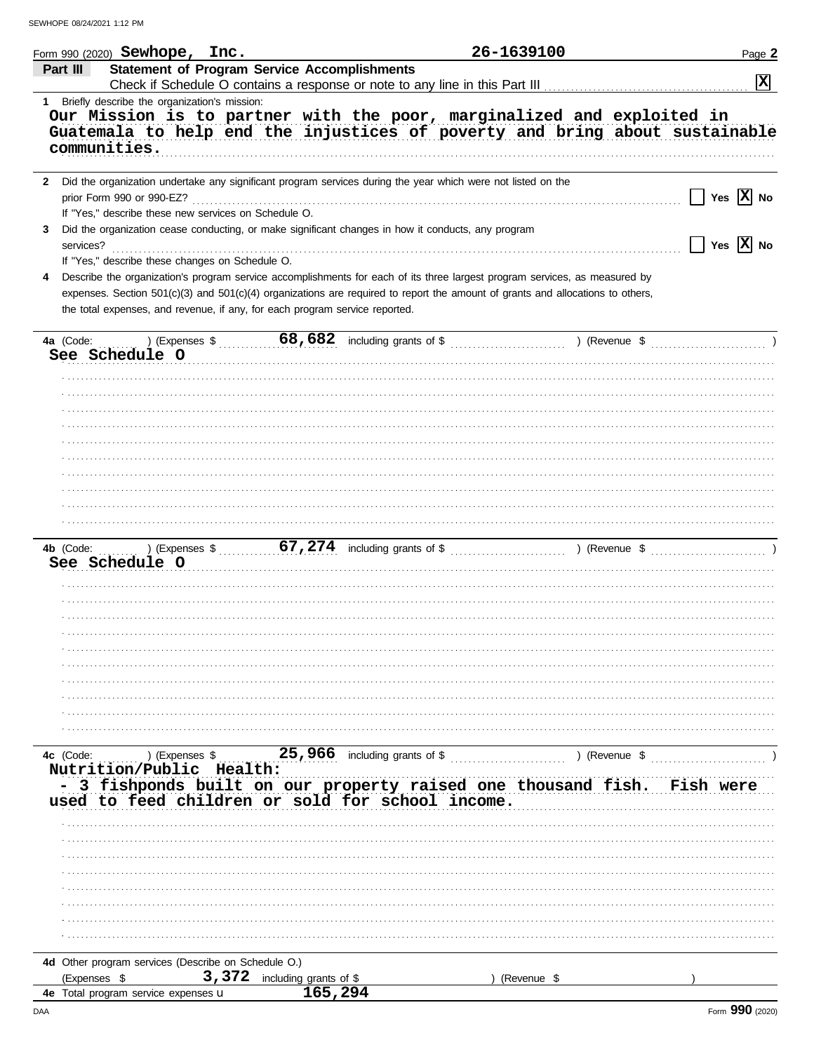|                | Form 990 (2020) ${\bf Sew hope}$ , ${\bf Inc.}$                                                                                                                                                                         |                        |                                                                                                                                           | 26-1639100  | Page 2                                 |
|----------------|-------------------------------------------------------------------------------------------------------------------------------------------------------------------------------------------------------------------------|------------------------|-------------------------------------------------------------------------------------------------------------------------------------------|-------------|----------------------------------------|
| Part III       | <b>Statement of Program Service Accomplishments</b>                                                                                                                                                                     |                        |                                                                                                                                           |             | $\overline{\mathbf{x}}$                |
|                | 1 Briefly describe the organization's mission:<br>Our Mission is to partner with the poor, marginalized and exploited in<br>Guatemala to help end the injustices of poverty and bring about sustainable<br>communities. |                        |                                                                                                                                           |             |                                        |
|                |                                                                                                                                                                                                                         |                        |                                                                                                                                           |             |                                        |
| $\mathbf{2}$   | Did the organization undertake any significant program services during the year which were not listed on the<br>prior Form 990 or 990-EZ?                                                                               |                        |                                                                                                                                           |             | Yes $\overline{X}$ No                  |
| 3<br>services? | If "Yes," describe these new services on Schedule O.<br>Did the organization cease conducting, or make significant changes in how it conducts, any program                                                              |                        |                                                                                                                                           |             | $\sqrt{}$ Yes $\overline{\text{X}}$ No |
| 4              | If "Yes," describe these changes on Schedule O.<br>Describe the organization's program service accomplishments for each of its three largest program services, as measured by                                           |                        |                                                                                                                                           |             |                                        |
|                | expenses. Section 501(c)(3) and 501(c)(4) organizations are required to report the amount of grants and allocations to others,<br>the total expenses, and revenue, if any, for each program service reported.           |                        |                                                                                                                                           |             |                                        |
|                |                                                                                                                                                                                                                         |                        |                                                                                                                                           |             |                                        |
| 4a (Code:      | See Schedule O                                                                                                                                                                                                          |                        | ) (Expenses $\sqrt[3]{68}$ , $\sqrt{682}$ including grants of $\sqrt[3]{2}$ (Revenue $\sqrt[3]{2}$ ) (Revenue $\sqrt[3]{2}$ )             |             |                                        |
|                |                                                                                                                                                                                                                         |                        |                                                                                                                                           |             |                                        |
|                |                                                                                                                                                                                                                         |                        |                                                                                                                                           |             |                                        |
|                |                                                                                                                                                                                                                         |                        |                                                                                                                                           |             |                                        |
|                |                                                                                                                                                                                                                         |                        |                                                                                                                                           |             |                                        |
|                |                                                                                                                                                                                                                         |                        |                                                                                                                                           |             |                                        |
| 4b (Code:      | See Schedule O                                                                                                                                                                                                          |                        | ) (Expenses $\frac{1}{2}$ , $\frac{67,274}{1}$ including grants of $\frac{1}{2}$ , $\frac{1}{2}$ (Revenue $\frac{1}{2}$ , $\frac{1}{2}$ ) |             |                                        |
|                |                                                                                                                                                                                                                         |                        |                                                                                                                                           |             |                                        |
|                |                                                                                                                                                                                                                         |                        |                                                                                                                                           |             |                                        |
|                |                                                                                                                                                                                                                         |                        |                                                                                                                                           |             |                                        |
|                |                                                                                                                                                                                                                         |                        |                                                                                                                                           |             |                                        |
|                |                                                                                                                                                                                                                         |                        |                                                                                                                                           |             |                                        |
|                |                                                                                                                                                                                                                         |                        |                                                                                                                                           |             |                                        |
| 4c (Code:      | Nutrition/Public Health:                                                                                                                                                                                                |                        | ) (Expenses $\sqrt[3]{25}$ , 966 including grants of $\sqrt[3]{25}$ ) (Revenue $\sqrt[3]{25}$                                             |             |                                        |
|                | 3 fishponds built on our property raised one thousand fish.<br>used to feed children or sold for school income.                                                                                                         |                        |                                                                                                                                           |             | Fish were                              |
|                |                                                                                                                                                                                                                         |                        |                                                                                                                                           |             |                                        |
|                |                                                                                                                                                                                                                         |                        |                                                                                                                                           |             |                                        |
|                |                                                                                                                                                                                                                         |                        |                                                                                                                                           |             |                                        |
|                |                                                                                                                                                                                                                         |                        |                                                                                                                                           |             |                                        |
|                |                                                                                                                                                                                                                         |                        |                                                                                                                                           |             |                                        |
| (Expenses \$   | 4d Other program services (Describe on Schedule O.)<br>3,372                                                                                                                                                            | including grants of \$ |                                                                                                                                           | (Revenue \$ |                                        |
|                | 4e Total program service expenses <b>u</b>                                                                                                                                                                              | 165,294                |                                                                                                                                           |             |                                        |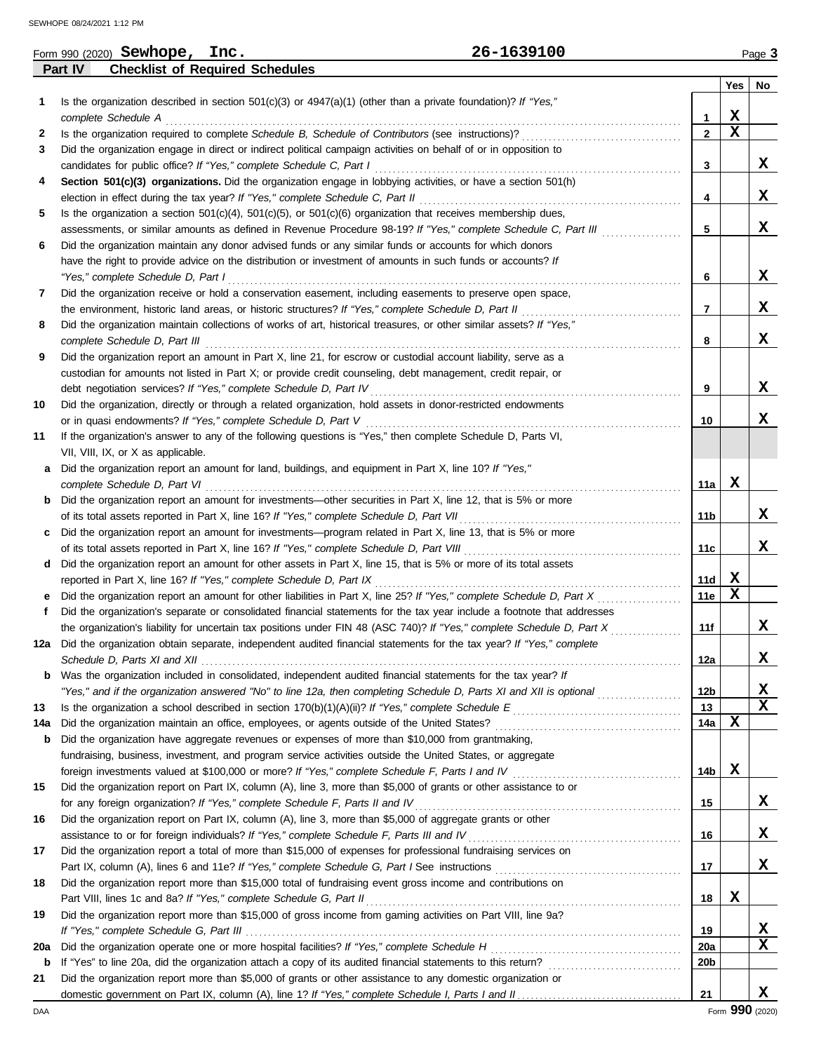|     |         | Form 990 (2020) Sewhope, Inc.      |                                        | 26-1639100                                                                                                              |                 |             | Page 3      |
|-----|---------|------------------------------------|----------------------------------------|-------------------------------------------------------------------------------------------------------------------------|-----------------|-------------|-------------|
|     | Part IV |                                    | <b>Checklist of Required Schedules</b> |                                                                                                                         |                 |             |             |
|     |         |                                    |                                        |                                                                                                                         |                 | Yes         | No          |
| 1   |         |                                    |                                        | Is the organization described in section $501(c)(3)$ or $4947(a)(1)$ (other than a private foundation)? If "Yes,"       |                 |             |             |
|     |         | complete Schedule A                |                                        |                                                                                                                         | 1               | X           |             |
| 2   |         |                                    |                                        | Is the organization required to complete Schedule B, Schedule of Contributors (see instructions)?                       | $\overline{2}$  | $\mathbf x$ |             |
| 3   |         |                                    |                                        | Did the organization engage in direct or indirect political campaign activities on behalf of or in opposition to        |                 |             |             |
|     |         |                                    |                                        | candidates for public office? If "Yes," complete Schedule C, Part I                                                     | 3               |             | X           |
| 4   |         |                                    |                                        | Section 501(c)(3) organizations. Did the organization engage in lobbying activities, or have a section 501(h)           |                 |             |             |
|     |         |                                    |                                        | election in effect during the tax year? If "Yes," complete Schedule C, Part II                                          | 4               |             | x           |
| 5   |         |                                    |                                        | Is the organization a section $501(c)(4)$ , $501(c)(5)$ , or $501(c)(6)$ organization that receives membership dues,    |                 |             |             |
|     |         |                                    |                                        | assessments, or similar amounts as defined in Revenue Procedure 98-19? If "Yes," complete Schedule C, Part III          | 5               |             | X           |
|     |         |                                    |                                        |                                                                                                                         |                 |             |             |
| 6   |         |                                    |                                        | Did the organization maintain any donor advised funds or any similar funds or accounts for which donors                 |                 |             |             |
|     |         |                                    |                                        | have the right to provide advice on the distribution or investment of amounts in such funds or accounts? If             |                 |             | X           |
|     |         | "Yes," complete Schedule D, Part I |                                        |                                                                                                                         | 6               |             |             |
| 7   |         |                                    |                                        | Did the organization receive or hold a conservation easement, including easements to preserve open space,               |                 |             |             |
|     |         |                                    |                                        | the environment, historic land areas, or historic structures? If "Yes," complete Schedule D, Part II                    | 7               |             | x           |
| 8   |         |                                    |                                        | Did the organization maintain collections of works of art, historical treasures, or other similar assets? If "Yes,"     |                 |             |             |
|     |         | complete Schedule D, Part III      |                                        |                                                                                                                         | 8               |             | X           |
| 9   |         |                                    |                                        | Did the organization report an amount in Part X, line 21, for escrow or custodial account liability, serve as a         |                 |             |             |
|     |         |                                    |                                        | custodian for amounts not listed in Part X; or provide credit counseling, debt management, credit repair, or            |                 |             |             |
|     |         |                                    |                                        | debt negotiation services? If "Yes," complete Schedule D, Part IV                                                       | 9               |             | X           |
| 10  |         |                                    |                                        | Did the organization, directly or through a related organization, hold assets in donor-restricted endowments            |                 |             |             |
|     |         |                                    |                                        | or in quasi endowments? If "Yes," complete Schedule D, Part V                                                           | 10              |             | x           |
| 11  |         |                                    |                                        | If the organization's answer to any of the following questions is "Yes," then complete Schedule D, Parts VI,            |                 |             |             |
|     |         | VII, VIII, IX, or X as applicable. |                                        |                                                                                                                         |                 |             |             |
| a   |         |                                    |                                        | Did the organization report an amount for land, buildings, and equipment in Part X, line 10? If "Yes,"                  |                 |             |             |
|     |         | complete Schedule D, Part VI       |                                        |                                                                                                                         | 11a             | X           |             |
| b   |         |                                    |                                        | Did the organization report an amount for investments—other securities in Part X, line 12, that is 5% or more           |                 |             |             |
|     |         |                                    |                                        | of its total assets reported in Part X, line 16? If "Yes," complete Schedule D, Part VII                                | 11 b            |             | X           |
| c   |         |                                    |                                        | Did the organization report an amount for investments-program related in Part X, line 13, that is 5% or more            |                 |             |             |
|     |         |                                    |                                        | of its total assets reported in Part X, line 16? If "Yes," complete Schedule D, Part VIII                               | 11c             |             | x           |
| d   |         |                                    |                                        | Did the organization report an amount for other assets in Part X, line 15, that is 5% or more of its total assets       |                 |             |             |
|     |         |                                    |                                        |                                                                                                                         |                 | X           |             |
|     |         |                                    |                                        | reported in Part X, line 16? If "Yes," complete Schedule D, Part IX                                                     | 11d             | $\mathbf X$ |             |
| е   |         |                                    |                                        | Did the organization report an amount for other liabilities in Part X, line 25? If "Yes," complete Schedule D, Part X   | 11e             |             |             |
|     |         |                                    |                                        | Did the organization's separate or consolidated financial statements for the tax year include a footnote that addresses |                 |             |             |
|     |         |                                    |                                        | the organization's liability for uncertain tax positions under FIN 48 (ASC 740)? If "Yes," complete Schedule D, Part X  | 11f             |             | x           |
|     |         |                                    |                                        | Did the organization obtain separate, independent audited financial statements for the tax year? If "Yes," complete     |                 |             |             |
|     |         |                                    |                                        |                                                                                                                         | 12a             |             | X           |
| b   |         |                                    |                                        | Was the organization included in consolidated, independent audited financial statements for the tax year? If            |                 |             |             |
|     |         |                                    |                                        | "Yes," and if the organization answered "No" to line 12a, then completing Schedule D, Parts XI and XII is optional      | 12 <sub>b</sub> |             | X           |
| 13  |         |                                    |                                        |                                                                                                                         | 13              |             | $\mathbf x$ |
| 14a |         |                                    |                                        | Did the organization maintain an office, employees, or agents outside of the United States?                             | 14a             | x           |             |
| b   |         |                                    |                                        | Did the organization have aggregate revenues or expenses of more than \$10,000 from grantmaking,                        |                 |             |             |
|     |         |                                    |                                        | fundraising, business, investment, and program service activities outside the United States, or aggregate               |                 |             |             |
|     |         |                                    |                                        | foreign investments valued at \$100,000 or more? If "Yes," complete Schedule F, Parts I and IV                          | 14 <sub>b</sub> | X           |             |
| 15  |         |                                    |                                        | Did the organization report on Part IX, column (A), line 3, more than \$5,000 of grants or other assistance to or       |                 |             |             |
|     |         |                                    |                                        | for any foreign organization? If "Yes," complete Schedule F, Parts II and IV                                            | 15              |             | X           |
| 16  |         |                                    |                                        | Did the organization report on Part IX, column (A), line 3, more than \$5,000 of aggregate grants or other              |                 |             |             |
|     |         |                                    |                                        | assistance to or for foreign individuals? If "Yes," complete Schedule F, Parts III and IV                               | 16              |             | X           |
| 17  |         |                                    |                                        | Did the organization report a total of more than \$15,000 of expenses for professional fundraising services on          |                 |             |             |
|     |         |                                    |                                        | Part IX, column (A), lines 6 and 11e? If "Yes," complete Schedule G, Part I See instructions                            | 17              |             | X           |
| 18  |         |                                    |                                        | Did the organization report more than \$15,000 total of fundraising event gross income and contributions on             |                 |             |             |
|     |         |                                    |                                        |                                                                                                                         |                 | X           |             |
|     |         |                                    |                                        | Part VIII, lines 1c and 8a? If "Yes," complete Schedule G, Part II                                                      | 18              |             |             |
| 19  |         |                                    |                                        | Did the organization report more than \$15,000 of gross income from gaming activities on Part VIII, line 9a?            |                 |             |             |
|     |         |                                    |                                        |                                                                                                                         | 19              |             | X           |
| 20a |         |                                    |                                        | Did the organization operate one or more hospital facilities? If "Yes," complete Schedule H                             | 20a             |             | $\mathbf x$ |
| b   |         |                                    |                                        |                                                                                                                         | 20 <sub>b</sub> |             |             |
| 21  |         |                                    |                                        | Did the organization report more than \$5,000 of grants or other assistance to any domestic organization or             |                 |             |             |
|     |         |                                    |                                        |                                                                                                                         | 21              |             | x           |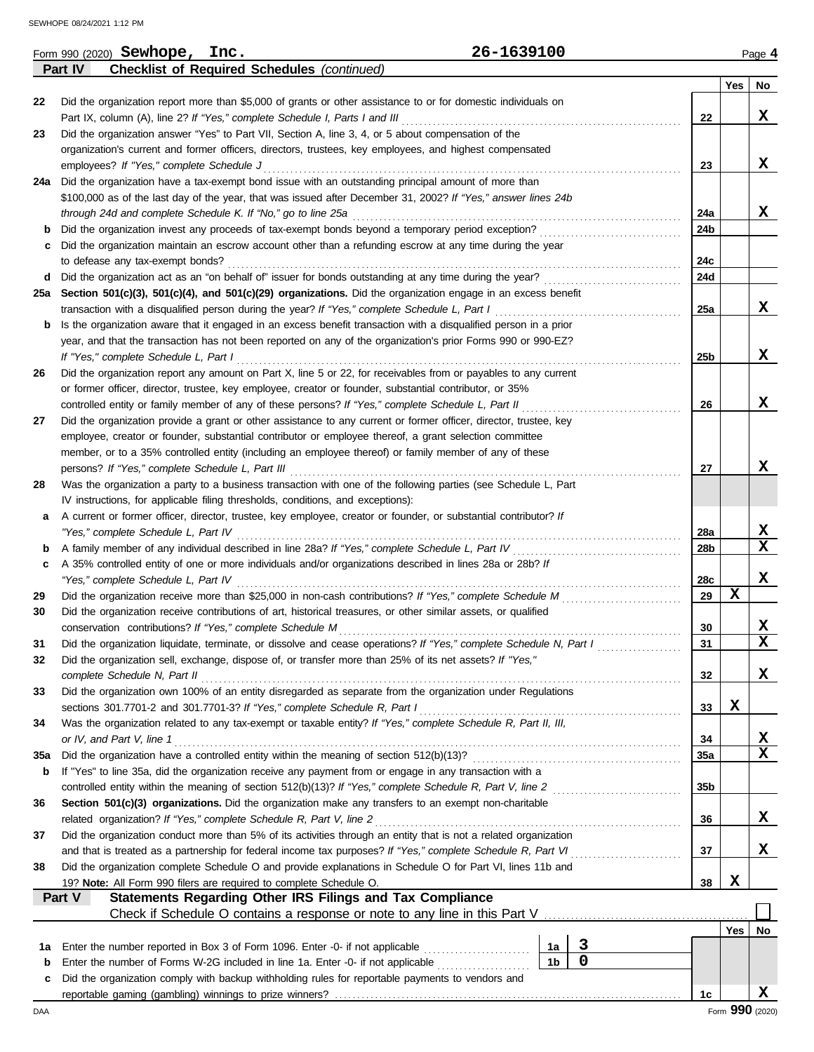|     | 26-1639100<br>Form 990 (2020) Sewhope, Inc.                                                                                                                     |                      |                |     |             | Page 4          |
|-----|-----------------------------------------------------------------------------------------------------------------------------------------------------------------|----------------------|----------------|-----|-------------|-----------------|
|     | <b>Checklist of Required Schedules (continued)</b><br>Part IV                                                                                                   |                      |                |     |             |                 |
|     |                                                                                                                                                                 |                      |                |     | Yes         | No              |
| 22  | Did the organization report more than \$5,000 of grants or other assistance to or for domestic individuals on                                                   |                      |                |     |             |                 |
|     | Part IX, column (A), line 2? If "Yes," complete Schedule I, Parts I and III                                                                                     |                      |                | 22  |             | X               |
| 23  | Did the organization answer "Yes" to Part VII, Section A, line 3, 4, or 5 about compensation of the                                                             |                      |                |     |             |                 |
|     | organization's current and former officers, directors, trustees, key employees, and highest compensated                                                         |                      |                |     |             |                 |
|     | employees? If "Yes," complete Schedule J                                                                                                                        |                      |                | 23  |             | X               |
|     | 24a Did the organization have a tax-exempt bond issue with an outstanding principal amount of more than                                                         |                      |                |     |             |                 |
|     | \$100,000 as of the last day of the year, that was issued after December 31, 2002? If "Yes," answer lines 24b                                                   |                      |                |     |             |                 |
|     | through 24d and complete Schedule K. If "No," go to line 25a                                                                                                    |                      |                | 24a |             | X               |
| b   | Did the organization invest any proceeds of tax-exempt bonds beyond a temporary period exception?                                                               |                      |                | 24b |             |                 |
| c   | Did the organization maintain an escrow account other than a refunding escrow at any time during the year                                                       |                      |                |     |             |                 |
|     | to defease any tax-exempt bonds?                                                                                                                                |                      |                | 24c |             |                 |
| d   | Did the organization act as an "on behalf of" issuer for bonds outstanding at any time during the year?                                                         |                      |                | 24d |             |                 |
| 25а | Section 501(c)(3), 501(c)(4), and 501(c)(29) organizations. Did the organization engage in an excess benefit                                                    |                      |                |     |             |                 |
|     | transaction with a disqualified person during the year? If "Yes," complete Schedule L, Part I                                                                   |                      |                | 25a |             | x               |
| b   | Is the organization aware that it engaged in an excess benefit transaction with a disqualified person in a prior                                                |                      |                |     |             |                 |
|     | year, and that the transaction has not been reported on any of the organization's prior Forms 990 or 990-EZ?                                                    |                      |                |     |             |                 |
|     | If "Yes," complete Schedule L, Part I                                                                                                                           |                      |                | 25b |             | x               |
| 26  | Did the organization report any amount on Part X, line 5 or 22, for receivables from or payables to any current                                                 |                      |                |     |             |                 |
|     | or former officer, director, trustee, key employee, creator or founder, substantial contributor, or 35%                                                         |                      |                |     |             |                 |
|     | controlled entity or family member of any of these persons? If "Yes," complete Schedule L, Part II                                                              |                      |                | 26  |             | X               |
| 27  | Did the organization provide a grant or other assistance to any current or former officer, director, trustee, key                                               |                      |                |     |             |                 |
|     | employee, creator or founder, substantial contributor or employee thereof, a grant selection committee                                                          |                      |                |     |             |                 |
|     | member, or to a 35% controlled entity (including an employee thereof) or family member of any of these                                                          |                      |                |     |             |                 |
|     | persons? If "Yes," complete Schedule L, Part III                                                                                                                |                      |                | 27  |             | X               |
| 28  | Was the organization a party to a business transaction with one of the following parties (see Schedule L, Part                                                  |                      |                |     |             |                 |
|     | IV instructions, for applicable filing thresholds, conditions, and exceptions):                                                                                 |                      |                |     |             |                 |
| а   | A current or former officer, director, trustee, key employee, creator or founder, or substantial contributor? If                                                |                      |                |     |             |                 |
|     | "Yes," complete Schedule L, Part IV                                                                                                                             |                      |                | 28a |             | X               |
| b   | A family member of any individual described in line 28a? If "Yes," complete Schedule L, Part IV                                                                 |                      |                | 28b |             | $\mathbf x$     |
| c   | A 35% controlled entity of one or more individuals and/or organizations described in lines 28a or 28b? If                                                       |                      |                |     |             |                 |
|     | "Yes," complete Schedule L, Part IV                                                                                                                             |                      |                | 28c |             | X               |
| 29  | Did the organization receive more than \$25,000 in non-cash contributions? If "Yes," complete Schedule M                                                        |                      |                | 29  | $\mathbf x$ |                 |
| 30  | Did the organization receive contributions of art, historical treasures, or other similar assets, or qualified                                                  |                      |                |     |             |                 |
|     | conservation contributions? If "Yes," complete Schedule M                                                                                                       |                      |                | 30  |             | X               |
| 31  | Did the organization liquidate, terminate, or dissolve and cease operations? If "Yes," complete Schedule N, Part I                                              |                      |                | 31  |             | X               |
| 32  | Did the organization sell, exchange, dispose of, or transfer more than 25% of its net assets? If "Yes,"                                                         |                      |                |     |             |                 |
|     | complete Schedule N, Part II                                                                                                                                    |                      |                | 32  |             | X               |
| 33  | Did the organization own 100% of an entity disregarded as separate from the organization under Regulations                                                      |                      |                |     |             |                 |
|     | sections 301.7701-2 and 301.7701-3? If "Yes," complete Schedule R, Part I                                                                                       |                      |                | 33  | X           |                 |
| 34  | Was the organization related to any tax-exempt or taxable entity? If "Yes," complete Schedule R, Part II, III,                                                  |                      |                |     |             |                 |
|     | or IV, and Part V, line 1                                                                                                                                       |                      |                | 34  |             | X               |
| 35a | Did the organization have a controlled entity within the meaning of section 512(b)(13)?                                                                         |                      |                | 35a |             | $\mathbf x$     |
| b   | If "Yes" to line 35a, did the organization receive any payment from or engage in any transaction with a                                                         |                      |                |     |             |                 |
|     | controlled entity within the meaning of section 512(b)(13)? If "Yes," complete Schedule R, Part V, line 2                                                       |                      |                | 35b |             |                 |
| 36  | Section 501(c)(3) organizations. Did the organization make any transfers to an exempt non-charitable                                                            |                      |                |     |             |                 |
|     | related organization? If "Yes," complete Schedule R, Part V, line 2                                                                                             |                      |                | 36  |             | X               |
| 37  | Did the organization conduct more than 5% of its activities through an entity that is not a related organization                                                |                      |                |     |             |                 |
|     | and that is treated as a partnership for federal income tax purposes? If "Yes," complete Schedule R, Part VI                                                    |                      |                | 37  |             | X               |
| 38  | Did the organization complete Schedule O and provide explanations in Schedule O for Part VI, lines 11b and                                                      |                      |                |     |             |                 |
|     | 19? Note: All Form 990 filers are required to complete Schedule O.                                                                                              |                      |                | 38  | X           |                 |
|     | Statements Regarding Other IRS Filings and Tax Compliance<br>Part V                                                                                             |                      |                |     |             |                 |
|     | Check if Schedule O contains a response or note to any line in this Part V                                                                                      |                      |                |     |             |                 |
|     |                                                                                                                                                                 |                      |                |     | Yes         | No              |
|     |                                                                                                                                                                 |                      | 3              |     |             |                 |
| 1a  | Enter the number reported in Box 3 of Form 1096. Enter -0- if not applicable<br>Enter the number of Forms W-2G included in line 1a. Enter -0- if not applicable | 1a<br>1 <sub>b</sub> | $\overline{0}$ |     |             |                 |
| b   | Did the organization comply with backup withholding rules for reportable payments to vendors and                                                                |                      |                |     |             |                 |
| c   |                                                                                                                                                                 |                      |                | 1c  |             | x               |
|     |                                                                                                                                                                 |                      |                |     |             | Form 990 (2020) |
| DAA |                                                                                                                                                                 |                      |                |     |             |                 |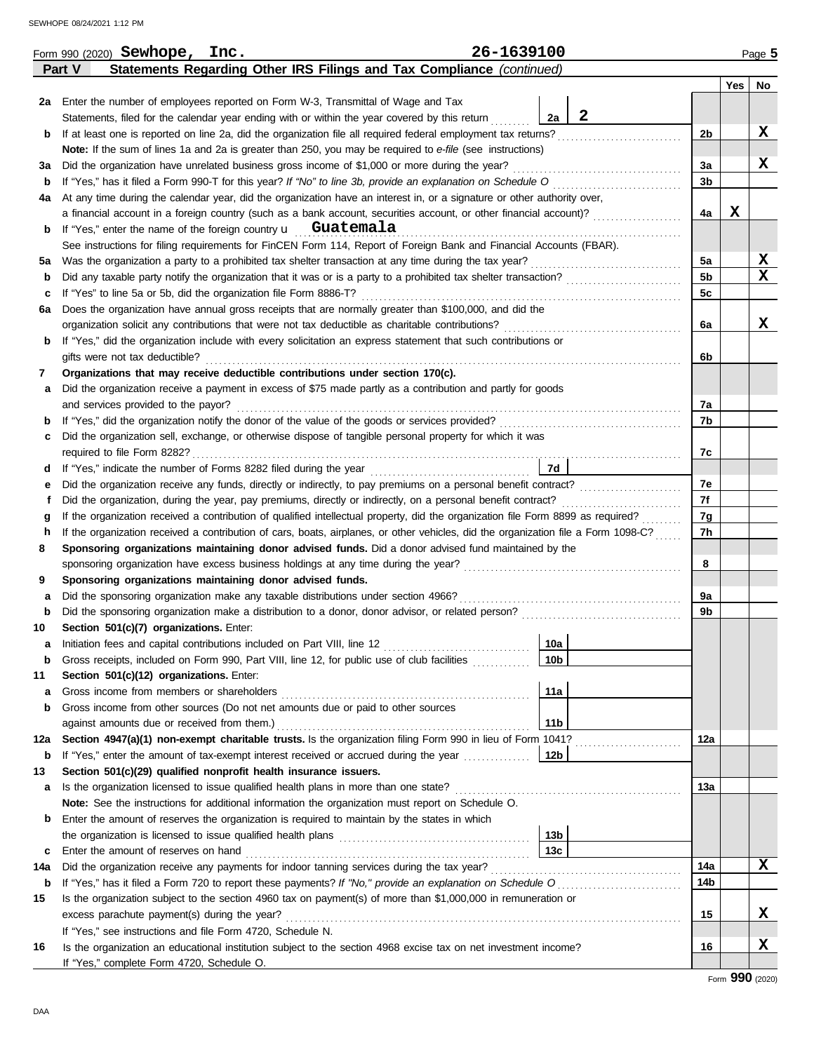| Statements Regarding Other IRS Filings and Tax Compliance (continued)<br>Part V<br>Yes<br>No<br>2a Enter the number of employees reported on Form W-3, Transmittal of Wage and Tax<br>$\mathbf{2}$<br>Statements, filed for the calendar year ending with or within the year covered by this return<br>2a<br>X<br>If at least one is reported on line 2a, did the organization file all required federal employment tax returns?<br>2b<br>b<br>Note: If the sum of lines 1a and 2a is greater than 250, you may be required to e-file (see instructions)<br>X<br>Did the organization have unrelated business gross income of \$1,000 or more during the year?<br>За<br>За<br>If "Yes," has it filed a Form 990-T for this year? If "No" to line 3b, provide an explanation on Schedule O<br>3b<br>b<br>At any time during the calendar year, did the organization have an interest in, or a signature or other authority over,<br>4a<br>X<br>a financial account in a foreign country (such as a bank account, securities account, or other financial account)?<br>4a<br>If "Yes," enter the name of the foreign country $\mathbf{u}$ Guatemala<br>b<br>See instructions for filing requirements for FinCEN Form 114, Report of Foreign Bank and Financial Accounts (FBAR).<br>X<br>5a<br>Was the organization a party to a prohibited tax shelter transaction at any time during the tax year?<br>5a<br>x<br>5 <sub>b</sub><br>Did any taxable party notify the organization that it was or is a party to a prohibited tax shelter transaction?<br>b<br>5c<br>If "Yes" to line 5a or 5b, did the organization file Form 8886-T?<br>c<br>Does the organization have annual gross receipts that are normally greater than \$100,000, and did the<br>6а<br>x<br>organization solicit any contributions that were not tax deductible as charitable contributions?<br>6a<br>If "Yes," did the organization include with every solicitation an express statement that such contributions or<br>b<br>gifts were not tax deductible?<br>6b<br>Organizations that may receive deductible contributions under section 170(c).<br>7<br>Did the organization receive a payment in excess of \$75 made partly as a contribution and partly for goods<br>а<br>and services provided to the payor?<br>7a<br>If "Yes," did the organization notify the donor of the value of the goods or services provided?<br>If "Yes," did the organization notify the donor of the value of the goods or services provided?<br>7b<br>b<br>Did the organization sell, exchange, or otherwise dispose of tangible personal property for which it was<br>c<br>7c<br>7d<br>d<br>7е<br>Did the organization receive any funds, directly or indirectly, to pay premiums on a personal benefit contract?<br>е<br>7f<br>Did the organization, during the year, pay premiums, directly or indirectly, on a personal benefit contract?<br>f<br>7g<br>If the organization received a contribution of qualified intellectual property, did the organization file Form 8899 as required?<br>g<br>7h<br>If the organization received a contribution of cars, boats, airplanes, or other vehicles, did the organization file a Form 1098-C?<br>h<br>Sponsoring organizations maintaining donor advised funds. Did a donor advised fund maintained by the<br>8<br>8<br>Sponsoring organizations maintaining donor advised funds.<br>9<br>Did the sponsoring organization make any taxable distributions under section 4966?<br>9a<br>а<br>9b<br>b<br>Section 501(c)(7) organizations. Enter:<br>10<br>10a<br>Initiation fees and capital contributions included on Part VIII, line 12 [11] [11] [12] [11] [12] [11] [12] [1<br>10b<br>Gross receipts, included on Form 990, Part VIII, line 12, for public use of club facilities<br>b<br>Section 501(c)(12) organizations. Enter:<br>11<br>11a<br>Gross income from members or shareholders<br>а<br>Gross income from other sources (Do not net amounts due or paid to other sources<br>b<br>11 <sub>b</sub><br>against amounts due or received from them.)<br>Section 4947(a)(1) non-exempt charitable trusts. Is the organization filing Form 990 in lieu of Form 1041?<br>12a<br>12a<br>b<br>Section 501(c)(29) qualified nonprofit health insurance issuers.<br>13<br>13а<br>Is the organization licensed to issue qualified health plans in more than one state?<br>a<br>Note: See the instructions for additional information the organization must report on Schedule O.<br>Enter the amount of reserves the organization is required to maintain by the states in which<br>b<br>13 <sub>b</sub><br>13 <sub>c</sub><br>Enter the amount of reserves on hand<br>c<br>x<br>Did the organization receive any payments for indoor tanning services during the tax year?<br>14a<br>14a<br>14b<br>b<br>Is the organization subject to the section 4960 tax on payment(s) of more than \$1,000,000 in remuneration or<br>15<br>X<br>excess parachute payment(s) during the year?<br>15<br>If "Yes," see instructions and file Form 4720, Schedule N.<br>X<br>16<br>Is the organization an educational institution subject to the section 4968 excise tax on net investment income?<br>16 | 26-1639100<br>Form 990 (2020) Sewhope, Inc. |  | Page 5 |
|-------------------------------------------------------------------------------------------------------------------------------------------------------------------------------------------------------------------------------------------------------------------------------------------------------------------------------------------------------------------------------------------------------------------------------------------------------------------------------------------------------------------------------------------------------------------------------------------------------------------------------------------------------------------------------------------------------------------------------------------------------------------------------------------------------------------------------------------------------------------------------------------------------------------------------------------------------------------------------------------------------------------------------------------------------------------------------------------------------------------------------------------------------------------------------------------------------------------------------------------------------------------------------------------------------------------------------------------------------------------------------------------------------------------------------------------------------------------------------------------------------------------------------------------------------------------------------------------------------------------------------------------------------------------------------------------------------------------------------------------------------------------------------------------------------------------------------------------------------------------------------------------------------------------------------------------------------------------------------------------------------------------------------------------------------------------------------------------------------------------------------------------------------------------------------------------------------------------------------------------------------------------------------------------------------------------------------------------------------------------------------------------------------------------------------------------------------------------------------------------------------------------------------------------------------------------------------------------------------------------------------------------------------------------------------------------------------------------------------------------------------------------------------------------------------------------------------------------------------------------------------------------------------------------------------------------------------------------------------------------------------------------------------------------------------------------------------------------------------------------------------------------------------------------------------------------------------------------------------------------------------------------------------------------------------------------------------------------------------------------------------------------------------------------------------------------------------------------------------------------------------------------------------------------------------------------------------------------------------------------------------------------------------------------------------------------------------------------------------------------------------------------------------------------------------------------------------------------------------------------------------------------------------------------------------------------------------------------------------------------------------------------------------------------------------------------------------------------------------------------------------------------------------------------------------------------------------------------------------------------------------------------------------------------------------------------------------------------------------------------------------------------------------------------------------------------------------------------------------------------------------------------------------------------------------------------------------------------------------------------------------------------------------------------------------------------------------------------------------------------------------------------------------------------------------------------------------------------------------------------------------------------------------------------------------------------------------------------------------------------------------------------------------------------------------------------------------------------------------------------------------------------------------------------------------------------------|---------------------------------------------|--|--------|
|                                                                                                                                                                                                                                                                                                                                                                                                                                                                                                                                                                                                                                                                                                                                                                                                                                                                                                                                                                                                                                                                                                                                                                                                                                                                                                                                                                                                                                                                                                                                                                                                                                                                                                                                                                                                                                                                                                                                                                                                                                                                                                                                                                                                                                                                                                                                                                                                                                                                                                                                                                                                                                                                                                                                                                                                                                                                                                                                                                                                                                                                                                                                                                                                                                                                                                                                                                                                                                                                                                                                                                                                                                                                                                                                                                                                                                                                                                                                                                                                                                                                                                                                                                                                                                                                                                                                                                                                                                                                                                                                                                                                                                                                                                                                                                                                                                                                                                                                                                                                                                                                                                                                                                                                 |                                             |  |        |
|                                                                                                                                                                                                                                                                                                                                                                                                                                                                                                                                                                                                                                                                                                                                                                                                                                                                                                                                                                                                                                                                                                                                                                                                                                                                                                                                                                                                                                                                                                                                                                                                                                                                                                                                                                                                                                                                                                                                                                                                                                                                                                                                                                                                                                                                                                                                                                                                                                                                                                                                                                                                                                                                                                                                                                                                                                                                                                                                                                                                                                                                                                                                                                                                                                                                                                                                                                                                                                                                                                                                                                                                                                                                                                                                                                                                                                                                                                                                                                                                                                                                                                                                                                                                                                                                                                                                                                                                                                                                                                                                                                                                                                                                                                                                                                                                                                                                                                                                                                                                                                                                                                                                                                                                 |                                             |  |        |
|                                                                                                                                                                                                                                                                                                                                                                                                                                                                                                                                                                                                                                                                                                                                                                                                                                                                                                                                                                                                                                                                                                                                                                                                                                                                                                                                                                                                                                                                                                                                                                                                                                                                                                                                                                                                                                                                                                                                                                                                                                                                                                                                                                                                                                                                                                                                                                                                                                                                                                                                                                                                                                                                                                                                                                                                                                                                                                                                                                                                                                                                                                                                                                                                                                                                                                                                                                                                                                                                                                                                                                                                                                                                                                                                                                                                                                                                                                                                                                                                                                                                                                                                                                                                                                                                                                                                                                                                                                                                                                                                                                                                                                                                                                                                                                                                                                                                                                                                                                                                                                                                                                                                                                                                 |                                             |  |        |
|                                                                                                                                                                                                                                                                                                                                                                                                                                                                                                                                                                                                                                                                                                                                                                                                                                                                                                                                                                                                                                                                                                                                                                                                                                                                                                                                                                                                                                                                                                                                                                                                                                                                                                                                                                                                                                                                                                                                                                                                                                                                                                                                                                                                                                                                                                                                                                                                                                                                                                                                                                                                                                                                                                                                                                                                                                                                                                                                                                                                                                                                                                                                                                                                                                                                                                                                                                                                                                                                                                                                                                                                                                                                                                                                                                                                                                                                                                                                                                                                                                                                                                                                                                                                                                                                                                                                                                                                                                                                                                                                                                                                                                                                                                                                                                                                                                                                                                                                                                                                                                                                                                                                                                                                 |                                             |  |        |
|                                                                                                                                                                                                                                                                                                                                                                                                                                                                                                                                                                                                                                                                                                                                                                                                                                                                                                                                                                                                                                                                                                                                                                                                                                                                                                                                                                                                                                                                                                                                                                                                                                                                                                                                                                                                                                                                                                                                                                                                                                                                                                                                                                                                                                                                                                                                                                                                                                                                                                                                                                                                                                                                                                                                                                                                                                                                                                                                                                                                                                                                                                                                                                                                                                                                                                                                                                                                                                                                                                                                                                                                                                                                                                                                                                                                                                                                                                                                                                                                                                                                                                                                                                                                                                                                                                                                                                                                                                                                                                                                                                                                                                                                                                                                                                                                                                                                                                                                                                                                                                                                                                                                                                                                 |                                             |  |        |
|                                                                                                                                                                                                                                                                                                                                                                                                                                                                                                                                                                                                                                                                                                                                                                                                                                                                                                                                                                                                                                                                                                                                                                                                                                                                                                                                                                                                                                                                                                                                                                                                                                                                                                                                                                                                                                                                                                                                                                                                                                                                                                                                                                                                                                                                                                                                                                                                                                                                                                                                                                                                                                                                                                                                                                                                                                                                                                                                                                                                                                                                                                                                                                                                                                                                                                                                                                                                                                                                                                                                                                                                                                                                                                                                                                                                                                                                                                                                                                                                                                                                                                                                                                                                                                                                                                                                                                                                                                                                                                                                                                                                                                                                                                                                                                                                                                                                                                                                                                                                                                                                                                                                                                                                 |                                             |  |        |
|                                                                                                                                                                                                                                                                                                                                                                                                                                                                                                                                                                                                                                                                                                                                                                                                                                                                                                                                                                                                                                                                                                                                                                                                                                                                                                                                                                                                                                                                                                                                                                                                                                                                                                                                                                                                                                                                                                                                                                                                                                                                                                                                                                                                                                                                                                                                                                                                                                                                                                                                                                                                                                                                                                                                                                                                                                                                                                                                                                                                                                                                                                                                                                                                                                                                                                                                                                                                                                                                                                                                                                                                                                                                                                                                                                                                                                                                                                                                                                                                                                                                                                                                                                                                                                                                                                                                                                                                                                                                                                                                                                                                                                                                                                                                                                                                                                                                                                                                                                                                                                                                                                                                                                                                 |                                             |  |        |
|                                                                                                                                                                                                                                                                                                                                                                                                                                                                                                                                                                                                                                                                                                                                                                                                                                                                                                                                                                                                                                                                                                                                                                                                                                                                                                                                                                                                                                                                                                                                                                                                                                                                                                                                                                                                                                                                                                                                                                                                                                                                                                                                                                                                                                                                                                                                                                                                                                                                                                                                                                                                                                                                                                                                                                                                                                                                                                                                                                                                                                                                                                                                                                                                                                                                                                                                                                                                                                                                                                                                                                                                                                                                                                                                                                                                                                                                                                                                                                                                                                                                                                                                                                                                                                                                                                                                                                                                                                                                                                                                                                                                                                                                                                                                                                                                                                                                                                                                                                                                                                                                                                                                                                                                 |                                             |  |        |
|                                                                                                                                                                                                                                                                                                                                                                                                                                                                                                                                                                                                                                                                                                                                                                                                                                                                                                                                                                                                                                                                                                                                                                                                                                                                                                                                                                                                                                                                                                                                                                                                                                                                                                                                                                                                                                                                                                                                                                                                                                                                                                                                                                                                                                                                                                                                                                                                                                                                                                                                                                                                                                                                                                                                                                                                                                                                                                                                                                                                                                                                                                                                                                                                                                                                                                                                                                                                                                                                                                                                                                                                                                                                                                                                                                                                                                                                                                                                                                                                                                                                                                                                                                                                                                                                                                                                                                                                                                                                                                                                                                                                                                                                                                                                                                                                                                                                                                                                                                                                                                                                                                                                                                                                 |                                             |  |        |
|                                                                                                                                                                                                                                                                                                                                                                                                                                                                                                                                                                                                                                                                                                                                                                                                                                                                                                                                                                                                                                                                                                                                                                                                                                                                                                                                                                                                                                                                                                                                                                                                                                                                                                                                                                                                                                                                                                                                                                                                                                                                                                                                                                                                                                                                                                                                                                                                                                                                                                                                                                                                                                                                                                                                                                                                                                                                                                                                                                                                                                                                                                                                                                                                                                                                                                                                                                                                                                                                                                                                                                                                                                                                                                                                                                                                                                                                                                                                                                                                                                                                                                                                                                                                                                                                                                                                                                                                                                                                                                                                                                                                                                                                                                                                                                                                                                                                                                                                                                                                                                                                                                                                                                                                 |                                             |  |        |
|                                                                                                                                                                                                                                                                                                                                                                                                                                                                                                                                                                                                                                                                                                                                                                                                                                                                                                                                                                                                                                                                                                                                                                                                                                                                                                                                                                                                                                                                                                                                                                                                                                                                                                                                                                                                                                                                                                                                                                                                                                                                                                                                                                                                                                                                                                                                                                                                                                                                                                                                                                                                                                                                                                                                                                                                                                                                                                                                                                                                                                                                                                                                                                                                                                                                                                                                                                                                                                                                                                                                                                                                                                                                                                                                                                                                                                                                                                                                                                                                                                                                                                                                                                                                                                                                                                                                                                                                                                                                                                                                                                                                                                                                                                                                                                                                                                                                                                                                                                                                                                                                                                                                                                                                 |                                             |  |        |
|                                                                                                                                                                                                                                                                                                                                                                                                                                                                                                                                                                                                                                                                                                                                                                                                                                                                                                                                                                                                                                                                                                                                                                                                                                                                                                                                                                                                                                                                                                                                                                                                                                                                                                                                                                                                                                                                                                                                                                                                                                                                                                                                                                                                                                                                                                                                                                                                                                                                                                                                                                                                                                                                                                                                                                                                                                                                                                                                                                                                                                                                                                                                                                                                                                                                                                                                                                                                                                                                                                                                                                                                                                                                                                                                                                                                                                                                                                                                                                                                                                                                                                                                                                                                                                                                                                                                                                                                                                                                                                                                                                                                                                                                                                                                                                                                                                                                                                                                                                                                                                                                                                                                                                                                 |                                             |  |        |
|                                                                                                                                                                                                                                                                                                                                                                                                                                                                                                                                                                                                                                                                                                                                                                                                                                                                                                                                                                                                                                                                                                                                                                                                                                                                                                                                                                                                                                                                                                                                                                                                                                                                                                                                                                                                                                                                                                                                                                                                                                                                                                                                                                                                                                                                                                                                                                                                                                                                                                                                                                                                                                                                                                                                                                                                                                                                                                                                                                                                                                                                                                                                                                                                                                                                                                                                                                                                                                                                                                                                                                                                                                                                                                                                                                                                                                                                                                                                                                                                                                                                                                                                                                                                                                                                                                                                                                                                                                                                                                                                                                                                                                                                                                                                                                                                                                                                                                                                                                                                                                                                                                                                                                                                 |                                             |  |        |
|                                                                                                                                                                                                                                                                                                                                                                                                                                                                                                                                                                                                                                                                                                                                                                                                                                                                                                                                                                                                                                                                                                                                                                                                                                                                                                                                                                                                                                                                                                                                                                                                                                                                                                                                                                                                                                                                                                                                                                                                                                                                                                                                                                                                                                                                                                                                                                                                                                                                                                                                                                                                                                                                                                                                                                                                                                                                                                                                                                                                                                                                                                                                                                                                                                                                                                                                                                                                                                                                                                                                                                                                                                                                                                                                                                                                                                                                                                                                                                                                                                                                                                                                                                                                                                                                                                                                                                                                                                                                                                                                                                                                                                                                                                                                                                                                                                                                                                                                                                                                                                                                                                                                                                                                 |                                             |  |        |
|                                                                                                                                                                                                                                                                                                                                                                                                                                                                                                                                                                                                                                                                                                                                                                                                                                                                                                                                                                                                                                                                                                                                                                                                                                                                                                                                                                                                                                                                                                                                                                                                                                                                                                                                                                                                                                                                                                                                                                                                                                                                                                                                                                                                                                                                                                                                                                                                                                                                                                                                                                                                                                                                                                                                                                                                                                                                                                                                                                                                                                                                                                                                                                                                                                                                                                                                                                                                                                                                                                                                                                                                                                                                                                                                                                                                                                                                                                                                                                                                                                                                                                                                                                                                                                                                                                                                                                                                                                                                                                                                                                                                                                                                                                                                                                                                                                                                                                                                                                                                                                                                                                                                                                                                 |                                             |  |        |
|                                                                                                                                                                                                                                                                                                                                                                                                                                                                                                                                                                                                                                                                                                                                                                                                                                                                                                                                                                                                                                                                                                                                                                                                                                                                                                                                                                                                                                                                                                                                                                                                                                                                                                                                                                                                                                                                                                                                                                                                                                                                                                                                                                                                                                                                                                                                                                                                                                                                                                                                                                                                                                                                                                                                                                                                                                                                                                                                                                                                                                                                                                                                                                                                                                                                                                                                                                                                                                                                                                                                                                                                                                                                                                                                                                                                                                                                                                                                                                                                                                                                                                                                                                                                                                                                                                                                                                                                                                                                                                                                                                                                                                                                                                                                                                                                                                                                                                                                                                                                                                                                                                                                                                                                 |                                             |  |        |
|                                                                                                                                                                                                                                                                                                                                                                                                                                                                                                                                                                                                                                                                                                                                                                                                                                                                                                                                                                                                                                                                                                                                                                                                                                                                                                                                                                                                                                                                                                                                                                                                                                                                                                                                                                                                                                                                                                                                                                                                                                                                                                                                                                                                                                                                                                                                                                                                                                                                                                                                                                                                                                                                                                                                                                                                                                                                                                                                                                                                                                                                                                                                                                                                                                                                                                                                                                                                                                                                                                                                                                                                                                                                                                                                                                                                                                                                                                                                                                                                                                                                                                                                                                                                                                                                                                                                                                                                                                                                                                                                                                                                                                                                                                                                                                                                                                                                                                                                                                                                                                                                                                                                                                                                 |                                             |  |        |
|                                                                                                                                                                                                                                                                                                                                                                                                                                                                                                                                                                                                                                                                                                                                                                                                                                                                                                                                                                                                                                                                                                                                                                                                                                                                                                                                                                                                                                                                                                                                                                                                                                                                                                                                                                                                                                                                                                                                                                                                                                                                                                                                                                                                                                                                                                                                                                                                                                                                                                                                                                                                                                                                                                                                                                                                                                                                                                                                                                                                                                                                                                                                                                                                                                                                                                                                                                                                                                                                                                                                                                                                                                                                                                                                                                                                                                                                                                                                                                                                                                                                                                                                                                                                                                                                                                                                                                                                                                                                                                                                                                                                                                                                                                                                                                                                                                                                                                                                                                                                                                                                                                                                                                                                 |                                             |  |        |
|                                                                                                                                                                                                                                                                                                                                                                                                                                                                                                                                                                                                                                                                                                                                                                                                                                                                                                                                                                                                                                                                                                                                                                                                                                                                                                                                                                                                                                                                                                                                                                                                                                                                                                                                                                                                                                                                                                                                                                                                                                                                                                                                                                                                                                                                                                                                                                                                                                                                                                                                                                                                                                                                                                                                                                                                                                                                                                                                                                                                                                                                                                                                                                                                                                                                                                                                                                                                                                                                                                                                                                                                                                                                                                                                                                                                                                                                                                                                                                                                                                                                                                                                                                                                                                                                                                                                                                                                                                                                                                                                                                                                                                                                                                                                                                                                                                                                                                                                                                                                                                                                                                                                                                                                 |                                             |  |        |
|                                                                                                                                                                                                                                                                                                                                                                                                                                                                                                                                                                                                                                                                                                                                                                                                                                                                                                                                                                                                                                                                                                                                                                                                                                                                                                                                                                                                                                                                                                                                                                                                                                                                                                                                                                                                                                                                                                                                                                                                                                                                                                                                                                                                                                                                                                                                                                                                                                                                                                                                                                                                                                                                                                                                                                                                                                                                                                                                                                                                                                                                                                                                                                                                                                                                                                                                                                                                                                                                                                                                                                                                                                                                                                                                                                                                                                                                                                                                                                                                                                                                                                                                                                                                                                                                                                                                                                                                                                                                                                                                                                                                                                                                                                                                                                                                                                                                                                                                                                                                                                                                                                                                                                                                 |                                             |  |        |
|                                                                                                                                                                                                                                                                                                                                                                                                                                                                                                                                                                                                                                                                                                                                                                                                                                                                                                                                                                                                                                                                                                                                                                                                                                                                                                                                                                                                                                                                                                                                                                                                                                                                                                                                                                                                                                                                                                                                                                                                                                                                                                                                                                                                                                                                                                                                                                                                                                                                                                                                                                                                                                                                                                                                                                                                                                                                                                                                                                                                                                                                                                                                                                                                                                                                                                                                                                                                                                                                                                                                                                                                                                                                                                                                                                                                                                                                                                                                                                                                                                                                                                                                                                                                                                                                                                                                                                                                                                                                                                                                                                                                                                                                                                                                                                                                                                                                                                                                                                                                                                                                                                                                                                                                 |                                             |  |        |
|                                                                                                                                                                                                                                                                                                                                                                                                                                                                                                                                                                                                                                                                                                                                                                                                                                                                                                                                                                                                                                                                                                                                                                                                                                                                                                                                                                                                                                                                                                                                                                                                                                                                                                                                                                                                                                                                                                                                                                                                                                                                                                                                                                                                                                                                                                                                                                                                                                                                                                                                                                                                                                                                                                                                                                                                                                                                                                                                                                                                                                                                                                                                                                                                                                                                                                                                                                                                                                                                                                                                                                                                                                                                                                                                                                                                                                                                                                                                                                                                                                                                                                                                                                                                                                                                                                                                                                                                                                                                                                                                                                                                                                                                                                                                                                                                                                                                                                                                                                                                                                                                                                                                                                                                 |                                             |  |        |
|                                                                                                                                                                                                                                                                                                                                                                                                                                                                                                                                                                                                                                                                                                                                                                                                                                                                                                                                                                                                                                                                                                                                                                                                                                                                                                                                                                                                                                                                                                                                                                                                                                                                                                                                                                                                                                                                                                                                                                                                                                                                                                                                                                                                                                                                                                                                                                                                                                                                                                                                                                                                                                                                                                                                                                                                                                                                                                                                                                                                                                                                                                                                                                                                                                                                                                                                                                                                                                                                                                                                                                                                                                                                                                                                                                                                                                                                                                                                                                                                                                                                                                                                                                                                                                                                                                                                                                                                                                                                                                                                                                                                                                                                                                                                                                                                                                                                                                                                                                                                                                                                                                                                                                                                 |                                             |  |        |
|                                                                                                                                                                                                                                                                                                                                                                                                                                                                                                                                                                                                                                                                                                                                                                                                                                                                                                                                                                                                                                                                                                                                                                                                                                                                                                                                                                                                                                                                                                                                                                                                                                                                                                                                                                                                                                                                                                                                                                                                                                                                                                                                                                                                                                                                                                                                                                                                                                                                                                                                                                                                                                                                                                                                                                                                                                                                                                                                                                                                                                                                                                                                                                                                                                                                                                                                                                                                                                                                                                                                                                                                                                                                                                                                                                                                                                                                                                                                                                                                                                                                                                                                                                                                                                                                                                                                                                                                                                                                                                                                                                                                                                                                                                                                                                                                                                                                                                                                                                                                                                                                                                                                                                                                 |                                             |  |        |
|                                                                                                                                                                                                                                                                                                                                                                                                                                                                                                                                                                                                                                                                                                                                                                                                                                                                                                                                                                                                                                                                                                                                                                                                                                                                                                                                                                                                                                                                                                                                                                                                                                                                                                                                                                                                                                                                                                                                                                                                                                                                                                                                                                                                                                                                                                                                                                                                                                                                                                                                                                                                                                                                                                                                                                                                                                                                                                                                                                                                                                                                                                                                                                                                                                                                                                                                                                                                                                                                                                                                                                                                                                                                                                                                                                                                                                                                                                                                                                                                                                                                                                                                                                                                                                                                                                                                                                                                                                                                                                                                                                                                                                                                                                                                                                                                                                                                                                                                                                                                                                                                                                                                                                                                 |                                             |  |        |
|                                                                                                                                                                                                                                                                                                                                                                                                                                                                                                                                                                                                                                                                                                                                                                                                                                                                                                                                                                                                                                                                                                                                                                                                                                                                                                                                                                                                                                                                                                                                                                                                                                                                                                                                                                                                                                                                                                                                                                                                                                                                                                                                                                                                                                                                                                                                                                                                                                                                                                                                                                                                                                                                                                                                                                                                                                                                                                                                                                                                                                                                                                                                                                                                                                                                                                                                                                                                                                                                                                                                                                                                                                                                                                                                                                                                                                                                                                                                                                                                                                                                                                                                                                                                                                                                                                                                                                                                                                                                                                                                                                                                                                                                                                                                                                                                                                                                                                                                                                                                                                                                                                                                                                                                 |                                             |  |        |
|                                                                                                                                                                                                                                                                                                                                                                                                                                                                                                                                                                                                                                                                                                                                                                                                                                                                                                                                                                                                                                                                                                                                                                                                                                                                                                                                                                                                                                                                                                                                                                                                                                                                                                                                                                                                                                                                                                                                                                                                                                                                                                                                                                                                                                                                                                                                                                                                                                                                                                                                                                                                                                                                                                                                                                                                                                                                                                                                                                                                                                                                                                                                                                                                                                                                                                                                                                                                                                                                                                                                                                                                                                                                                                                                                                                                                                                                                                                                                                                                                                                                                                                                                                                                                                                                                                                                                                                                                                                                                                                                                                                                                                                                                                                                                                                                                                                                                                                                                                                                                                                                                                                                                                                                 |                                             |  |        |
|                                                                                                                                                                                                                                                                                                                                                                                                                                                                                                                                                                                                                                                                                                                                                                                                                                                                                                                                                                                                                                                                                                                                                                                                                                                                                                                                                                                                                                                                                                                                                                                                                                                                                                                                                                                                                                                                                                                                                                                                                                                                                                                                                                                                                                                                                                                                                                                                                                                                                                                                                                                                                                                                                                                                                                                                                                                                                                                                                                                                                                                                                                                                                                                                                                                                                                                                                                                                                                                                                                                                                                                                                                                                                                                                                                                                                                                                                                                                                                                                                                                                                                                                                                                                                                                                                                                                                                                                                                                                                                                                                                                                                                                                                                                                                                                                                                                                                                                                                                                                                                                                                                                                                                                                 |                                             |  |        |
|                                                                                                                                                                                                                                                                                                                                                                                                                                                                                                                                                                                                                                                                                                                                                                                                                                                                                                                                                                                                                                                                                                                                                                                                                                                                                                                                                                                                                                                                                                                                                                                                                                                                                                                                                                                                                                                                                                                                                                                                                                                                                                                                                                                                                                                                                                                                                                                                                                                                                                                                                                                                                                                                                                                                                                                                                                                                                                                                                                                                                                                                                                                                                                                                                                                                                                                                                                                                                                                                                                                                                                                                                                                                                                                                                                                                                                                                                                                                                                                                                                                                                                                                                                                                                                                                                                                                                                                                                                                                                                                                                                                                                                                                                                                                                                                                                                                                                                                                                                                                                                                                                                                                                                                                 |                                             |  |        |
|                                                                                                                                                                                                                                                                                                                                                                                                                                                                                                                                                                                                                                                                                                                                                                                                                                                                                                                                                                                                                                                                                                                                                                                                                                                                                                                                                                                                                                                                                                                                                                                                                                                                                                                                                                                                                                                                                                                                                                                                                                                                                                                                                                                                                                                                                                                                                                                                                                                                                                                                                                                                                                                                                                                                                                                                                                                                                                                                                                                                                                                                                                                                                                                                                                                                                                                                                                                                                                                                                                                                                                                                                                                                                                                                                                                                                                                                                                                                                                                                                                                                                                                                                                                                                                                                                                                                                                                                                                                                                                                                                                                                                                                                                                                                                                                                                                                                                                                                                                                                                                                                                                                                                                                                 |                                             |  |        |
|                                                                                                                                                                                                                                                                                                                                                                                                                                                                                                                                                                                                                                                                                                                                                                                                                                                                                                                                                                                                                                                                                                                                                                                                                                                                                                                                                                                                                                                                                                                                                                                                                                                                                                                                                                                                                                                                                                                                                                                                                                                                                                                                                                                                                                                                                                                                                                                                                                                                                                                                                                                                                                                                                                                                                                                                                                                                                                                                                                                                                                                                                                                                                                                                                                                                                                                                                                                                                                                                                                                                                                                                                                                                                                                                                                                                                                                                                                                                                                                                                                                                                                                                                                                                                                                                                                                                                                                                                                                                                                                                                                                                                                                                                                                                                                                                                                                                                                                                                                                                                                                                                                                                                                                                 |                                             |  |        |
|                                                                                                                                                                                                                                                                                                                                                                                                                                                                                                                                                                                                                                                                                                                                                                                                                                                                                                                                                                                                                                                                                                                                                                                                                                                                                                                                                                                                                                                                                                                                                                                                                                                                                                                                                                                                                                                                                                                                                                                                                                                                                                                                                                                                                                                                                                                                                                                                                                                                                                                                                                                                                                                                                                                                                                                                                                                                                                                                                                                                                                                                                                                                                                                                                                                                                                                                                                                                                                                                                                                                                                                                                                                                                                                                                                                                                                                                                                                                                                                                                                                                                                                                                                                                                                                                                                                                                                                                                                                                                                                                                                                                                                                                                                                                                                                                                                                                                                                                                                                                                                                                                                                                                                                                 |                                             |  |        |
|                                                                                                                                                                                                                                                                                                                                                                                                                                                                                                                                                                                                                                                                                                                                                                                                                                                                                                                                                                                                                                                                                                                                                                                                                                                                                                                                                                                                                                                                                                                                                                                                                                                                                                                                                                                                                                                                                                                                                                                                                                                                                                                                                                                                                                                                                                                                                                                                                                                                                                                                                                                                                                                                                                                                                                                                                                                                                                                                                                                                                                                                                                                                                                                                                                                                                                                                                                                                                                                                                                                                                                                                                                                                                                                                                                                                                                                                                                                                                                                                                                                                                                                                                                                                                                                                                                                                                                                                                                                                                                                                                                                                                                                                                                                                                                                                                                                                                                                                                                                                                                                                                                                                                                                                 |                                             |  |        |
|                                                                                                                                                                                                                                                                                                                                                                                                                                                                                                                                                                                                                                                                                                                                                                                                                                                                                                                                                                                                                                                                                                                                                                                                                                                                                                                                                                                                                                                                                                                                                                                                                                                                                                                                                                                                                                                                                                                                                                                                                                                                                                                                                                                                                                                                                                                                                                                                                                                                                                                                                                                                                                                                                                                                                                                                                                                                                                                                                                                                                                                                                                                                                                                                                                                                                                                                                                                                                                                                                                                                                                                                                                                                                                                                                                                                                                                                                                                                                                                                                                                                                                                                                                                                                                                                                                                                                                                                                                                                                                                                                                                                                                                                                                                                                                                                                                                                                                                                                                                                                                                                                                                                                                                                 |                                             |  |        |
|                                                                                                                                                                                                                                                                                                                                                                                                                                                                                                                                                                                                                                                                                                                                                                                                                                                                                                                                                                                                                                                                                                                                                                                                                                                                                                                                                                                                                                                                                                                                                                                                                                                                                                                                                                                                                                                                                                                                                                                                                                                                                                                                                                                                                                                                                                                                                                                                                                                                                                                                                                                                                                                                                                                                                                                                                                                                                                                                                                                                                                                                                                                                                                                                                                                                                                                                                                                                                                                                                                                                                                                                                                                                                                                                                                                                                                                                                                                                                                                                                                                                                                                                                                                                                                                                                                                                                                                                                                                                                                                                                                                                                                                                                                                                                                                                                                                                                                                                                                                                                                                                                                                                                                                                 |                                             |  |        |
|                                                                                                                                                                                                                                                                                                                                                                                                                                                                                                                                                                                                                                                                                                                                                                                                                                                                                                                                                                                                                                                                                                                                                                                                                                                                                                                                                                                                                                                                                                                                                                                                                                                                                                                                                                                                                                                                                                                                                                                                                                                                                                                                                                                                                                                                                                                                                                                                                                                                                                                                                                                                                                                                                                                                                                                                                                                                                                                                                                                                                                                                                                                                                                                                                                                                                                                                                                                                                                                                                                                                                                                                                                                                                                                                                                                                                                                                                                                                                                                                                                                                                                                                                                                                                                                                                                                                                                                                                                                                                                                                                                                                                                                                                                                                                                                                                                                                                                                                                                                                                                                                                                                                                                                                 |                                             |  |        |
|                                                                                                                                                                                                                                                                                                                                                                                                                                                                                                                                                                                                                                                                                                                                                                                                                                                                                                                                                                                                                                                                                                                                                                                                                                                                                                                                                                                                                                                                                                                                                                                                                                                                                                                                                                                                                                                                                                                                                                                                                                                                                                                                                                                                                                                                                                                                                                                                                                                                                                                                                                                                                                                                                                                                                                                                                                                                                                                                                                                                                                                                                                                                                                                                                                                                                                                                                                                                                                                                                                                                                                                                                                                                                                                                                                                                                                                                                                                                                                                                                                                                                                                                                                                                                                                                                                                                                                                                                                                                                                                                                                                                                                                                                                                                                                                                                                                                                                                                                                                                                                                                                                                                                                                                 |                                             |  |        |
|                                                                                                                                                                                                                                                                                                                                                                                                                                                                                                                                                                                                                                                                                                                                                                                                                                                                                                                                                                                                                                                                                                                                                                                                                                                                                                                                                                                                                                                                                                                                                                                                                                                                                                                                                                                                                                                                                                                                                                                                                                                                                                                                                                                                                                                                                                                                                                                                                                                                                                                                                                                                                                                                                                                                                                                                                                                                                                                                                                                                                                                                                                                                                                                                                                                                                                                                                                                                                                                                                                                                                                                                                                                                                                                                                                                                                                                                                                                                                                                                                                                                                                                                                                                                                                                                                                                                                                                                                                                                                                                                                                                                                                                                                                                                                                                                                                                                                                                                                                                                                                                                                                                                                                                                 |                                             |  |        |
|                                                                                                                                                                                                                                                                                                                                                                                                                                                                                                                                                                                                                                                                                                                                                                                                                                                                                                                                                                                                                                                                                                                                                                                                                                                                                                                                                                                                                                                                                                                                                                                                                                                                                                                                                                                                                                                                                                                                                                                                                                                                                                                                                                                                                                                                                                                                                                                                                                                                                                                                                                                                                                                                                                                                                                                                                                                                                                                                                                                                                                                                                                                                                                                                                                                                                                                                                                                                                                                                                                                                                                                                                                                                                                                                                                                                                                                                                                                                                                                                                                                                                                                                                                                                                                                                                                                                                                                                                                                                                                                                                                                                                                                                                                                                                                                                                                                                                                                                                                                                                                                                                                                                                                                                 |                                             |  |        |
|                                                                                                                                                                                                                                                                                                                                                                                                                                                                                                                                                                                                                                                                                                                                                                                                                                                                                                                                                                                                                                                                                                                                                                                                                                                                                                                                                                                                                                                                                                                                                                                                                                                                                                                                                                                                                                                                                                                                                                                                                                                                                                                                                                                                                                                                                                                                                                                                                                                                                                                                                                                                                                                                                                                                                                                                                                                                                                                                                                                                                                                                                                                                                                                                                                                                                                                                                                                                                                                                                                                                                                                                                                                                                                                                                                                                                                                                                                                                                                                                                                                                                                                                                                                                                                                                                                                                                                                                                                                                                                                                                                                                                                                                                                                                                                                                                                                                                                                                                                                                                                                                                                                                                                                                 |                                             |  |        |
|                                                                                                                                                                                                                                                                                                                                                                                                                                                                                                                                                                                                                                                                                                                                                                                                                                                                                                                                                                                                                                                                                                                                                                                                                                                                                                                                                                                                                                                                                                                                                                                                                                                                                                                                                                                                                                                                                                                                                                                                                                                                                                                                                                                                                                                                                                                                                                                                                                                                                                                                                                                                                                                                                                                                                                                                                                                                                                                                                                                                                                                                                                                                                                                                                                                                                                                                                                                                                                                                                                                                                                                                                                                                                                                                                                                                                                                                                                                                                                                                                                                                                                                                                                                                                                                                                                                                                                                                                                                                                                                                                                                                                                                                                                                                                                                                                                                                                                                                                                                                                                                                                                                                                                                                 |                                             |  |        |
|                                                                                                                                                                                                                                                                                                                                                                                                                                                                                                                                                                                                                                                                                                                                                                                                                                                                                                                                                                                                                                                                                                                                                                                                                                                                                                                                                                                                                                                                                                                                                                                                                                                                                                                                                                                                                                                                                                                                                                                                                                                                                                                                                                                                                                                                                                                                                                                                                                                                                                                                                                                                                                                                                                                                                                                                                                                                                                                                                                                                                                                                                                                                                                                                                                                                                                                                                                                                                                                                                                                                                                                                                                                                                                                                                                                                                                                                                                                                                                                                                                                                                                                                                                                                                                                                                                                                                                                                                                                                                                                                                                                                                                                                                                                                                                                                                                                                                                                                                                                                                                                                                                                                                                                                 |                                             |  |        |
|                                                                                                                                                                                                                                                                                                                                                                                                                                                                                                                                                                                                                                                                                                                                                                                                                                                                                                                                                                                                                                                                                                                                                                                                                                                                                                                                                                                                                                                                                                                                                                                                                                                                                                                                                                                                                                                                                                                                                                                                                                                                                                                                                                                                                                                                                                                                                                                                                                                                                                                                                                                                                                                                                                                                                                                                                                                                                                                                                                                                                                                                                                                                                                                                                                                                                                                                                                                                                                                                                                                                                                                                                                                                                                                                                                                                                                                                                                                                                                                                                                                                                                                                                                                                                                                                                                                                                                                                                                                                                                                                                                                                                                                                                                                                                                                                                                                                                                                                                                                                                                                                                                                                                                                                 |                                             |  |        |
|                                                                                                                                                                                                                                                                                                                                                                                                                                                                                                                                                                                                                                                                                                                                                                                                                                                                                                                                                                                                                                                                                                                                                                                                                                                                                                                                                                                                                                                                                                                                                                                                                                                                                                                                                                                                                                                                                                                                                                                                                                                                                                                                                                                                                                                                                                                                                                                                                                                                                                                                                                                                                                                                                                                                                                                                                                                                                                                                                                                                                                                                                                                                                                                                                                                                                                                                                                                                                                                                                                                                                                                                                                                                                                                                                                                                                                                                                                                                                                                                                                                                                                                                                                                                                                                                                                                                                                                                                                                                                                                                                                                                                                                                                                                                                                                                                                                                                                                                                                                                                                                                                                                                                                                                 |                                             |  |        |
|                                                                                                                                                                                                                                                                                                                                                                                                                                                                                                                                                                                                                                                                                                                                                                                                                                                                                                                                                                                                                                                                                                                                                                                                                                                                                                                                                                                                                                                                                                                                                                                                                                                                                                                                                                                                                                                                                                                                                                                                                                                                                                                                                                                                                                                                                                                                                                                                                                                                                                                                                                                                                                                                                                                                                                                                                                                                                                                                                                                                                                                                                                                                                                                                                                                                                                                                                                                                                                                                                                                                                                                                                                                                                                                                                                                                                                                                                                                                                                                                                                                                                                                                                                                                                                                                                                                                                                                                                                                                                                                                                                                                                                                                                                                                                                                                                                                                                                                                                                                                                                                                                                                                                                                                 |                                             |  |        |
|                                                                                                                                                                                                                                                                                                                                                                                                                                                                                                                                                                                                                                                                                                                                                                                                                                                                                                                                                                                                                                                                                                                                                                                                                                                                                                                                                                                                                                                                                                                                                                                                                                                                                                                                                                                                                                                                                                                                                                                                                                                                                                                                                                                                                                                                                                                                                                                                                                                                                                                                                                                                                                                                                                                                                                                                                                                                                                                                                                                                                                                                                                                                                                                                                                                                                                                                                                                                                                                                                                                                                                                                                                                                                                                                                                                                                                                                                                                                                                                                                                                                                                                                                                                                                                                                                                                                                                                                                                                                                                                                                                                                                                                                                                                                                                                                                                                                                                                                                                                                                                                                                                                                                                                                 |                                             |  |        |
|                                                                                                                                                                                                                                                                                                                                                                                                                                                                                                                                                                                                                                                                                                                                                                                                                                                                                                                                                                                                                                                                                                                                                                                                                                                                                                                                                                                                                                                                                                                                                                                                                                                                                                                                                                                                                                                                                                                                                                                                                                                                                                                                                                                                                                                                                                                                                                                                                                                                                                                                                                                                                                                                                                                                                                                                                                                                                                                                                                                                                                                                                                                                                                                                                                                                                                                                                                                                                                                                                                                                                                                                                                                                                                                                                                                                                                                                                                                                                                                                                                                                                                                                                                                                                                                                                                                                                                                                                                                                                                                                                                                                                                                                                                                                                                                                                                                                                                                                                                                                                                                                                                                                                                                                 |                                             |  |        |
|                                                                                                                                                                                                                                                                                                                                                                                                                                                                                                                                                                                                                                                                                                                                                                                                                                                                                                                                                                                                                                                                                                                                                                                                                                                                                                                                                                                                                                                                                                                                                                                                                                                                                                                                                                                                                                                                                                                                                                                                                                                                                                                                                                                                                                                                                                                                                                                                                                                                                                                                                                                                                                                                                                                                                                                                                                                                                                                                                                                                                                                                                                                                                                                                                                                                                                                                                                                                                                                                                                                                                                                                                                                                                                                                                                                                                                                                                                                                                                                                                                                                                                                                                                                                                                                                                                                                                                                                                                                                                                                                                                                                                                                                                                                                                                                                                                                                                                                                                                                                                                                                                                                                                                                                 |                                             |  |        |
|                                                                                                                                                                                                                                                                                                                                                                                                                                                                                                                                                                                                                                                                                                                                                                                                                                                                                                                                                                                                                                                                                                                                                                                                                                                                                                                                                                                                                                                                                                                                                                                                                                                                                                                                                                                                                                                                                                                                                                                                                                                                                                                                                                                                                                                                                                                                                                                                                                                                                                                                                                                                                                                                                                                                                                                                                                                                                                                                                                                                                                                                                                                                                                                                                                                                                                                                                                                                                                                                                                                                                                                                                                                                                                                                                                                                                                                                                                                                                                                                                                                                                                                                                                                                                                                                                                                                                                                                                                                                                                                                                                                                                                                                                                                                                                                                                                                                                                                                                                                                                                                                                                                                                                                                 |                                             |  |        |
|                                                                                                                                                                                                                                                                                                                                                                                                                                                                                                                                                                                                                                                                                                                                                                                                                                                                                                                                                                                                                                                                                                                                                                                                                                                                                                                                                                                                                                                                                                                                                                                                                                                                                                                                                                                                                                                                                                                                                                                                                                                                                                                                                                                                                                                                                                                                                                                                                                                                                                                                                                                                                                                                                                                                                                                                                                                                                                                                                                                                                                                                                                                                                                                                                                                                                                                                                                                                                                                                                                                                                                                                                                                                                                                                                                                                                                                                                                                                                                                                                                                                                                                                                                                                                                                                                                                                                                                                                                                                                                                                                                                                                                                                                                                                                                                                                                                                                                                                                                                                                                                                                                                                                                                                 |                                             |  |        |
|                                                                                                                                                                                                                                                                                                                                                                                                                                                                                                                                                                                                                                                                                                                                                                                                                                                                                                                                                                                                                                                                                                                                                                                                                                                                                                                                                                                                                                                                                                                                                                                                                                                                                                                                                                                                                                                                                                                                                                                                                                                                                                                                                                                                                                                                                                                                                                                                                                                                                                                                                                                                                                                                                                                                                                                                                                                                                                                                                                                                                                                                                                                                                                                                                                                                                                                                                                                                                                                                                                                                                                                                                                                                                                                                                                                                                                                                                                                                                                                                                                                                                                                                                                                                                                                                                                                                                                                                                                                                                                                                                                                                                                                                                                                                                                                                                                                                                                                                                                                                                                                                                                                                                                                                 |                                             |  |        |
|                                                                                                                                                                                                                                                                                                                                                                                                                                                                                                                                                                                                                                                                                                                                                                                                                                                                                                                                                                                                                                                                                                                                                                                                                                                                                                                                                                                                                                                                                                                                                                                                                                                                                                                                                                                                                                                                                                                                                                                                                                                                                                                                                                                                                                                                                                                                                                                                                                                                                                                                                                                                                                                                                                                                                                                                                                                                                                                                                                                                                                                                                                                                                                                                                                                                                                                                                                                                                                                                                                                                                                                                                                                                                                                                                                                                                                                                                                                                                                                                                                                                                                                                                                                                                                                                                                                                                                                                                                                                                                                                                                                                                                                                                                                                                                                                                                                                                                                                                                                                                                                                                                                                                                                                 |                                             |  |        |
|                                                                                                                                                                                                                                                                                                                                                                                                                                                                                                                                                                                                                                                                                                                                                                                                                                                                                                                                                                                                                                                                                                                                                                                                                                                                                                                                                                                                                                                                                                                                                                                                                                                                                                                                                                                                                                                                                                                                                                                                                                                                                                                                                                                                                                                                                                                                                                                                                                                                                                                                                                                                                                                                                                                                                                                                                                                                                                                                                                                                                                                                                                                                                                                                                                                                                                                                                                                                                                                                                                                                                                                                                                                                                                                                                                                                                                                                                                                                                                                                                                                                                                                                                                                                                                                                                                                                                                                                                                                                                                                                                                                                                                                                                                                                                                                                                                                                                                                                                                                                                                                                                                                                                                                                 |                                             |  |        |
|                                                                                                                                                                                                                                                                                                                                                                                                                                                                                                                                                                                                                                                                                                                                                                                                                                                                                                                                                                                                                                                                                                                                                                                                                                                                                                                                                                                                                                                                                                                                                                                                                                                                                                                                                                                                                                                                                                                                                                                                                                                                                                                                                                                                                                                                                                                                                                                                                                                                                                                                                                                                                                                                                                                                                                                                                                                                                                                                                                                                                                                                                                                                                                                                                                                                                                                                                                                                                                                                                                                                                                                                                                                                                                                                                                                                                                                                                                                                                                                                                                                                                                                                                                                                                                                                                                                                                                                                                                                                                                                                                                                                                                                                                                                                                                                                                                                                                                                                                                                                                                                                                                                                                                                                 |                                             |  |        |
|                                                                                                                                                                                                                                                                                                                                                                                                                                                                                                                                                                                                                                                                                                                                                                                                                                                                                                                                                                                                                                                                                                                                                                                                                                                                                                                                                                                                                                                                                                                                                                                                                                                                                                                                                                                                                                                                                                                                                                                                                                                                                                                                                                                                                                                                                                                                                                                                                                                                                                                                                                                                                                                                                                                                                                                                                                                                                                                                                                                                                                                                                                                                                                                                                                                                                                                                                                                                                                                                                                                                                                                                                                                                                                                                                                                                                                                                                                                                                                                                                                                                                                                                                                                                                                                                                                                                                                                                                                                                                                                                                                                                                                                                                                                                                                                                                                                                                                                                                                                                                                                                                                                                                                                                 |                                             |  |        |
|                                                                                                                                                                                                                                                                                                                                                                                                                                                                                                                                                                                                                                                                                                                                                                                                                                                                                                                                                                                                                                                                                                                                                                                                                                                                                                                                                                                                                                                                                                                                                                                                                                                                                                                                                                                                                                                                                                                                                                                                                                                                                                                                                                                                                                                                                                                                                                                                                                                                                                                                                                                                                                                                                                                                                                                                                                                                                                                                                                                                                                                                                                                                                                                                                                                                                                                                                                                                                                                                                                                                                                                                                                                                                                                                                                                                                                                                                                                                                                                                                                                                                                                                                                                                                                                                                                                                                                                                                                                                                                                                                                                                                                                                                                                                                                                                                                                                                                                                                                                                                                                                                                                                                                                                 |                                             |  |        |
|                                                                                                                                                                                                                                                                                                                                                                                                                                                                                                                                                                                                                                                                                                                                                                                                                                                                                                                                                                                                                                                                                                                                                                                                                                                                                                                                                                                                                                                                                                                                                                                                                                                                                                                                                                                                                                                                                                                                                                                                                                                                                                                                                                                                                                                                                                                                                                                                                                                                                                                                                                                                                                                                                                                                                                                                                                                                                                                                                                                                                                                                                                                                                                                                                                                                                                                                                                                                                                                                                                                                                                                                                                                                                                                                                                                                                                                                                                                                                                                                                                                                                                                                                                                                                                                                                                                                                                                                                                                                                                                                                                                                                                                                                                                                                                                                                                                                                                                                                                                                                                                                                                                                                                                                 |                                             |  |        |
|                                                                                                                                                                                                                                                                                                                                                                                                                                                                                                                                                                                                                                                                                                                                                                                                                                                                                                                                                                                                                                                                                                                                                                                                                                                                                                                                                                                                                                                                                                                                                                                                                                                                                                                                                                                                                                                                                                                                                                                                                                                                                                                                                                                                                                                                                                                                                                                                                                                                                                                                                                                                                                                                                                                                                                                                                                                                                                                                                                                                                                                                                                                                                                                                                                                                                                                                                                                                                                                                                                                                                                                                                                                                                                                                                                                                                                                                                                                                                                                                                                                                                                                                                                                                                                                                                                                                                                                                                                                                                                                                                                                                                                                                                                                                                                                                                                                                                                                                                                                                                                                                                                                                                                                                 | If "Yes," complete Form 4720, Schedule O.   |  |        |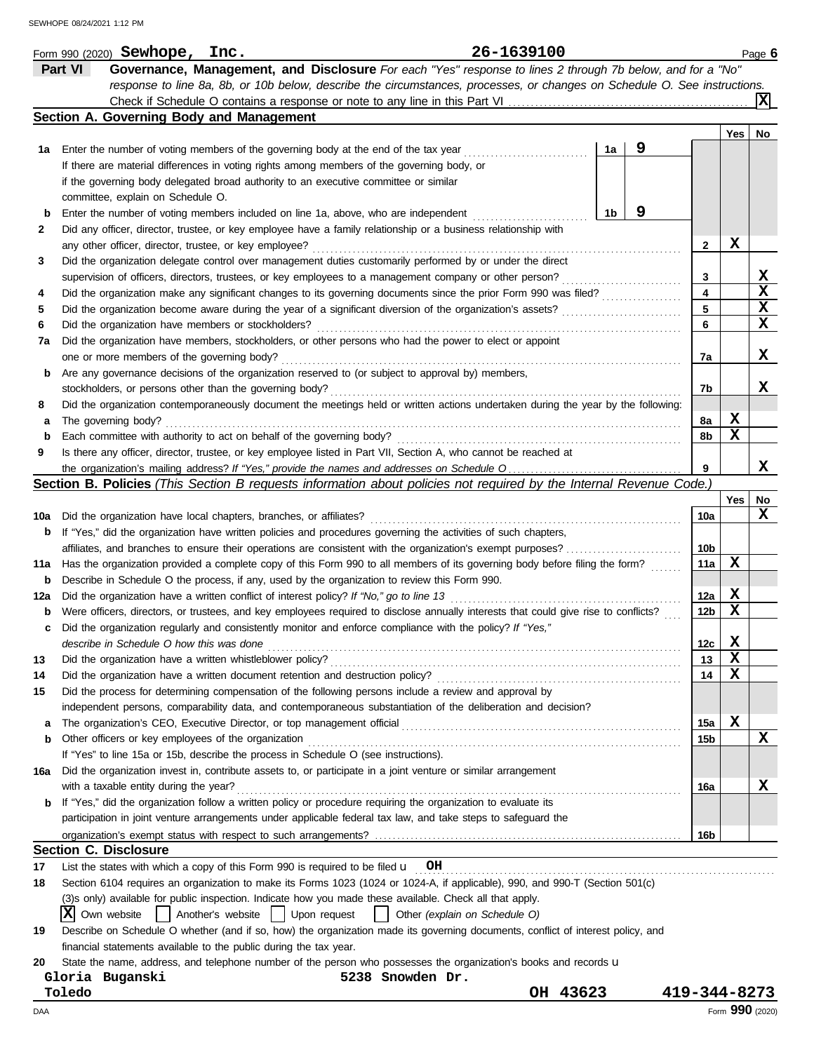|     |                | Form 990 (2020) Sewhope, Inc.                                                                                                       |                   |              |                  |                               | 26-1639100 |          |    |   |                 |             | Page 6 |
|-----|----------------|-------------------------------------------------------------------------------------------------------------------------------------|-------------------|--------------|------------------|-------------------------------|------------|----------|----|---|-----------------|-------------|--------|
|     | <b>Part VI</b> | Governance, Management, and Disclosure For each "Yes" response to lines 2 through 7b below, and for a "No"                          |                   |              |                  |                               |            |          |    |   |                 |             |        |
|     |                | response to line 8a, 8b, or 10b below, describe the circumstances, processes, or changes on Schedule O. See instructions.           |                   |              |                  |                               |            |          |    |   |                 |             |        |
|     |                |                                                                                                                                     |                   |              |                  |                               |            |          |    |   |                 |             |        |
|     |                | Section A. Governing Body and Management                                                                                            |                   |              |                  |                               |            |          |    |   |                 |             |        |
|     |                |                                                                                                                                     |                   |              |                  |                               |            |          |    |   |                 | Yes         | No     |
| 1а  |                | Enter the number of voting members of the governing body at the end of the tax year                                                 |                   |              |                  |                               |            |          | 1a | 9 |                 |             |        |
|     |                | If there are material differences in voting rights among members of the governing body, or                                          |                   |              |                  |                               |            |          |    |   |                 |             |        |
|     |                | if the governing body delegated broad authority to an executive committee or similar                                                |                   |              |                  |                               |            |          |    |   |                 |             |        |
|     |                | committee, explain on Schedule O.                                                                                                   |                   |              |                  |                               |            |          |    |   |                 |             |        |
| b   |                | Enter the number of voting members included on line 1a, above, who are independent                                                  |                   |              |                  |                               |            |          | 1b | 9 |                 |             |        |
| 2   |                | Did any officer, director, trustee, or key employee have a family relationship or a business relationship with                      |                   |              |                  |                               |            |          |    |   |                 |             |        |
|     |                | any other officer, director, trustee, or key employee?                                                                              |                   |              |                  |                               |            |          |    |   | 2               | х           |        |
| 3   |                | Did the organization delegate control over management duties customarily performed by or under the direct                           |                   |              |                  |                               |            |          |    |   |                 |             |        |
|     |                | supervision of officers, directors, trustees, or key employees to a management company or other person?                             |                   |              |                  |                               |            |          |    |   | 3               |             | x      |
| 4   |                | Did the organization make any significant changes to its governing documents since the prior Form 990 was filed?                    |                   |              |                  |                               |            |          |    |   | 4               |             | X      |
| 5   |                | Did the organization become aware during the year of a significant diversion of the organization's assets?                          |                   |              |                  |                               |            |          |    |   | 5               |             | X      |
|     |                | Did the organization have members or stockholders?                                                                                  |                   |              |                  |                               |            |          |    |   | 6               |             | x      |
| 6   |                |                                                                                                                                     |                   |              |                  |                               |            |          |    |   |                 |             |        |
| 7a  |                | Did the organization have members, stockholders, or other persons who had the power to elect or appoint                             |                   |              |                  |                               |            |          |    |   |                 |             |        |
|     |                | one or more members of the governing body?                                                                                          |                   |              |                  |                               |            |          |    |   | 7a              |             | x      |
| b   |                | Are any governance decisions of the organization reserved to (or subject to approval by) members,                                   |                   |              |                  |                               |            |          |    |   |                 |             |        |
|     |                | stockholders, or persons other than the governing body?                                                                             |                   |              |                  |                               |            |          |    |   | 7b              |             | X.     |
| 8   |                | Did the organization contemporaneously document the meetings held or written actions undertaken during the year by the following:   |                   |              |                  |                               |            |          |    |   |                 |             |        |
| а   |                | The governing body?                                                                                                                 |                   |              |                  |                               |            |          |    |   | 8a              | X           |        |
| b   |                | Each committee with authority to act on behalf of the governing body?                                                               |                   |              |                  |                               |            |          |    |   | 8b              | X           |        |
| 9   |                | Is there any officer, director, trustee, or key employee listed in Part VII, Section A, who cannot be reached at                    |                   |              |                  |                               |            |          |    |   |                 |             |        |
|     |                |                                                                                                                                     |                   |              |                  |                               |            |          |    |   | 9               |             | x      |
|     |                | Section B. Policies (This Section B requests information about policies not required by the Internal Revenue Code.)                 |                   |              |                  |                               |            |          |    |   |                 |             |        |
|     |                |                                                                                                                                     |                   |              |                  |                               |            |          |    |   |                 | Yes         | No     |
| 10a |                | Did the organization have local chapters, branches, or affiliates?                                                                  |                   |              |                  |                               |            |          |    |   | 10a             |             | x      |
| b   |                | If "Yes," did the organization have written policies and procedures governing the activities of such chapters,                      |                   |              |                  |                               |            |          |    |   |                 |             |        |
|     |                | affiliates, and branches to ensure their operations are consistent with the organization's exempt purposes?                         |                   |              |                  |                               |            |          |    |   | 10b             |             |        |
| 11a |                | Has the organization provided a complete copy of this Form 990 to all members of its governing body before filing the form?         |                   |              |                  |                               |            |          |    |   | 11a             | x           |        |
| b   |                | Describe in Schedule O the process, if any, used by the organization to review this Form 990.                                       |                   |              |                  |                               |            |          |    |   |                 |             |        |
| 12a |                | Did the organization have a written conflict of interest policy? If "No," go to line 13                                             |                   |              |                  |                               |            |          |    |   | 12a             | X           |        |
| b   |                | Were officers, directors, or trustees, and key employees required to disclose annually interests that could give rise to conflicts? |                   |              |                  |                               |            |          |    |   | 12 <sub>b</sub> | X           |        |
|     |                | Did the organization regularly and consistently monitor and enforce compliance with the policy? If "Yes,"                           |                   |              |                  |                               |            |          |    |   |                 |             |        |
|     |                | describe in Schedule O how this was done                                                                                            |                   |              |                  |                               |            |          |    |   | 12c             | $\mathbf x$ |        |
| 13  |                | Did the organization have a written whistleblower policy?                                                                           |                   |              |                  |                               |            |          |    |   | 13              | х           |        |
|     |                | Did the organization have a written document retention and destruction policy?                                                      |                   |              |                  |                               |            |          |    |   | 14              | x           |        |
| 14  |                | Did the process for determining compensation of the following persons include a review and approval by                              |                   |              |                  |                               |            |          |    |   |                 |             |        |
| 15  |                |                                                                                                                                     |                   |              |                  |                               |            |          |    |   |                 |             |        |
|     |                | independent persons, comparability data, and contemporaneous substantiation of the deliberation and decision?                       |                   |              |                  |                               |            |          |    |   |                 |             |        |
| a   |                | The organization's CEO, Executive Director, or top management official                                                              |                   |              |                  |                               |            |          |    |   | 15a             | х           |        |
| b   |                | Other officers or key employees of the organization                                                                                 |                   |              |                  |                               |            |          |    |   | 15b             |             | x      |
|     |                | If "Yes" to line 15a or 15b, describe the process in Schedule O (see instructions).                                                 |                   |              |                  |                               |            |          |    |   |                 |             |        |
| 16a |                | Did the organization invest in, contribute assets to, or participate in a joint venture or similar arrangement                      |                   |              |                  |                               |            |          |    |   |                 |             |        |
|     |                | with a taxable entity during the year?                                                                                              |                   |              |                  |                               |            |          |    |   | 16a             |             | x      |
|     |                | If "Yes," did the organization follow a written policy or procedure requiring the organization to evaluate its                      |                   |              |                  |                               |            |          |    |   |                 |             |        |
|     |                | participation in joint venture arrangements under applicable federal tax law, and take steps to safeguard the                       |                   |              |                  |                               |            |          |    |   |                 |             |        |
|     |                |                                                                                                                                     |                   |              |                  |                               |            |          |    |   | 16b             |             |        |
|     |                | <b>Section C. Disclosure</b>                                                                                                        |                   |              |                  |                               |            |          |    |   |                 |             |        |
| 17  |                | List the states with which a copy of this Form 990 is required to be filed $\mathbf{u}$ OH                                          |                   |              |                  |                               |            |          |    |   |                 |             |        |
| 18  |                | Section 6104 requires an organization to make its Forms 1023 (1024 or 1024-A, if applicable), 990, and 990-T (Section 501(c)        |                   |              |                  |                               |            |          |    |   |                 |             |        |
|     |                | (3)s only) available for public inspection. Indicate how you made these available. Check all that apply.                            |                   |              |                  |                               |            |          |    |   |                 |             |        |
|     | X              | Own website                                                                                                                         | Another's website | Upon request |                  | Other (explain on Schedule O) |            |          |    |   |                 |             |        |
| 19  |                | Describe on Schedule O whether (and if so, how) the organization made its governing documents, conflict of interest policy, and     |                   |              |                  |                               |            |          |    |   |                 |             |        |
|     |                | financial statements available to the public during the tax year.                                                                   |                   |              |                  |                               |            |          |    |   |                 |             |        |
| 20  |                | State the name, address, and telephone number of the person who possesses the organization's books and records u                    |                   |              |                  |                               |            |          |    |   |                 |             |        |
|     |                | Gloria Buganski                                                                                                                     |                   |              | 5238 Snowden Dr. |                               |            |          |    |   |                 |             |        |
|     | Toledo         |                                                                                                                                     |                   |              |                  |                               |            | OH 43623 |    |   | 419-344-8273    |             |        |

DAA Form **990** (2020)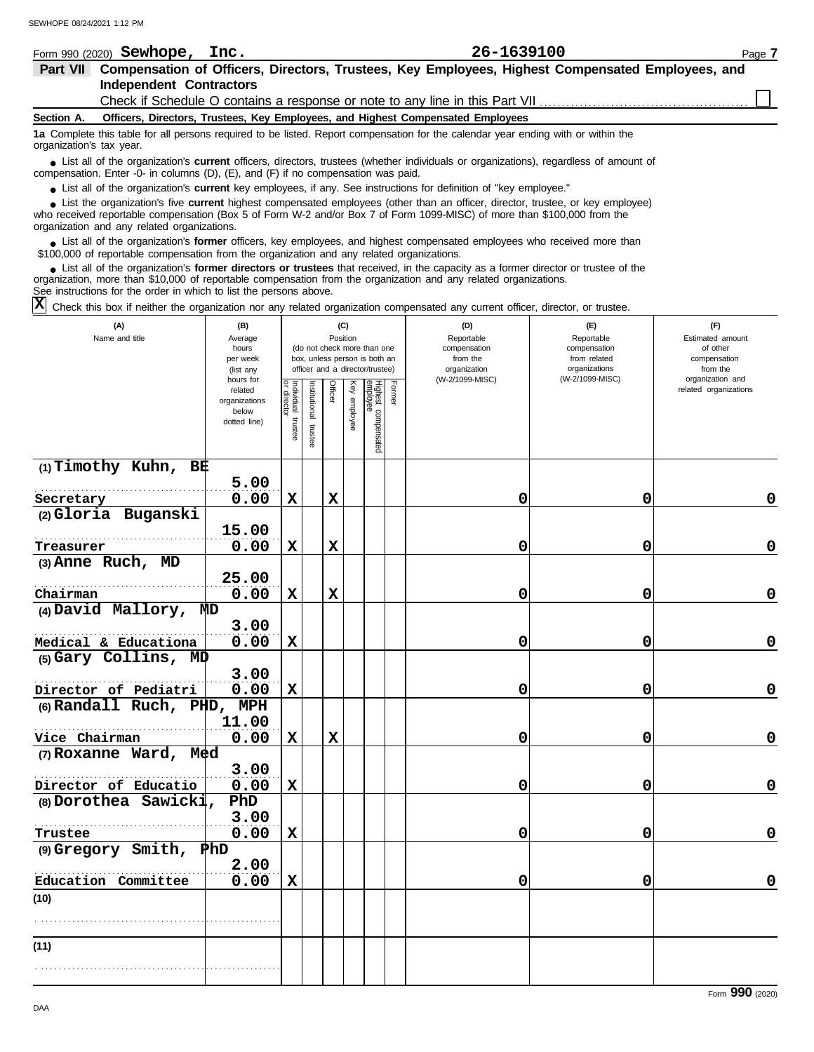| Form 990 (2020) <b>Sewhope,</b>                                                                                                                                                                                                                                                                                               | Inc.                                                              |                                                                                                                                                                                                                                                                                                                                                                                                                                                                                                                                                                                                      | 26-1639100                                                                |                                                                                | Page 7                                                                                                |
|-------------------------------------------------------------------------------------------------------------------------------------------------------------------------------------------------------------------------------------------------------------------------------------------------------------------------------|-------------------------------------------------------------------|------------------------------------------------------------------------------------------------------------------------------------------------------------------------------------------------------------------------------------------------------------------------------------------------------------------------------------------------------------------------------------------------------------------------------------------------------------------------------------------------------------------------------------------------------------------------------------------------------|---------------------------------------------------------------------------|--------------------------------------------------------------------------------|-------------------------------------------------------------------------------------------------------|
| Part VII                                                                                                                                                                                                                                                                                                                      |                                                                   | Compensation of Officers, Directors, Trustees, Key Employees, Highest Compensated Employees, and                                                                                                                                                                                                                                                                                                                                                                                                                                                                                                     |                                                                           |                                                                                |                                                                                                       |
| <b>Independent Contractors</b>                                                                                                                                                                                                                                                                                                |                                                                   |                                                                                                                                                                                                                                                                                                                                                                                                                                                                                                                                                                                                      |                                                                           |                                                                                |                                                                                                       |
|                                                                                                                                                                                                                                                                                                                               |                                                                   | Check if Schedule O contains a response or note to any line in this Part VII                                                                                                                                                                                                                                                                                                                                                                                                                                                                                                                         |                                                                           |                                                                                |                                                                                                       |
| Section A.                                                                                                                                                                                                                                                                                                                    |                                                                   | Officers, Directors, Trustees, Key Employees, and Highest Compensated Employees                                                                                                                                                                                                                                                                                                                                                                                                                                                                                                                      |                                                                           |                                                                                |                                                                                                       |
| 1a Complete this table for all persons required to be listed. Report compensation for the calendar year ending with or within the<br>organization's tax year.                                                                                                                                                                 |                                                                   |                                                                                                                                                                                                                                                                                                                                                                                                                                                                                                                                                                                                      |                                                                           |                                                                                |                                                                                                       |
| • List all of the organization's current officers, directors, trustees (whether individuals or organizations), regardless of amount of<br>compensation. Enter -0- in columns (D), (E), and (F) if no compensation was paid.                                                                                                   |                                                                   |                                                                                                                                                                                                                                                                                                                                                                                                                                                                                                                                                                                                      |                                                                           |                                                                                |                                                                                                       |
| • List all of the organization's current key employees, if any. See instructions for definition of "key employee."                                                                                                                                                                                                            |                                                                   |                                                                                                                                                                                                                                                                                                                                                                                                                                                                                                                                                                                                      |                                                                           |                                                                                |                                                                                                       |
| • List the organization's five current highest compensated employees (other than an officer, director, trustee, or key employee)<br>who received reportable compensation (Box 5 of Form W-2 and/or Box 7 of Form 1099-MISC) of more than \$100,000 from the<br>organization and any related organizations.                    |                                                                   |                                                                                                                                                                                                                                                                                                                                                                                                                                                                                                                                                                                                      |                                                                           |                                                                                |                                                                                                       |
| List all of the organization's former officers, key employees, and highest compensated employees who received more than<br>\$100,000 of reportable compensation from the organization and any related organizations.                                                                                                          |                                                                   |                                                                                                                                                                                                                                                                                                                                                                                                                                                                                                                                                                                                      |                                                                           |                                                                                |                                                                                                       |
| • List all of the organization's former directors or trustees that received, in the capacity as a former director or trustee of the<br>organization, more than \$10,000 of reportable compensation from the organization and any related organizations.<br>See instructions for the order in which to list the persons above. |                                                                   |                                                                                                                                                                                                                                                                                                                                                                                                                                                                                                                                                                                                      |                                                                           |                                                                                |                                                                                                       |
| ΙXΙ<br>Check this box if neither the organization nor any related organization compensated any current officer, director, or trustee.                                                                                                                                                                                         |                                                                   |                                                                                                                                                                                                                                                                                                                                                                                                                                                                                                                                                                                                      |                                                                           |                                                                                |                                                                                                       |
| (A)                                                                                                                                                                                                                                                                                                                           | (B)                                                               | (C)                                                                                                                                                                                                                                                                                                                                                                                                                                                                                                                                                                                                  | (D)                                                                       | (E)                                                                            | (F)                                                                                                   |
| Name and title                                                                                                                                                                                                                                                                                                                | Average<br>hours<br>per week<br>(list any<br>hours for<br>related | Position<br>(do not check more than one<br>box, unless person is both an<br>officer and a director/trustee)<br>$\frac{1}{\log \frac{1}{\log \frac{1}{\log \frac{1}{\log \frac{1}{\log \frac{1}{\log \frac{1}{\log \frac{1}{\log \frac{1}{\log \frac{1}{\log \frac{1}{\log \frac{1}{\log \frac{1}{\log \frac{1}{\log \frac{1}{\log \frac{1}{\log \frac{1}{\log \frac{1}{\log \frac{1}{\log \frac{1}{\log \frac{1}{\log \frac{1}{\log \frac{1}{\log \frac{1}{\log \frac{1}{\log \frac{1}{\log \frac{1}{\log \frac{1}{\log \frac{1}{\log \frac{1}{\log \frac{1}{\log \frac{$<br><b>Tage</b><br>Ğ<br>Κēλ | Reportable<br>compensation<br>from the<br>organization<br>(W-2/1099-MISC) | Reportable<br>compensation<br>from related<br>organizations<br>(W-2/1099-MISC) | Estimated amount<br>of other<br>compensation<br>from the<br>organization and<br>related organizations |

|                                                    | וטו טווטוו<br>related<br>organizations<br>below<br>dotted line) | Individual trustee<br>or director | Institutional trust | Officer     | Key employee | Highest compensated<br>employee | Former | (11210001000) |             | related organizations |
|----------------------------------------------------|-----------------------------------------------------------------|-----------------------------------|---------------------|-------------|--------------|---------------------------------|--------|---------------|-------------|-----------------------|
| $(1)$ Timothy Kuhn, BE                             | 5.00                                                            |                                   |                     |             |              |                                 |        |               |             |                       |
| Secretary                                          | 0.00                                                            | $\mathbf x$                       |                     | $\mathbf x$ |              |                                 |        | $\mathbf 0$   | $\mathbf 0$ | 0                     |
| (2) Gloria Buganski                                |                                                                 |                                   |                     |             |              |                                 |        |               |             |                       |
|                                                    | 15.00                                                           |                                   |                     |             |              |                                 |        |               |             |                       |
| Treasurer                                          | 0.00                                                            | $\mathbf x$                       |                     | $\mathbf x$ |              |                                 |        | 0             | 0           | $\mathbf 0$           |
| (3) Anne Ruch, MD                                  |                                                                 |                                   |                     |             |              |                                 |        |               |             |                       |
|                                                    | 25.00                                                           |                                   |                     |             |              |                                 |        |               |             |                       |
| Chairman                                           | 0.00                                                            | $\mathbf x$                       |                     | $\mathbf x$ |              |                                 |        | 0             | 0           | $\mathbf 0$           |
| (4) David Mallory, MD                              |                                                                 |                                   |                     |             |              |                                 |        |               |             |                       |
|                                                    | 3.00                                                            |                                   |                     |             |              |                                 |        |               |             |                       |
| Medical & Educationa                               | 0.00                                                            | $\mathbf x$                       |                     |             |              |                                 |        | 0             | 0           | $\mathbf 0$           |
| $(5)$ Gary Collins, $MD$                           |                                                                 |                                   |                     |             |              |                                 |        |               |             |                       |
|                                                    | 3.00                                                            |                                   |                     |             |              |                                 |        |               |             |                       |
| Director of Pediatri<br>(6) Randall Ruch, PHD, MPH | 0.00                                                            | $\mathbf x$                       |                     |             |              |                                 |        | 0             | 0           | $\mathbf 0$           |
|                                                    | 11.00                                                           |                                   |                     |             |              |                                 |        |               |             |                       |
| Vice Chairman                                      | 0.00                                                            | $\mathbf x$                       |                     | $\mathbf x$ |              |                                 |        | 0             | 0           | $\mathbf 0$           |
| (7) Roxanne Ward, $M \triangleleft d$              |                                                                 |                                   |                     |             |              |                                 |        |               |             |                       |
|                                                    | 3.00                                                            |                                   |                     |             |              |                                 |        |               |             |                       |
| Director of Educatio                               | 0.00                                                            | $\mathbf x$                       |                     |             |              |                                 |        | 0             | 0           | $\mathbf 0$           |
| $(8)$ Dorothea Sawicki,                            | PhD                                                             |                                   |                     |             |              |                                 |        |               |             |                       |
|                                                    | 3.00                                                            |                                   |                     |             |              |                                 |        |               |             |                       |
| Trustee                                            | 0.00                                                            | $\mathbf x$                       |                     |             |              |                                 |        | 0             | 0           | $\mathbf 0$           |
| $(9)$ Gregory Smith, $\mathbb{P}$ hD               |                                                                 |                                   |                     |             |              |                                 |        |               |             |                       |
|                                                    | 2.00                                                            |                                   |                     |             |              |                                 |        |               |             |                       |
| Education Committee                                | 0.00                                                            | $\mathbf x$                       |                     |             |              |                                 |        | 0             | 0           | $\mathbf 0$           |
| (10)                                               |                                                                 |                                   |                     |             |              |                                 |        |               |             |                       |
|                                                    |                                                                 |                                   |                     |             |              |                                 |        |               |             |                       |
|                                                    |                                                                 |                                   |                     |             |              |                                 |        |               |             |                       |
| (11)                                               |                                                                 |                                   |                     |             |              |                                 |        |               |             |                       |
|                                                    |                                                                 |                                   |                     |             |              |                                 |        |               |             |                       |
|                                                    |                                                                 |                                   |                     |             |              |                                 |        |               |             |                       |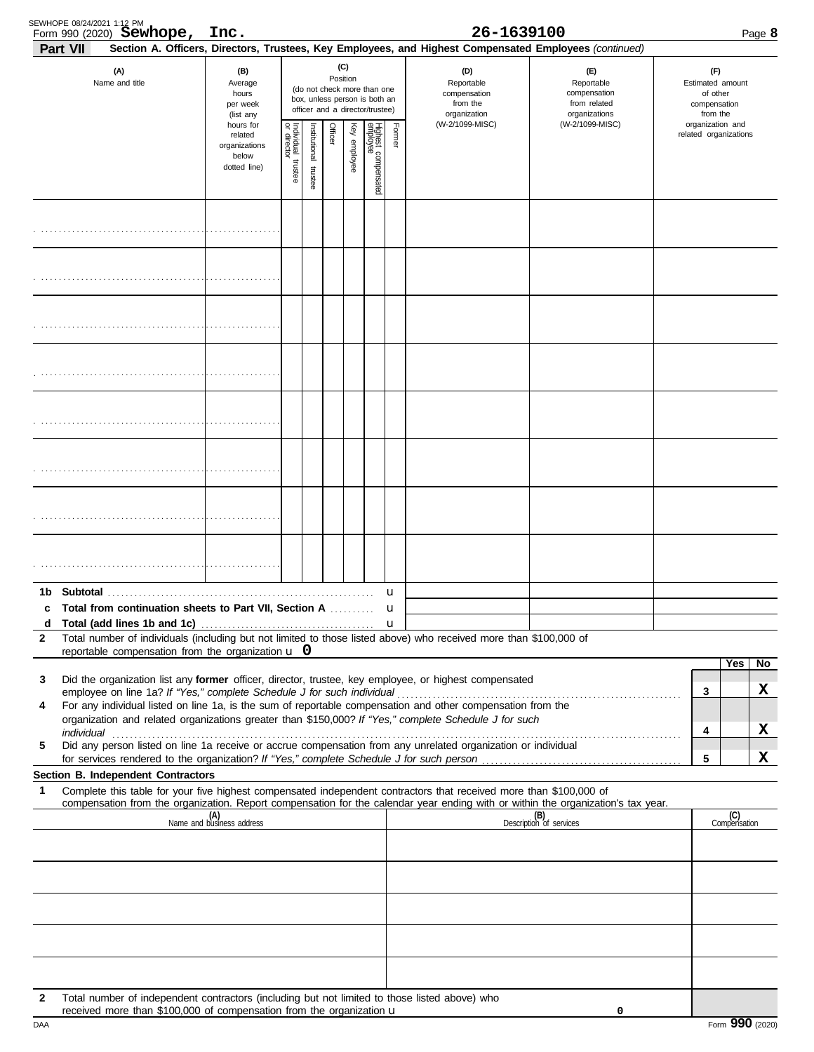| Part VII     | SEWHOPE 08/24/2021 1:12 PM<br>Form 990 (2020) Sewhope, Inc.                                                                                                                                                          |                                                                |                                      |                       |         |                 |                                                                                                 |        | 26-1639100<br>Section A. Officers, Directors, Trustees, Key Employees, and Highest Compensated Employees (continued) |                                                                                                                                                                                                                                |                       |                                             | Page 8 |
|--------------|----------------------------------------------------------------------------------------------------------------------------------------------------------------------------------------------------------------------|----------------------------------------------------------------|--------------------------------------|-----------------------|---------|-----------------|-------------------------------------------------------------------------------------------------|--------|----------------------------------------------------------------------------------------------------------------------|--------------------------------------------------------------------------------------------------------------------------------------------------------------------------------------------------------------------------------|-----------------------|---------------------------------------------|--------|
|              | (A)<br>Name and title                                                                                                                                                                                                | (B)<br>Average<br>hours<br>per week<br>(list any               |                                      |                       |         | (C)<br>Position | (do not check more than one<br>box, unless person is both an<br>officer and a director/trustee) |        | (D)<br>Reportable<br>compensation<br>from the<br>organization                                                        | (E)<br>Reportable<br>compensation<br>from related<br>organizations                                                                                                                                                             | Estimated amount      | (F)<br>of other<br>compensation<br>from the |        |
|              |                                                                                                                                                                                                                      | hours for<br>related<br>organizations<br>below<br>dotted line) | Individual<br>or director<br>trustee | Institutional trustee | Officer | Key employee    | Highest compensated<br>employee                                                                 | Former | (W-2/1099-MISC)                                                                                                      | (W-2/1099-MISC)                                                                                                                                                                                                                | related organizations | organization and                            |        |
|              |                                                                                                                                                                                                                      |                                                                |                                      |                       |         |                 |                                                                                                 |        |                                                                                                                      |                                                                                                                                                                                                                                |                       |                                             |        |
|              |                                                                                                                                                                                                                      |                                                                |                                      |                       |         |                 |                                                                                                 |        |                                                                                                                      |                                                                                                                                                                                                                                |                       |                                             |        |
|              |                                                                                                                                                                                                                      |                                                                |                                      |                       |         |                 |                                                                                                 |        |                                                                                                                      |                                                                                                                                                                                                                                |                       |                                             |        |
|              |                                                                                                                                                                                                                      |                                                                |                                      |                       |         |                 |                                                                                                 |        |                                                                                                                      |                                                                                                                                                                                                                                |                       |                                             |        |
|              |                                                                                                                                                                                                                      |                                                                |                                      |                       |         |                 |                                                                                                 |        |                                                                                                                      |                                                                                                                                                                                                                                |                       |                                             |        |
|              |                                                                                                                                                                                                                      |                                                                |                                      |                       |         |                 |                                                                                                 |        |                                                                                                                      |                                                                                                                                                                                                                                |                       |                                             |        |
|              |                                                                                                                                                                                                                      |                                                                |                                      |                       |         |                 |                                                                                                 |        |                                                                                                                      |                                                                                                                                                                                                                                |                       |                                             |        |
|              |                                                                                                                                                                                                                      |                                                                |                                      |                       |         |                 |                                                                                                 |        |                                                                                                                      |                                                                                                                                                                                                                                |                       |                                             |        |
| 1b<br>c<br>d | <b>Total from continuation sheets to Part VII, Section A </b>                                                                                                                                                        |                                                                |                                      |                       |         |                 |                                                                                                 | u<br>u |                                                                                                                      |                                                                                                                                                                                                                                |                       |                                             |        |
| 2            | Total number of individuals (including but not limited to those listed above) who received more than \$100,000 of<br>reportable compensation from the organization $\bf{u}$ 0                                        |                                                                |                                      |                       |         |                 |                                                                                                 |        |                                                                                                                      |                                                                                                                                                                                                                                |                       |                                             |        |
| 3            | Did the organization list any former officer, director, trustee, key employee, or highest compensated                                                                                                                |                                                                |                                      |                       |         |                 |                                                                                                 |        |                                                                                                                      |                                                                                                                                                                                                                                |                       | Yes                                         | No     |
| 4            | For any individual listed on line 1a, is the sum of reportable compensation and other compensation from the<br>organization and related organizations greater than \$150,000? If "Yes," complete Schedule J for such |                                                                |                                      |                       |         |                 |                                                                                                 |        |                                                                                                                      |                                                                                                                                                                                                                                | 3                     |                                             | x      |
| 5            | Did any person listed on line 1a receive or accrue compensation from any unrelated organization or individual                                                                                                        |                                                                |                                      |                       |         |                 |                                                                                                 |        |                                                                                                                      | individual with a construction of the construction of the construction of the construction of the construction of the construction of the construction of the construction of the construction of the construction of the cons | 4                     |                                             | x      |
|              | Section B. Independent Contractors                                                                                                                                                                                   |                                                                |                                      |                       |         |                 |                                                                                                 |        |                                                                                                                      |                                                                                                                                                                                                                                | 5                     |                                             | х      |
| 1            | Complete this table for your five highest compensated independent contractors that received more than \$100,000 of                                                                                                   |                                                                |                                      |                       |         |                 |                                                                                                 |        |                                                                                                                      | compensation from the organization. Report compensation for the calendar year ending with or within the organization's tax year.                                                                                               |                       |                                             |        |
|              |                                                                                                                                                                                                                      | (A)<br>Name and business address                               |                                      |                       |         |                 |                                                                                                 |        |                                                                                                                      | (B)<br>Description of services                                                                                                                                                                                                 |                       | (C)<br>Compensation                         |        |
|              |                                                                                                                                                                                                                      |                                                                |                                      |                       |         |                 |                                                                                                 |        |                                                                                                                      |                                                                                                                                                                                                                                |                       |                                             |        |
|              |                                                                                                                                                                                                                      |                                                                |                                      |                       |         |                 |                                                                                                 |        |                                                                                                                      |                                                                                                                                                                                                                                |                       |                                             |        |
|              |                                                                                                                                                                                                                      |                                                                |                                      |                       |         |                 |                                                                                                 |        |                                                                                                                      |                                                                                                                                                                                                                                |                       |                                             |        |
|              |                                                                                                                                                                                                                      |                                                                |                                      |                       |         |                 |                                                                                                 |        |                                                                                                                      |                                                                                                                                                                                                                                |                       |                                             |        |
| 2            | Total number of independent contractors (including but not limited to those listed above) who<br>received more than \$100,000 of compensation from the organization u                                                |                                                                |                                      |                       |         |                 |                                                                                                 |        |                                                                                                                      | 0                                                                                                                                                                                                                              |                       |                                             |        |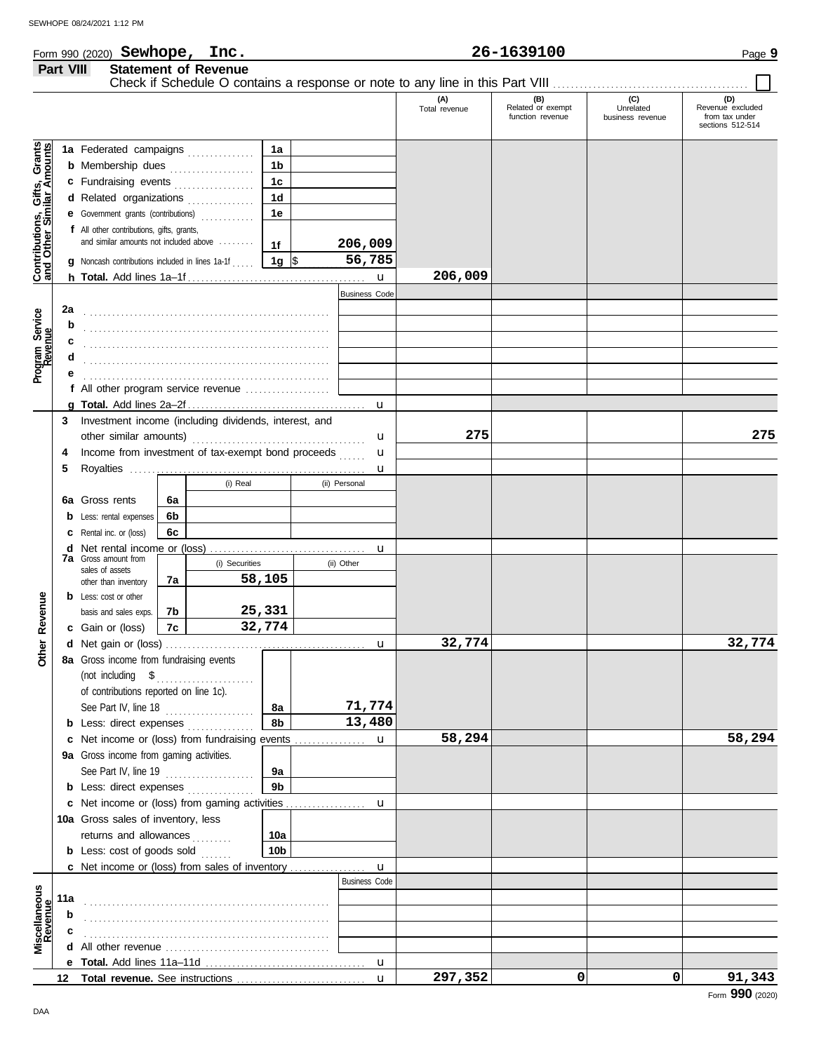|  | (2020)<br>Sewhope<br>---<br>Form 990<br>rnc. | .639100<br>ЭΔ. | Page |
|--|----------------------------------------------|----------------|------|
|--|----------------------------------------------|----------------|------|

#### **Part VIII Statement of Revenue** Check if Schedule O contains a response or note to any line in this Part VIII **(A) (B) (C) (D)** Total revenue Related or exempt Unrelated Revenue excluded function revenue business revenue from tax under sections 512-514 Gifts, Grants<br>illar Amounts **Contributions, Gifts, Grants and Other Similar Amounts 1a 1a** Federated campaigns **. . . . . . . . . . . . 1b b** Membership dues **. . . . . . . . . . . . . .** . . **1c c** Fundraising events **. . . . . . . . . . . . . .** . . **1d d** Related organizations ............... **1e** Contributions,<br>and Other Sim **e** Government grants (contributions) . . . . . . . . . . . . **f** All other contributions, gifts, grants, and similar amounts not included above ....... **206,009 1f 1g** \$ . . . . . . . . . . . . . . . . . . . . . **56,785 g** Noncash contributions included in lines 1a-1f . . . . . **206,009** u **h Total.** Add lines 1a–1f . . . . . . . . . . . . . . . . . . . . . . . . . . . . . . . . . . . . . . . . Business Code Program Service<br>Revenue **2a** . . . . . . . . . . . . . . . . . . . . . . . . . . . . . . . . . . . . . . . . . . . . . . . . . . . . . . . **Program Service b c** . . . . . . . . . . . . . . . . . . . . . . . . . . . . . . . . . . . . . . . . . . . . . . . . . . . . . . . **d** . . . . . . . . . . . . . . . . . . . . . . . . . . . . . . . . . . . . . . . . . . . . . . . . . . . . . . . **e** . . . . . . . . . . . . . . . . . . . . . . . . . . . . . . . . . . . . . . . . . . . . . . . . . . . . . . . **f** All other program service revenue . . . . . . . . . . . . . . . . . . . **g Total.** Add lines 2a–2f . . . . . . . . . . . . . . . . . . . . . . . . . . . . . . . . . . . . . . . . u **3** Investment income (including dividends, interest, and **275 275** other similar amounts) . . . . . . . . . . . . . . . . . . . . . . . . . . . . . . . . . . . . . . . u u **4** Income from investment of tax-exempt bond proceeds ...... **5** Royalties . . . . . . . . . . . . . . . . . . . . . . . . . . . . . . . . . . . . . . . . . . . . . . . . . . . . . u (i) Real (ii) Personal **6a 6a** Gross rents **6b b** Less: rental expenses **6c c** Rental inc. or (loss) **d** Net rental income or (loss) . . . . . . . . . . . . . . . . . . . . . . . . . . . . . . . . . . . u **7a** Gross amount from (i) Securities (ii) Other sales of assets **58,105 7a** other than inventory Revenue **b** Less: cost or other **Other Revenue 7b 25,331** basis and sales exps. **32,774 7c c** Gain or (loss) **Other 32,774 32,774 d** u Net gain or (loss) . . . . . . . . . . . . . . . . . . . . . . . . . . . . . . . . . . . . . . . . . . . . . **8a** Gross income from fundraising events (not including \$ . . . . . . . . . . . . . . . . . . . . . . of contributions reported on line 1c). **71,774** See Part IV, line 18 . . . . . . . . . . . . . . . . . . . . **8a 8b 13,480 b** Less: direct expenses ................ **58,294 58,294** u **c** Net income or (loss) from fundraising events . . . . . . . . . . . . . . **9a** Gross income from gaming activities. See Part IV, line 19 . . . . . . . . . . . . . . . . . . . . **9a 9b b** Less: direct expenses ............... u Net income or (loss) from gaming activities . . . . . . . . . . . . . . . . . . **c** 10a Gross sales of inventory, less returns and allowances . . . . . . . . **10a 10b b** Less: cost of goods sold ...... **c** Net income or (loss) from sales of inventory ................ u Business Code **Revenue Miscellaneous 11a** . . . . . . . . . . . . . . . . . . . . . . . . . . . . . . . . . . . . . . . . . . . . . . . . . . . . . . . **b c d** All other revenue . . . . . . . . . . . . . . . . . . . . . . . . . . . . . . . . . . . . . **e Total.** Add lines 11a–11d . . . . . . . . . . . . . . . . . . . . . . . . . . . . . . . . . . . . u **297,352 0 0 91,343** Total revenue. See instructions ................. **12** u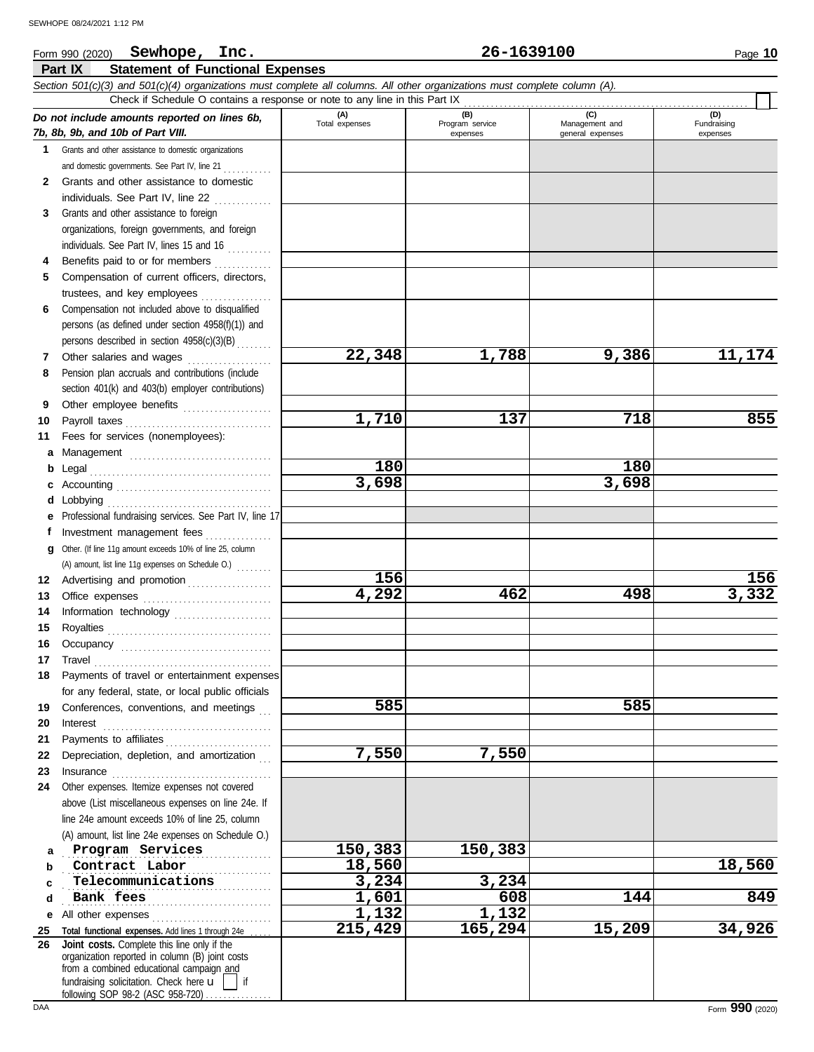#### **Part IX Statement of Functional Expenses** *Section 501(c)(3) and 501(c)(4) organizations must complete all columns. All other organizations must complete column (A). Do not include amounts reported on lines 6b, 7b, 8b, 9b, and 10b of Part VIII.* **1 2 3 4 5 6 7 8 9 10 11 a** Management ................................. **b** Legal . . . . . . . . . . . . . . . . . . . . . . . . . . . . . . . . . . . . . . . . . **c** Accounting . . . . . . . . . . . . . . . . . . . . . . . . . . . . . . . . . . . **d** Lobbying . . . . . . . . . . . . . . . . . . . . . . . . . . . . . . . . . . . . . **e** Professional fundraising services. See Part IV, line 17 **f g** Other. (If line 11g amount exceeds 10% of line 25, column **12** Advertising and promotion . . . . . . . . . . . . . . . . . . . **13 14 15 16 17 18 19 20 21 22 23 24 a b c d e** All other expenses . . . . . . . . . . . . . . . . . . . . . . . . . . . **25 26** Grants and other assistance to domestic organizations and domestic governments. See Part IV, line 21 . . . . . . . . . . Grants and other assistance to domestic individuals. See Part IV, line 22 . . . . . . . . . . . . . Grants and other assistance to foreign organizations, foreign governments, and foreign individuals. See Part IV, lines 15 and 16 Benefits paid to or for members . . . . . . . . . . . . . Compensation of current officers, directors, trustees, and key employees ................ Compensation not included above to disqualified persons (as defined under section 4958(f)(1)) and persons described in section 4958(c)(3)(B) . . . . . . . Other salaries and wages ................... Pension plan accruals and contributions (include section 401(k) and 403(b) employer contributions) Other employee benefits .................... Payroll taxes . . . . . . . . . . . . . . . . . . . . . . . . . . . . . . . . . Fees for services (nonemployees): Investment management fees ................ Office expenses ................................ Information technology ...................... Royalties . . . . . . . . . . . . . . . . . . . . . . . . . . . . . . . . . . . . . Occupancy . . . . . . . . . . . . . . . . . . . . . . . . . . . . . . . . . . Travel . . . . . . . . . . . . . . . . . . . . . . . . . . . . . . . . . . . . . . . . Payments of travel or entertainment expenses for any federal, state, or local public officials Conferences, conventions, and meetings Interest . . . . . . . . . . . . . . . . . . . . . . . . . . . . . . . . . . . . . . Payments to affiliates . . . . . . . . . . . . . . . . . . . . . . . . Depreciation, depletion, and amortization Insurance . . . . . . . . . . . . . . . . . . . . . . . . . . . . . . . . . . . . Other expenses. Itemize expenses not covered above (List miscellaneous expenses on line 24e. If line 24e amount exceeds 10% of line 25, column (A) amount, list line 24e expenses on Schedule O.) Total functional expenses. Add lines 1 through 24e fundraising solicitation. Check here  $\mathbf{u}$  | if organization reported in column (B) joint costs from a combined educational campaign and **(A) (B) (C) (D)** Total expenses Program service<br>
expenses Program service<br>  $\frac{1}{2}$  Management and<br>
general expenses expenses general expenses (D)<br>Fundraising expenses . . . . . . . . . . . . . . . . . . . . . . . . . . . . . . . . . . . . . . . . . . . . . . . **Program Services 150,383 150,383 Contract Labor 18,560 18,560 18,000 <b>18,000 18,000** . . . . . . . . . . . . . . . . . . . . . . . . . . . . . . . . . . . . . . . . . . . . . . . **Telecommunications 3,234 3,234** . . . . . . . . . . . . . . . . . . . . . . . . . . . . . . . . . . . . . . . . . . . . . . . **Bank fees 1,601 608 144 849** Check if Schedule O contains a response or note to any line in this Part IX **Joint costs.** Complete this line only if the (A) amount, list line 11g expenses on Schedule O.)  $\ldots \ldots$ **22,348 1,788 9,386 11,174 1,710 137 718 855 180 180 3,698 3,698 156 156 4,292 462 498 3,332 585 585 7,550 7,550 1,132 1,132 215,429 165,294 15,209 34,926**

following SOP 98-2 (ASC 958-720)...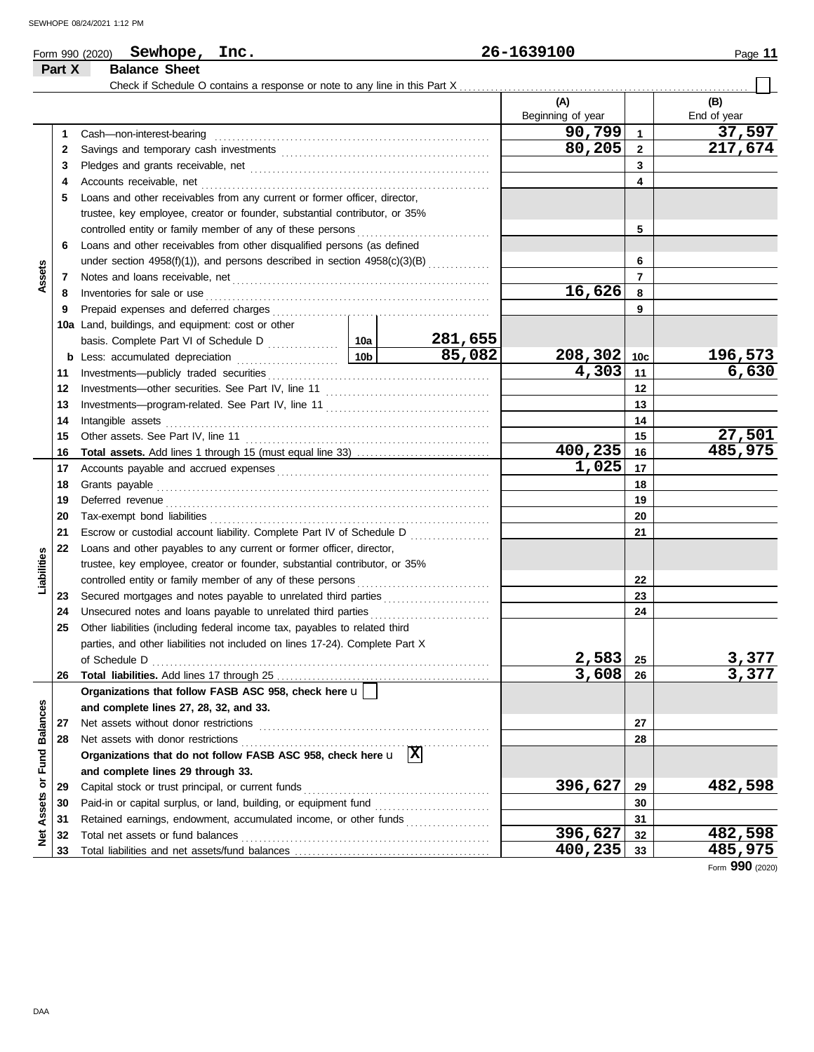| Page |  |
|------|--|
|------|--|

#### **Form 990 (2020) Sewhope, Inc.** 26-1639100 Page 11 **Part X Balance Sheet** Check if Schedule O contains a response or note to any line in this Part X **(A) (B)** Beginning of year  $\parallel$  End of year **90,799 37,597** Cash—non-interest-bearing . . . . . . . . . . . . . . . . . . . . . . . . . . . . . . . . . . . . . . . . . . . . . . . . . . . . . . . . . . . . . . **1 1 80,205 217,674 2 2** Savings and temporary cash investments . . . . . . . . . . . . . . . . . . . . . . . . . . . . . . . . . . . . . . . . . . . . . . . **3 3** Pledges and grants receivable, net . . . . . . . . . . . . . . . . . . . . . . . . . . . . . . . . . . . . . . . . . . . . . . . . . . . . . . **4 4** Accounts receivable, net . . . . . . . . . . . . . . . . . . . . . . . . . . . . . . . . . . . . . . . . . . . . . . . . . . . . . . . . . . . . . . . . . **5** Loans and other receivables from any current or former officer, director, trustee, key employee, creator or founder, substantial contributor, or 35% controlled entity or family member of any of these persons **5 6** Loans and other receivables from other disqualified persons (as defined **6** under section  $4958(f)(1)$ ), and persons described in section  $4958(c)(3)(B)$  ............. **Assets 7 7** Notes and loans receivable, net . . . . . . . . . . . . . . . . . . . . . . . . . . . . . . . . . . . . . . . . . . . . . . . . . . . . . . . . . . **16,626 8 8** Inventories for sale or use . . . . . . . . . . . . . . . . . . . . . . . . . . . . . . . . . . . . . . . . . . . . . . . . . . . . . . . . . . . . . . . . Prepaid expenses and deferred charges . . . . . . . . . . . . . . . . . . . . . . . . . . . . . . . . . . . . . . . . . . . . . . . . . **9 9 10a** Land, buildings, and equipment: cost or other **10a 281,655** basis. Complete Part VI of Schedule D **85,082 208,302 196,573 10c b** Less: accumulated depreciation . . . . . . . . . . . . . . . . . . 10b Investments—publicly traded securities . . . . . . . . . . . . . . . . . . . . . . . . . . . . . . . . . . . . . . . . . . . . . . . . . . **4,303 6,630 11 11 12 12** Investments—other securities. See Part IV, line 11 . . . . . . . . . . . . . . . . . . . . . . . . . . . . . . . . . . . . . **13 13** Investments—program-related. See Part IV, line 11 . . . . . . . . . . . . . . . . . . . . . . . . . . . . . . . . . . . . . 14 Intangible assets ......... Intangible assets . . . . . . . . . . . . . . . . . . . . . . . . . . . . . . . . . . . . . . . . . . . . . . . . . . . . . . . . . . . . . . . . . . . . . . . . . **14 27,501 15 15** Other assets. See Part IV, line 11 . . . . . . . . . . . . . . . . . . . . . . . . . . . . . . . . . . . . . . . . . . . . . . . . . . . . . . . **400,235 485,975 Total assets.** Add lines 1 through 15 (must equal line 33) . . . . . . . . . . . . . . . . . . . . . . . . . . . . . . **16 16 1,025 17** Accounts payable and accrued expenses . . . . . . . . . . . . . . . . . . . . . . . . . . . . . . . . . . . . . . . . . . . . . . . . **17 18** Grants payable . . . . . . . . . . . . . . . . . . . . . . . . . . . . . . . . . . . . . . . . . . . . . . . . . . . . . . . . . . . . . . . . . . . . . . . . . . . **18** Deferred revenue . . . . . . . . . . . . . . . . . . . . . . . . . . . . . . . . . . . . . . . . . . . . . . . . . . . . . . . . . . . . . . . . . . . . . . . . . **19 19** Tax-exempt bond liabilities . . . . . . . . . . . . . . . . . . . . . . . . . . . . . . . . . . . . . . . . . . . . . . . . . . . . . . . . . . . . . . . **20 20 21** Escrow or custodial account liability. Complete Part IV of Schedule D . . . . . . . . . . . . . . . . . . **21 22** Loans and other payables to any current or former officer, director, **Liabilities** trustee, key employee, creator or founder, substantial contributor, or 35% **22** controlled entity or family member of any of these persons Secured mortgages and notes payable to unrelated third parties ........................ **23 23** Unsecured notes and loans payable to unrelated third parties . . . . . . . . . . . . . . . . . . . . . . . . . . . **24 24 25** Other liabilities (including federal income tax, payables to related third parties, and other liabilities not included on lines 17-24). Complete Part X **2,583 3,377** of Schedule D . . . . . . . . . . . . . . . . . . . . . . . . . . . . . . . . . . . . . . . . . . . . . . . . . . . . . . . . . . . . . . . . . . . . . . . . . . . . **25 3,608 3,377 26** Total liabilities. Add lines 17 through 25 **26 Organizations that follow FASB ASC 958, check here** u Net Assets or Fund Balances **Net Assets or Fund Balances and complete lines 27, 28, 32, and 33. 27** Net assets without donor restrictions . . . . . . . . . . . . . . . . . . . . . . . . . . . . . . . . . . . . . . . . . . . . . . . . . . . . **27** Net assets with donor restrictions . . . . . . . . . . . . . . . . . . . . . . . . . . . . . . . . . . . . . . . . . . . . . . . . . . . . . . . . **28 28 Organizations that do not follow FASB ASC 958, check here** u **X and complete lines 29 through 33.** Capital stock or trust principal, or current funds . . . . . . . . . . . . . . . . . . . . . . . . . . . . . . . . . . . . . . . . . . **396,627 482,598 29 29** Paid-in or capital surplus, or land, building, or equipment fund ........................... **30 30 31** Retained earnings, endowment, accumulated income, or other funds . . . . . . . . . . . . . . . . . . . **31 396,627 482,598** Total net assets or fund balances . . . . . . . . . . . . . . . . . . . . . . . . . . . . . . . . . . . . . . . . . . . . . . . . . . . . . . . . **32 32 33** Total liabilities and net assets/fund balances . **400,235 485,975 33**

Form **990** (2020)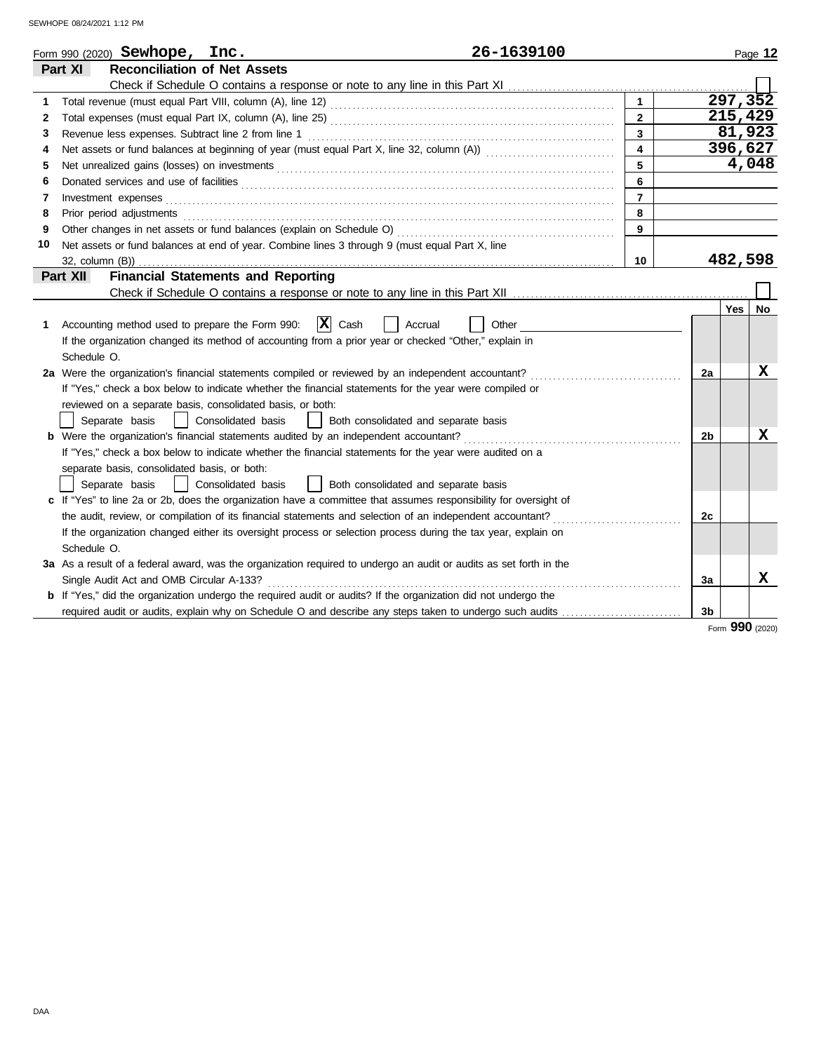|    | 26-1639100<br>Form 990 $(2020)$ Sewhope, Inc.                                                                         |                |                |          | Page 12 |
|----|-----------------------------------------------------------------------------------------------------------------------|----------------|----------------|----------|---------|
|    | Part XI<br><b>Reconciliation of Net Assets</b>                                                                        |                |                |          |         |
|    |                                                                                                                       |                |                |          |         |
| 1  |                                                                                                                       | $\mathbf{1}$   |                | 297, 352 |         |
| 2  |                                                                                                                       | $\mathbf{2}$   |                | 215,429  |         |
| 3  | Revenue less expenses. Subtract line 2 from line 1                                                                    | 3              |                | 81,923   |         |
| 4  |                                                                                                                       | 4              |                | 396,627  |         |
| 5  |                                                                                                                       | 5              |                |          | 4,048   |
| 6  |                                                                                                                       | 6              |                |          |         |
| 7  | Investment expenses                                                                                                   | $\overline{7}$ |                |          |         |
| 8  | Prior period adjustments                                                                                              | 8              |                |          |         |
| 9  |                                                                                                                       | 9              |                |          |         |
| 10 | Net assets or fund balances at end of year. Combine lines 3 through 9 (must equal Part X, line                        |                |                |          |         |
|    |                                                                                                                       | 10             |                | 482,598  |         |
|    | Part XII<br><b>Financial Statements and Reporting</b>                                                                 |                |                |          |         |
|    |                                                                                                                       |                |                |          |         |
|    |                                                                                                                       |                |                | Yes      | No      |
| 1  | $\mathbf{X}$ Cash<br>Accounting method used to prepare the Form 990:<br>Accrual<br>Other                              |                |                |          |         |
|    | If the organization changed its method of accounting from a prior year or checked "Other," explain in                 |                |                |          |         |
|    | Schedule O.                                                                                                           |                |                |          |         |
|    | 2a Were the organization's financial statements compiled or reviewed by an independent accountant?                    |                | 2a             |          | X       |
|    | If "Yes," check a box below to indicate whether the financial statements for the year were compiled or                |                |                |          |         |
|    | reviewed on a separate basis, consolidated basis, or both:                                                            |                |                |          |         |
|    | Separate basis<br>Consolidated basis<br>Both consolidated and separate basis                                          |                |                |          |         |
|    |                                                                                                                       |                | 2 <sub>b</sub> |          | х       |
|    | If "Yes," check a box below to indicate whether the financial statements for the year were audited on a               |                |                |          |         |
|    | separate basis, consolidated basis, or both:                                                                          |                |                |          |         |
|    | Consolidated basis<br>Separate basis<br>Both consolidated and separate basis                                          |                |                |          |         |
|    | c If "Yes" to line 2a or 2b, does the organization have a committee that assumes responsibility for oversight of      |                |                |          |         |
|    | the audit, review, or compilation of its financial statements and selection of an independent accountant?             |                | 2c             |          |         |
|    | If the organization changed either its oversight process or selection process during the tax year, explain on         |                |                |          |         |
|    | Schedule O.                                                                                                           |                |                |          |         |
|    | 3a As a result of a federal award, was the organization required to undergo an audit or audits as set forth in the    |                |                |          |         |
|    | Single Audit Act and OMB Circular A-133?                                                                              |                | 3a             |          | x       |
|    | <b>b</b> If "Yes," did the organization undergo the required audit or audits? If the organization did not undergo the |                |                |          |         |
|    | required audit or audits, explain why on Schedule O and describe any steps taken to undergo such audits               |                | 3b             |          |         |

Form **990** (2020)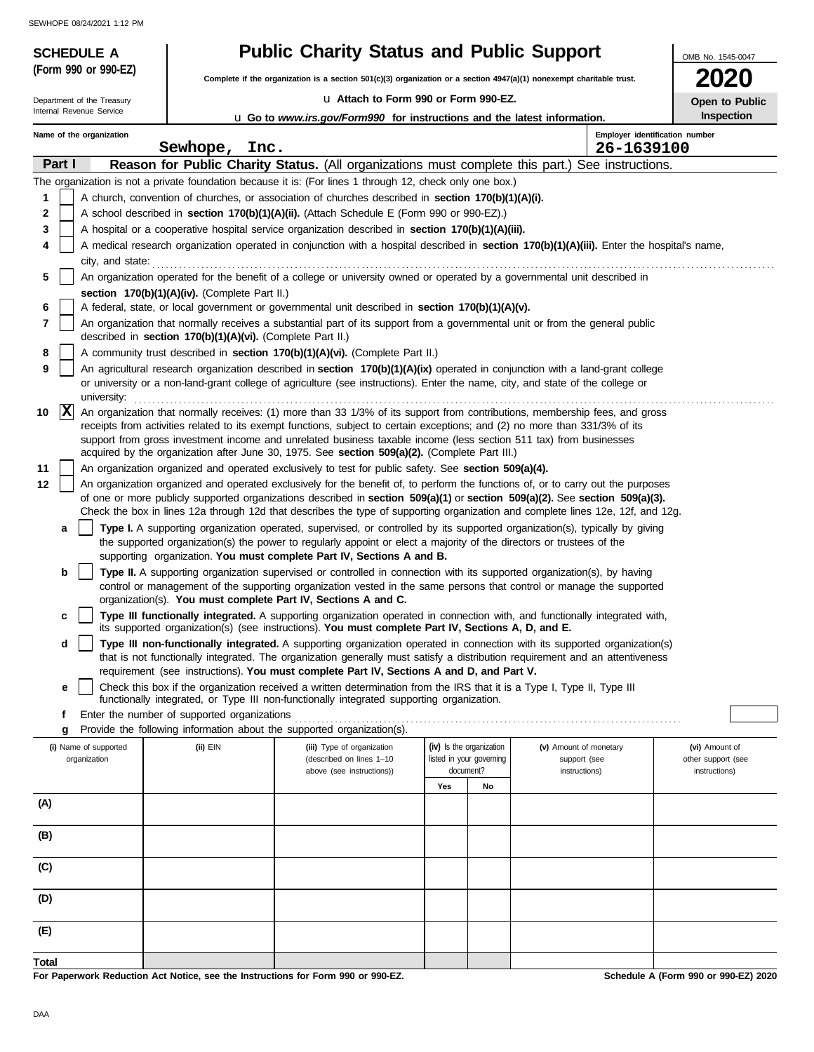**(Form 990 or 990-EZ)**

Internal Revenue Service Department of the Treasury

# **SCHEDULE A Public Charity Status and Public Support**

**Complete if the organization is a section 501(c)(3) organization or a section 4947(a)(1) nonexempt charitable trust.**

### u **Attach to Form 990 or Form 990-EZ.** u **Go to** *www.irs.gov/Form990* **for instructions and the latest information.**

| 2020                  |  |
|-----------------------|--|
| <b>Open to Public</b> |  |

OMB No. 1545-0047

| Open to Put       |
|-------------------|
| <b>Inspection</b> |

|       |          | Name of the organization | Sewhope,<br>Inc.                                           |                                                                                                                                                                                                                                                                                                                                                                                                                                                                                  |     |                                       |                               | Employer identification number<br>26-1639100 |                                             |
|-------|----------|--------------------------|------------------------------------------------------------|----------------------------------------------------------------------------------------------------------------------------------------------------------------------------------------------------------------------------------------------------------------------------------------------------------------------------------------------------------------------------------------------------------------------------------------------------------------------------------|-----|---------------------------------------|-------------------------------|----------------------------------------------|---------------------------------------------|
|       | Part I   |                          |                                                            | Reason for Public Charity Status. (All organizations must complete this part.) See instructions.                                                                                                                                                                                                                                                                                                                                                                                 |     |                                       |                               |                                              |                                             |
|       |          |                          |                                                            | The organization is not a private foundation because it is: (For lines 1 through 12, check only one box.)                                                                                                                                                                                                                                                                                                                                                                        |     |                                       |                               |                                              |                                             |
| 1     |          |                          |                                                            | A church, convention of churches, or association of churches described in section 170(b)(1)(A)(i).                                                                                                                                                                                                                                                                                                                                                                               |     |                                       |                               |                                              |                                             |
| 2     |          |                          |                                                            | A school described in section 170(b)(1)(A)(ii). (Attach Schedule E (Form 990 or 990-EZ).)                                                                                                                                                                                                                                                                                                                                                                                        |     |                                       |                               |                                              |                                             |
| 3     |          |                          |                                                            | A hospital or a cooperative hospital service organization described in section 170(b)(1)(A)(iii).                                                                                                                                                                                                                                                                                                                                                                                |     |                                       |                               |                                              |                                             |
|       |          |                          |                                                            | A medical research organization operated in conjunction with a hospital described in section 170(b)(1)(A)(iii). Enter the hospital's name,                                                                                                                                                                                                                                                                                                                                       |     |                                       |                               |                                              |                                             |
|       |          | city, and state:         |                                                            |                                                                                                                                                                                                                                                                                                                                                                                                                                                                                  |     |                                       |                               |                                              |                                             |
| 5     |          |                          |                                                            | An organization operated for the benefit of a college or university owned or operated by a governmental unit described in                                                                                                                                                                                                                                                                                                                                                        |     |                                       |                               |                                              |                                             |
|       |          |                          | section 170(b)(1)(A)(iv). (Complete Part II.)              |                                                                                                                                                                                                                                                                                                                                                                                                                                                                                  |     |                                       |                               |                                              |                                             |
| 6     |          |                          |                                                            | A federal, state, or local government or governmental unit described in section 170(b)(1)(A)(v).                                                                                                                                                                                                                                                                                                                                                                                 |     |                                       |                               |                                              |                                             |
| 7     |          |                          | described in section 170(b)(1)(A)(vi). (Complete Part II.) | An organization that normally receives a substantial part of its support from a governmental unit or from the general public                                                                                                                                                                                                                                                                                                                                                     |     |                                       |                               |                                              |                                             |
| 8     |          |                          |                                                            | A community trust described in section 170(b)(1)(A)(vi). (Complete Part II.)                                                                                                                                                                                                                                                                                                                                                                                                     |     |                                       |                               |                                              |                                             |
| 9     |          | university:              |                                                            | An agricultural research organization described in section 170(b)(1)(A)(ix) operated in conjunction with a land-grant college<br>or university or a non-land-grant college of agriculture (see instructions). Enter the name, city, and state of the college or                                                                                                                                                                                                                  |     |                                       |                               |                                              |                                             |
| 10    | <b>X</b> |                          |                                                            | An organization that normally receives: (1) more than 33 1/3% of its support from contributions, membership fees, and gross<br>receipts from activities related to its exempt functions, subject to certain exceptions; and (2) no more than 331/3% of its<br>support from gross investment income and unrelated business taxable income (less section 511 tax) from businesses<br>acquired by the organization after June 30, 1975. See section 509(a)(2). (Complete Part III.) |     |                                       |                               |                                              |                                             |
| 11    |          |                          |                                                            | An organization organized and operated exclusively to test for public safety. See section 509(a)(4).                                                                                                                                                                                                                                                                                                                                                                             |     |                                       |                               |                                              |                                             |
| 12    |          |                          |                                                            | An organization organized and operated exclusively for the benefit of, to perform the functions of, or to carry out the purposes                                                                                                                                                                                                                                                                                                                                                 |     |                                       |                               |                                              |                                             |
|       |          |                          |                                                            | of one or more publicly supported organizations described in section 509(a)(1) or section 509(a)(2). See section 509(a)(3).<br>Check the box in lines 12a through 12d that describes the type of supporting organization and complete lines 12e, 12f, and 12g.                                                                                                                                                                                                                   |     |                                       |                               |                                              |                                             |
|       | a        |                          |                                                            | Type I. A supporting organization operated, supervised, or controlled by its supported organization(s), typically by giving                                                                                                                                                                                                                                                                                                                                                      |     |                                       |                               |                                              |                                             |
|       |          |                          |                                                            | the supported organization(s) the power to regularly appoint or elect a majority of the directors or trustees of the<br>supporting organization. You must complete Part IV, Sections A and B.                                                                                                                                                                                                                                                                                    |     |                                       |                               |                                              |                                             |
|       | b        |                          |                                                            | Type II. A supporting organization supervised or controlled in connection with its supported organization(s), by having<br>control or management of the supporting organization vested in the same persons that control or manage the supported<br>organization(s). You must complete Part IV, Sections A and C.                                                                                                                                                                 |     |                                       |                               |                                              |                                             |
|       | c        |                          |                                                            | Type III functionally integrated. A supporting organization operated in connection with, and functionally integrated with,<br>its supported organization(s) (see instructions). You must complete Part IV, Sections A, D, and E.                                                                                                                                                                                                                                                 |     |                                       |                               |                                              |                                             |
|       | d        |                          |                                                            | Type III non-functionally integrated. A supporting organization operated in connection with its supported organization(s)<br>that is not functionally integrated. The organization generally must satisfy a distribution requirement and an attentiveness<br>requirement (see instructions). You must complete Part IV, Sections A and D, and Part V.                                                                                                                            |     |                                       |                               |                                              |                                             |
|       | е        |                          |                                                            | Check this box if the organization received a written determination from the IRS that it is a Type I, Type II, Type III                                                                                                                                                                                                                                                                                                                                                          |     |                                       |                               |                                              |                                             |
|       |          |                          |                                                            | functionally integrated, or Type III non-functionally integrated supporting organization.                                                                                                                                                                                                                                                                                                                                                                                        |     |                                       |                               |                                              |                                             |
|       | f        |                          | Enter the number of supported organizations                |                                                                                                                                                                                                                                                                                                                                                                                                                                                                                  |     |                                       |                               |                                              |                                             |
|       | g        |                          |                                                            | Provide the following information about the supported organization(s).                                                                                                                                                                                                                                                                                                                                                                                                           |     |                                       |                               |                                              |                                             |
|       |          | (i) Name of supported    | $(ii)$ $EIN$                                               | (iii) Type of organization                                                                                                                                                                                                                                                                                                                                                                                                                                                       |     | (iv) Is the organization              | (v) Amount of monetary        |                                              | (vi) Amount of                              |
|       |          | organization             |                                                            | (described on lines 1-10<br>above (see instructions))                                                                                                                                                                                                                                                                                                                                                                                                                            |     | listed in your governing<br>document? | support (see<br>instructions) |                                              | other support (see<br>instructions)         |
|       |          |                          |                                                            |                                                                                                                                                                                                                                                                                                                                                                                                                                                                                  | Yes | No                                    |                               |                                              |                                             |
| (A)   |          |                          |                                                            |                                                                                                                                                                                                                                                                                                                                                                                                                                                                                  |     |                                       |                               |                                              |                                             |
| (B)   |          |                          |                                                            |                                                                                                                                                                                                                                                                                                                                                                                                                                                                                  |     |                                       |                               |                                              |                                             |
|       |          |                          |                                                            |                                                                                                                                                                                                                                                                                                                                                                                                                                                                                  |     |                                       |                               |                                              |                                             |
| (C)   |          |                          |                                                            |                                                                                                                                                                                                                                                                                                                                                                                                                                                                                  |     |                                       |                               |                                              |                                             |
| (D)   |          |                          |                                                            |                                                                                                                                                                                                                                                                                                                                                                                                                                                                                  |     |                                       |                               |                                              |                                             |
| (E)   |          |                          |                                                            |                                                                                                                                                                                                                                                                                                                                                                                                                                                                                  |     |                                       |                               |                                              |                                             |
| Total |          |                          |                                                            |                                                                                                                                                                                                                                                                                                                                                                                                                                                                                  |     |                                       |                               |                                              |                                             |
|       |          |                          |                                                            | $000 - 000E7$                                                                                                                                                                                                                                                                                                                                                                                                                                                                    |     |                                       |                               |                                              | <b>Cohodule A (Ferm 000 or 000 EZ) 2020</b> |

**For Paperwork Reduction Act Notice, see the Instructions for Form 990 or 990-EZ.**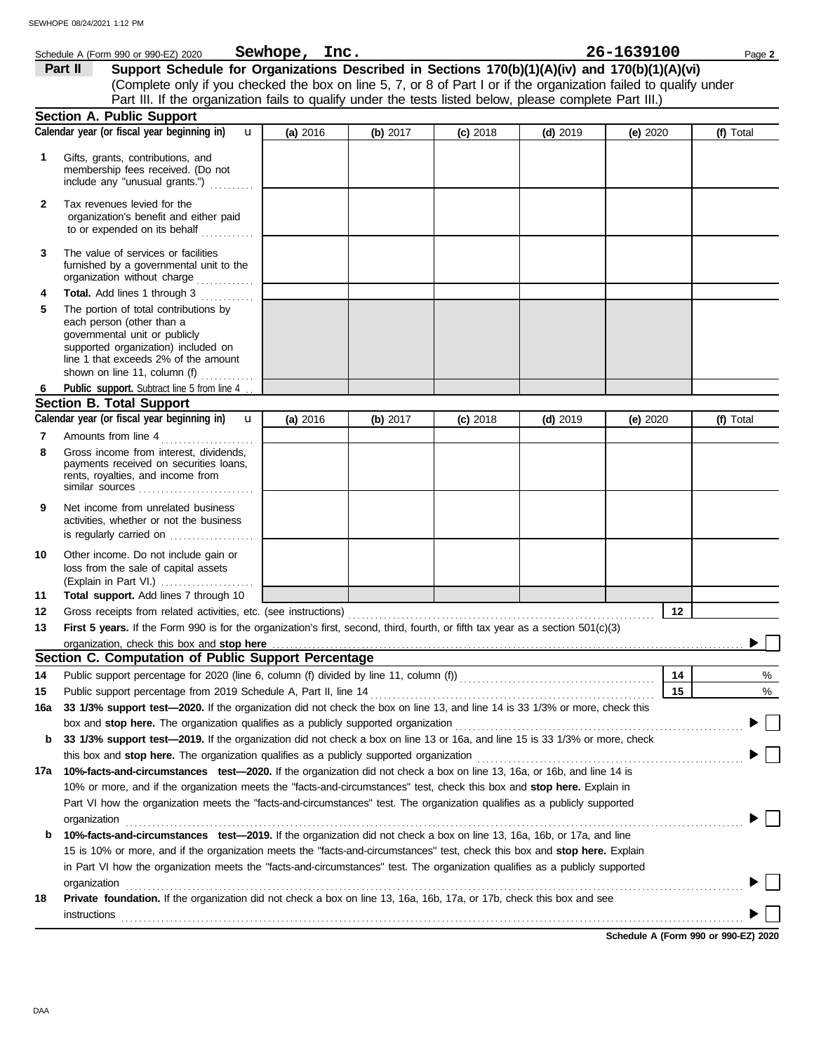|              | 26-1639100<br>Sewhope, Inc.<br>Schedule A (Form 990 or 990-EZ) 2020<br>Page 2                                                                                                                                                                                                                                                                                                                       |          |            |            |            |          |    |           |
|--------------|-----------------------------------------------------------------------------------------------------------------------------------------------------------------------------------------------------------------------------------------------------------------------------------------------------------------------------------------------------------------------------------------------------|----------|------------|------------|------------|----------|----|-----------|
|              | Support Schedule for Organizations Described in Sections 170(b)(1)(A)(iv) and 170(b)(1)(A)(vi)<br>Part II                                                                                                                                                                                                                                                                                           |          |            |            |            |          |    |           |
|              | (Complete only if you checked the box on line 5, 7, or 8 of Part I or if the organization failed to qualify under                                                                                                                                                                                                                                                                                   |          |            |            |            |          |    |           |
|              | Part III. If the organization fails to qualify under the tests listed below, please complete Part III.)                                                                                                                                                                                                                                                                                             |          |            |            |            |          |    |           |
|              | <b>Section A. Public Support</b>                                                                                                                                                                                                                                                                                                                                                                    |          |            |            |            |          |    |           |
|              | Calendar year (or fiscal year beginning in)<br>$\mathbf{u}$                                                                                                                                                                                                                                                                                                                                         | (a) 2016 | (b) $2017$ | $(c)$ 2018 | $(d)$ 2019 | (e) 2020 |    | (f) Total |
| 1            | Gifts, grants, contributions, and<br>membership fees received. (Do not<br>include any "unusual grants.")                                                                                                                                                                                                                                                                                            |          |            |            |            |          |    |           |
| $\mathbf{2}$ | Tax revenues levied for the<br>organization's benefit and either paid<br>to or expended on its behalf                                                                                                                                                                                                                                                                                               |          |            |            |            |          |    |           |
| 3            | The value of services or facilities<br>furnished by a governmental unit to the<br>organization without charge                                                                                                                                                                                                                                                                                       |          |            |            |            |          |    |           |
| 4            | Total. Add lines 1 through 3                                                                                                                                                                                                                                                                                                                                                                        |          |            |            |            |          |    |           |
| 5            | The portion of total contributions by<br>each person (other than a<br>governmental unit or publicly<br>supported organization) included on<br>line 1 that exceeds 2% of the amount<br>shown on line 11, column (f)                                                                                                                                                                                  |          |            |            |            |          |    |           |
| 6            | Public support. Subtract line 5 from line 4.                                                                                                                                                                                                                                                                                                                                                        |          |            |            |            |          |    |           |
|              | <b>Section B. Total Support</b>                                                                                                                                                                                                                                                                                                                                                                     |          |            |            |            |          |    |           |
|              | Calendar year (or fiscal year beginning in)<br>$\mathbf{u}$                                                                                                                                                                                                                                                                                                                                         | (a) 2016 | (b) $2017$ | $(c)$ 2018 | $(d)$ 2019 | (e) 2020 |    | (f) Total |
| 7<br>8       | Amounts from line 4<br>Gross income from interest, dividends,<br>payments received on securities loans,<br>rents, royalties, and income from<br>similar sources                                                                                                                                                                                                                                     |          |            |            |            |          |    |           |
| 9            | Net income from unrelated business<br>activities, whether or not the business<br>is regularly carried on                                                                                                                                                                                                                                                                                            |          |            |            |            |          |    |           |
| 10<br>11     | Other income. Do not include gain or<br>loss from the sale of capital assets<br>(Explain in Part VI.)<br>Total support. Add lines 7 through 10                                                                                                                                                                                                                                                      |          |            |            |            |          |    |           |
| 12           |                                                                                                                                                                                                                                                                                                                                                                                                     |          |            |            |            |          | 12 |           |
| 13           | First 5 years. If the Form 990 is for the organization's first, second, third, fourth, or fifth tax year as a section 501(c)(3)                                                                                                                                                                                                                                                                     |          |            |            |            |          |    |           |
|              | organization, check this box and stop here                                                                                                                                                                                                                                                                                                                                                          |          |            |            |            |          |    |           |
|              | Section C. Computation of Public Support Percentage                                                                                                                                                                                                                                                                                                                                                 |          |            |            |            |          |    |           |
| 14           |                                                                                                                                                                                                                                                                                                                                                                                                     |          |            |            |            |          | 14 | %         |
| 15           | Public support percentage from 2019 Schedule A, Part II, line 14                                                                                                                                                                                                                                                                                                                                    |          |            |            |            |          | 15 | %         |
| 16a          | 33 1/3% support test-2020. If the organization did not check the box on line 13, and line 14 is 33 1/3% or more, check this                                                                                                                                                                                                                                                                         |          |            |            |            |          |    |           |
|              | box and stop here. The organization qualifies as a publicly supported organization [11] content content content content content of the state of the state of the state of the state of the state of the state of the state of                                                                                                                                                                       |          |            |            |            |          |    |           |
| b            | 33 1/3% support test-2019. If the organization did not check a box on line 13 or 16a, and line 15 is 33 1/3% or more, check                                                                                                                                                                                                                                                                         |          |            |            |            |          |    |           |
|              | this box and stop here. The organization qualifies as a publicly supported organization                                                                                                                                                                                                                                                                                                             |          |            |            |            |          |    |           |
| 17a          | 10%-facts-and-circumstances test-2020. If the organization did not check a box on line 13, 16a, or 16b, and line 14 is<br>10% or more, and if the organization meets the "facts-and-circumstances" test, check this box and stop here. Explain in<br>Part VI how the organization meets the "facts-and-circumstances" test. The organization qualifies as a publicly supported<br>organization      |          |            |            |            |          |    |           |
| b            | 10%-facts-and-circumstances test-2019. If the organization did not check a box on line 13, 16a, 16b, or 17a, and line<br>15 is 10% or more, and if the organization meets the "facts-and-circumstances" test, check this box and stop here. Explain<br>in Part VI how the organization meets the "facts-and-circumstances" test. The organization qualifies as a publicly supported<br>organization |          |            |            |            |          |    |           |
| 18           | Private foundation. If the organization did not check a box on line 13, 16a, 16b, 17a, or 17b, check this box and see<br><b>instructions</b>                                                                                                                                                                                                                                                        |          |            |            |            |          |    |           |

**Schedule A (Form 990 or 990-EZ) 2020**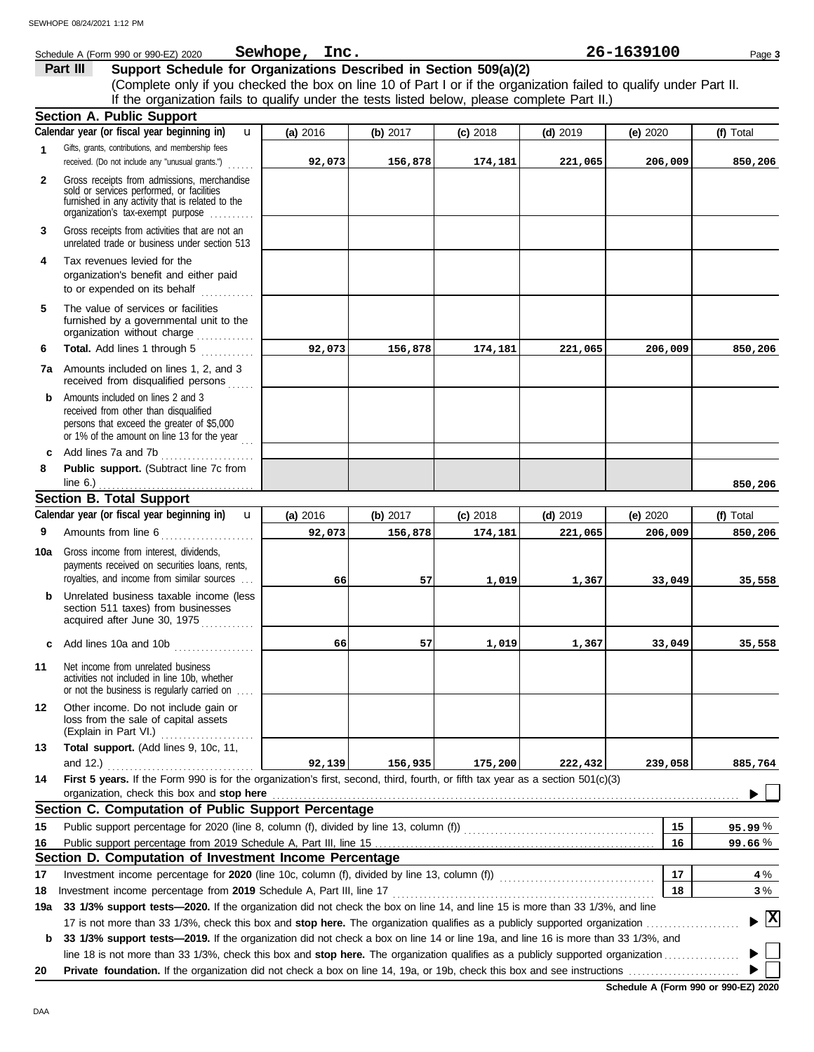|     | Schedule A (Form 990 or 990-EZ) 2020                                                                                                                                              | Sewhope, Inc. |            |            |            | 26-1639100 | Page 3    |
|-----|-----------------------------------------------------------------------------------------------------------------------------------------------------------------------------------|---------------|------------|------------|------------|------------|-----------|
|     | Support Schedule for Organizations Described in Section 509(a)(2)<br>Part III                                                                                                     |               |            |            |            |            |           |
|     | (Complete only if you checked the box on line 10 of Part I or if the organization failed to qualify under Part II.                                                                |               |            |            |            |            |           |
|     | If the organization fails to qualify under the tests listed below, please complete Part II.)                                                                                      |               |            |            |            |            |           |
|     | <b>Section A. Public Support</b>                                                                                                                                                  |               |            |            |            |            |           |
|     | Calendar year (or fiscal year beginning in)<br>u                                                                                                                                  | (a) 2016      | (b) $2017$ | $(c)$ 2018 | $(d)$ 2019 | (e) $2020$ | (f) Total |
| 1   | Gifts, grants, contributions, and membership fees<br>received. (Do not include any "unusual grants.")<br>.                                                                        | 92,073        | 156,878    | 174,181    | 221,065    | 206,009    | 850,206   |
| 2   | Gross receipts from admissions, merchandise<br>sold or services performed, or facilities<br>furnished in any activity that is related to the<br>organization's tax-exempt purpose |               |            |            |            |            |           |
| 3   | Gross receipts from activities that are not an<br>unrelated trade or business under section 513                                                                                   |               |            |            |            |            |           |
| 4   | Tax revenues levied for the<br>organization's benefit and either paid<br>to or expended on its behalf                                                                             |               |            |            |            |            |           |
| 5   | The value of services or facilities<br>furnished by a governmental unit to the<br>organization without charge                                                                     |               |            |            |            |            |           |
| 6   | Total. Add lines 1 through 5                                                                                                                                                      | 92,073        | 156,878    | 174,181    | 221,065    | 206,009    | 850,206   |
|     | <b>7a</b> Amounts included on lines 1, 2, and 3<br>received from disqualified persons                                                                                             |               |            |            |            |            |           |
| b   | Amounts included on lines 2 and 3<br>received from other than disqualified<br>persons that exceed the greater of \$5,000<br>or 1% of the amount on line 13 for the year           |               |            |            |            |            |           |
| c   | Add lines 7a and 7b                                                                                                                                                               |               |            |            |            |            |           |
| 8   | Public support. (Subtract line 7c from<br>line $6.$ )                                                                                                                             |               |            |            |            |            | 850,206   |
|     | <b>Section B. Total Support</b>                                                                                                                                                   |               |            |            |            |            |           |
|     | Calendar year (or fiscal year beginning in)<br>$\mathbf{u}$                                                                                                                       | (a) 2016      | (b) 2017   | $(c)$ 2018 | $(d)$ 2019 | (e) $2020$ | (f) Total |
| 9   | Amounts from line 6                                                                                                                                                               | 92,073        | 156,878    | 174,181    | 221,065    | 206,009    | 850,206   |
| 10a | Gross income from interest, dividends,<br>payments received on securities loans, rents,                                                                                           |               |            |            |            |            |           |
| b   | royalties, and income from similar sources<br>Unrelated business taxable income (less<br>section 511 taxes) from businesses<br>acquired after June 30, 1975                       | 66            | 57         | 1,019      | 1,367      | 33,049     | 35,558    |
| c   | Add lines 10a and 10b                                                                                                                                                             | 66            | 57         | 1,019      | 1,367      | 33,049     | 35,558    |
| 11  | Net income from unrelated business<br>activities not included in line 10b, whether<br>or not the business is regularly carried on                                                 |               |            |            |            |            |           |
| 12  | Other income. Do not include gain or<br>loss from the sale of capital assets<br>(Explain in Part VI.)                                                                             |               |            |            |            |            |           |
| 13  | Total support. (Add lines 9, 10c, 11,                                                                                                                                             |               |            |            |            |            |           |
|     | and 12.) $\ldots$                                                                                                                                                                 | 92,139        | 156,935    | 175,200    | 222,432    | 239,058    | 885,764   |
| 14  | First 5 years. If the Form 990 is for the organization's first, second, third, fourth, or fifth tax year as a section 501(c)(3)<br>organization, check this box and stop here     |               |            |            |            |            |           |
|     | Section C. Computation of Public Support Percentage                                                                                                                               |               |            |            |            |            |           |
| 15  |                                                                                                                                                                                   |               |            |            |            | 15         | 95.99%    |
| 16  |                                                                                                                                                                                   |               |            |            |            | 16         | 99.66%    |
|     | Section D. Computation of Investment Income Percentage                                                                                                                            |               |            |            |            |            |           |
| 17  | Investment income percentage for 2020 (line 10c, column (f), divided by line 13, column (f)) [[[[[[[[[[[[[[[[[                                                                    |               |            |            |            | 17         | 4 %       |
| 18  |                                                                                                                                                                                   |               |            |            |            | 18         | 3%        |
| 19a | 33 1/3% support tests-2020. If the organization did not check the box on line 14, and line 15 is more than 33 1/3%, and line                                                      |               |            |            |            |            |           |
|     |                                                                                                                                                                                   |               |            |            |            |            |           |
| b   | 33 1/3% support tests-2019. If the organization did not check a box on line 14 or line 19a, and line 16 is more than 33 1/3%, and                                                 |               |            |            |            |            |           |
|     | line 18 is not more than 33 1/3%, check this box and stop here. The organization qualifies as a publicly supported organization                                                   |               |            |            |            |            |           |
| 20  |                                                                                                                                                                                   |               |            |            |            |            |           |

**Schedule A (Form 990 or 990-EZ) 2020**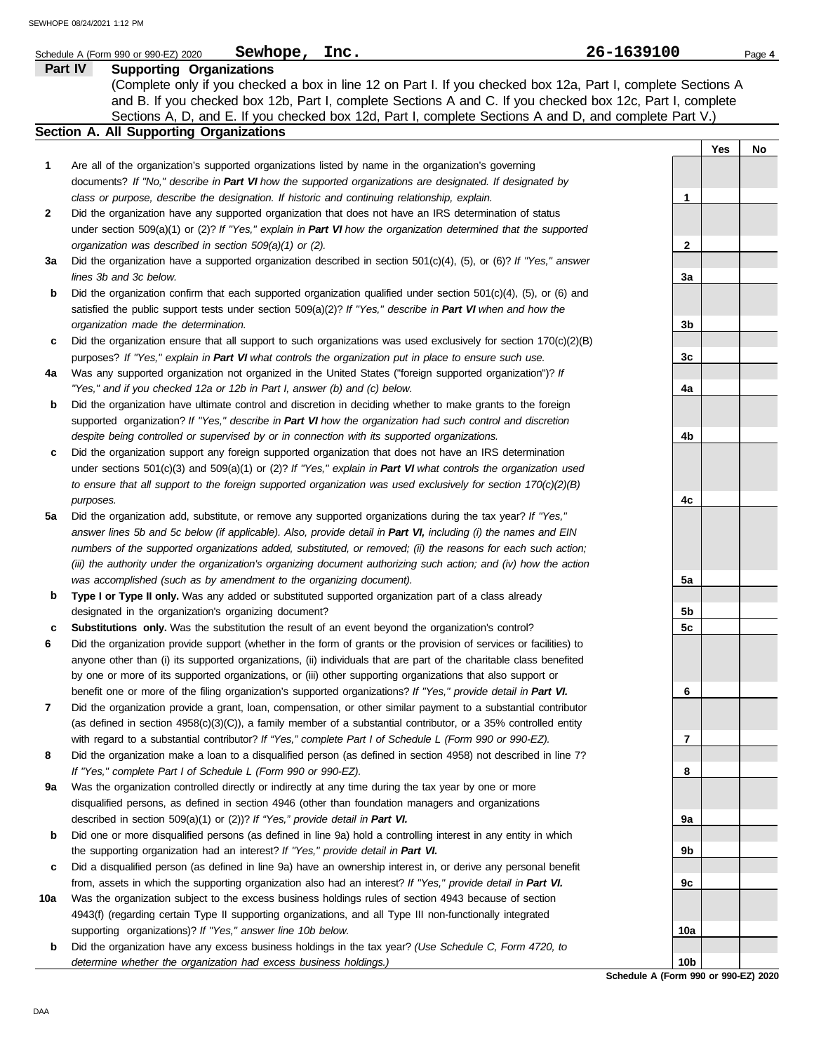|              | Sewhope, Inc.<br>Schedule A (Form 990 or 990-EZ) 2020                                                                     | 26-1639100 |     | Page 4 |
|--------------|---------------------------------------------------------------------------------------------------------------------------|------------|-----|--------|
|              | Part IV<br><b>Supporting Organizations</b>                                                                                |            |     |        |
|              | (Complete only if you checked a box in line 12 on Part I. If you checked box 12a, Part I, complete Sections A             |            |     |        |
|              | and B. If you checked box 12b, Part I, complete Sections A and C. If you checked box 12c, Part I, complete                |            |     |        |
|              | Sections A, D, and E. If you checked box 12d, Part I, complete Sections A and D, and complete Part V.)                    |            |     |        |
|              | Section A. All Supporting Organizations                                                                                   |            |     |        |
|              |                                                                                                                           |            | Yes | No     |
| 1            | Are all of the organization's supported organizations listed by name in the organization's governing                      |            |     |        |
|              | documents? If "No," describe in Part VI how the supported organizations are designated. If designated by                  |            |     |        |
|              | class or purpose, describe the designation. If historic and continuing relationship, explain.                             | 1          |     |        |
| $\mathbf{2}$ | Did the organization have any supported organization that does not have an IRS determination of status                    |            |     |        |
|              | under section 509(a)(1) or (2)? If "Yes," explain in Part VI how the organization determined that the supported           |            |     |        |
|              | organization was described in section $509(a)(1)$ or (2).                                                                 | 2          |     |        |
| 3a           | Did the organization have a supported organization described in section $501(c)(4)$ , $(5)$ , or $(6)$ ? If "Yes," answer |            |     |        |
|              | lines 3b and 3c below.                                                                                                    | За         |     |        |
| b            | Did the organization confirm that each supported organization qualified under section 501(c)(4), (5), or (6) and          |            |     |        |
|              | satisfied the public support tests under section 509(a)(2)? If "Yes," describe in Part VI when and how the                |            |     |        |
|              | organization made the determination.                                                                                      | 3b         |     |        |
| c            | Did the organization ensure that all support to such organizations was used exclusively for section $170(c)(2)(B)$        |            |     |        |
|              | purposes? If "Yes," explain in Part VI what controls the organization put in place to ensure such use.                    | 3c         |     |        |
| 4a           | Was any supported organization not organized in the United States ("foreign supported organization")? If                  |            |     |        |
|              | "Yes," and if you checked 12a or 12b in Part I, answer (b) and (c) below.                                                 | 4a         |     |        |
| b            | Did the organization have ultimate control and discretion in deciding whether to make grants to the foreign               |            |     |        |
|              | supported organization? If "Yes," describe in Part VI how the organization had such control and discretion                |            |     |        |
|              | despite being controlled or supervised by or in connection with its supported organizations.                              | 4b         |     |        |
| c            | Did the organization support any foreign supported organization that does not have an IRS determination                   |            |     |        |
|              | under sections $501(c)(3)$ and $509(a)(1)$ or (2)? If "Yes," explain in Part VI what controls the organization used       |            |     |        |
|              | to ensure that all support to the foreign supported organization was used exclusively for section $170(c)(2)(B)$          |            |     |        |
|              | purposes.                                                                                                                 | 4c         |     |        |
| 5a           | Did the organization add, substitute, or remove any supported organizations during the tax year? If "Yes,"                |            |     |        |
|              | answer lines 5b and 5c below (if applicable). Also, provide detail in Part VI, including (i) the names and EIN            |            |     |        |
|              | numbers of the supported organizations added, substituted, or removed; (ii) the reasons for each such action;             |            |     |        |
|              | (iii) the authority under the organization's organizing document authorizing such action; and (iv) how the action         |            |     |        |
|              | was accomplished (such as by amendment to the organizing document).                                                       | 5a         |     |        |
| b            | Type I or Type II only. Was any added or substituted supported organization part of a class already                       |            |     |        |
|              | designated in the organization's organizing document?                                                                     | 5b         |     |        |
| c            | <b>Substitutions only.</b> Was the substitution the result of an event beyond the organization's control?                 | 5c         |     |        |
| 6            | Did the organization provide support (whether in the form of grants or the provision of services or facilities) to        |            |     |        |
|              | anyone other than (i) its supported organizations, (ii) individuals that are part of the charitable class benefited       |            |     |        |
|              | by one or more of its supported organizations, or (iii) other supporting organizations that also support or               |            |     |        |
|              | benefit one or more of the filing organization's supported organizations? If "Yes," provide detail in Part VI.            | 6          |     |        |
| 7            | Did the organization provide a grant, loan, compensation, or other similar payment to a substantial contributor           |            |     |        |
|              | (as defined in section 4958(c)(3)(C)), a family member of a substantial contributor, or a 35% controlled entity           |            |     |        |
|              | with regard to a substantial contributor? If "Yes," complete Part I of Schedule L (Form 990 or 990-EZ).                   | 7          |     |        |
| 8            | Did the organization make a loan to a disqualified person (as defined in section 4958) not described in line 7?           |            |     |        |
|              | If "Yes," complete Part I of Schedule L (Form 990 or 990-EZ).                                                             | 8          |     |        |
| 9a           | Was the organization controlled directly or indirectly at any time during the tax year by one or more                     |            |     |        |
|              | disqualified persons, as defined in section 4946 (other than foundation managers and organizations                        |            |     |        |
|              | described in section 509(a)(1) or (2))? If "Yes," provide detail in Part VI.                                              | 9а         |     |        |
| b            | Did one or more disqualified persons (as defined in line 9a) hold a controlling interest in any entity in which           |            |     |        |
|              | the supporting organization had an interest? If "Yes," provide detail in Part VI.                                         | 9b         |     |        |
| c            | Did a disqualified person (as defined in line 9a) have an ownership interest in, or derive any personal benefit           |            |     |        |
|              | from, assets in which the supporting organization also had an interest? If "Yes," provide detail in Part VI.              | 9c         |     |        |
| 10a          | Was the organization subject to the excess business holdings rules of section 4943 because of section                     |            |     |        |
|              | 4943(f) (regarding certain Type II supporting organizations, and all Type III non-functionally integrated                 |            |     |        |
|              | supporting organizations)? If "Yes," answer line 10b below.                                                               | 10a        |     |        |
| b            | Did the organization have any excess business holdings in the tax year? (Use Schedule C, Form 4720, to                    |            |     |        |

**b** Did the organization have any excess business holdings in the tax year? *(Use Schedule C, Form 4720, to determine whether the organization had excess business holdings.)*

**Schedule A (Form 990 or 990-EZ) 2020 10b**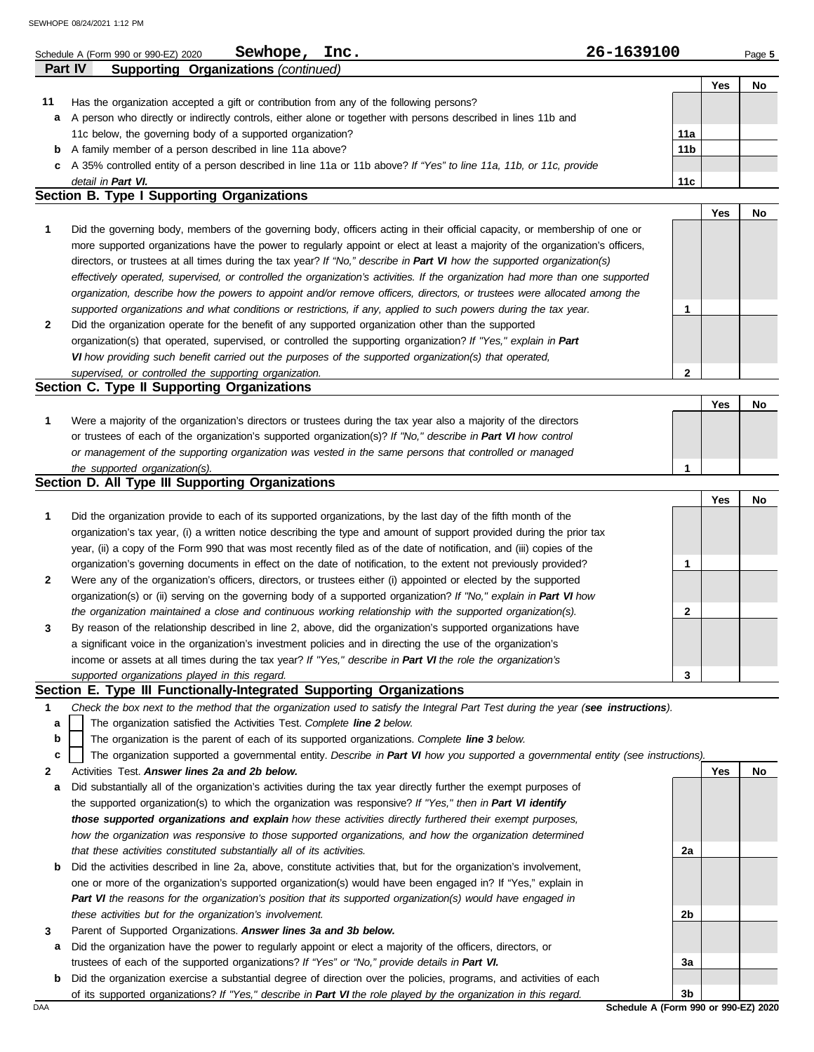|                                            | Sewhope,<br>Inc.<br>Schedule A (Form 990 or 990-EZ) 2020                                                                   | 26-1639100      |     | Page 5 |  |  |  |
|--------------------------------------------|----------------------------------------------------------------------------------------------------------------------------|-----------------|-----|--------|--|--|--|
|                                            | Part IV<br>Supporting Organizations (continued)                                                                            |                 |     |        |  |  |  |
|                                            |                                                                                                                            |                 | Yes | No     |  |  |  |
| 11                                         | Has the organization accepted a gift or contribution from any of the following persons?                                    |                 |     |        |  |  |  |
| a                                          | A person who directly or indirectly controls, either alone or together with persons described in lines 11b and             |                 |     |        |  |  |  |
|                                            | 11c below, the governing body of a supported organization?                                                                 | 11a             |     |        |  |  |  |
| b                                          | A family member of a person described in line 11a above?                                                                   | 11 <sub>b</sub> |     |        |  |  |  |
| c                                          | A 35% controlled entity of a person described in line 11a or 11b above? If "Yes" to line 11a, 11b, or 11c, provide         |                 |     |        |  |  |  |
|                                            | detail in Part VI.                                                                                                         | 11c             |     |        |  |  |  |
| Section B. Type I Supporting Organizations |                                                                                                                            |                 |     |        |  |  |  |
|                                            |                                                                                                                            |                 | Yes | No     |  |  |  |
|                                            | Did the governing body, members of the governing body, officers acting in their official capacity, or membership of one or |                 |     |        |  |  |  |

- **2** *supported organizations and what conditions or restrictions, if any, applied to such powers during the tax year. organization, describe how the powers to appoint and/or remove officers, directors, or trustees were allocated among the effectively operated, supervised, or controlled the organization's activities. If the organization had more than one supported* directors, or trustees at all times during the tax year? *If "No," describe in Part VI how the supported organization(s)* more supported organizations have the power to regularly appoint or elect at least a majority of the organization's officers, Did the organization operate for the benefit of any supported organization other than the supported **1**
- organization(s) that operated, supervised, or controlled the supporting organization? *If "Yes," explain in Part VI how providing such benefit carried out the purposes of the supported organization(s) that operated, supervised, or controlled the supporting organization.*

## **Section C. Type II Supporting Organizations**

Were a majority of the organization's directors or trustees during the tax year also a majority of the directors or trustees of each of the organization's supported organization(s)? *If "No," describe in Part VI how control* **1** *or management of the supporting organization was vested in the same persons that controlled or managed the supported organization(s).* **Yes No 1**

## **Section D. All Type III Supporting Organizations**

|                |                                                                                                                        |   | Yes | No |
|----------------|------------------------------------------------------------------------------------------------------------------------|---|-----|----|
| 1              | Did the organization provide to each of its supported organizations, by the last day of the fifth month of the         |   |     |    |
|                | organization's tax year, (i) a written notice describing the type and amount of support provided during the prior tax  |   |     |    |
|                | year, (ii) a copy of the Form 990 that was most recently filed as of the date of notification, and (iii) copies of the |   |     |    |
|                | organization's governing documents in effect on the date of notification, to the extent not previously provided?       |   |     |    |
| $\overline{2}$ | Were any of the organization's officers, directors, or trustees either (i) appointed or elected by the supported       |   |     |    |
|                | organization(s) or (ii) serving on the governing body of a supported organization? If "No," explain in Part VI how     |   |     |    |
|                | the organization maintained a close and continuous working relationship with the supported organization(s).            | っ |     |    |
| $\mathbf{3}$   | By reason of the relationship described in line 2, above, did the organization's supported organizations have          |   |     |    |
|                | a significant voice in the organization's investment policies and in directing the use of the organization's           |   |     |    |
|                | income or assets at all times during the tax year? If "Yes," describe in Part VI the role the organization's           |   |     |    |
|                | supported organizations played in this regard.                                                                         | ◠ |     |    |

## **Section E. Type III Functionally-Integrated Supporting Organizations**

- **1** *Check the box next to the method that the organization used to satisfy the Integral Part Test during the year (see instructions).*
	- The organization satisfied the Activities Test. *Complete line 2 below.* **a**
	- The organization is the parent of each of its supported organizations. *Complete line 3 below.* **b**
	- The organization supported a governmental entity. *Describe in Part VI how you supported a governmental entity (see instructions).* **c**
- **2** Activities Test. *Answer lines 2a and 2b below.*
- **a** Did substantially all of the organization's activities during the tax year directly further the exempt purposes of the supported organization(s) to which the organization was responsive? *If "Yes," then in Part VI identify those supported organizations and explain how these activities directly furthered their exempt purposes,*  how the organization was responsive to those supported organizations, and how the organization determined *that these activities constituted substantially all of its activities.*
- **b** Did the activities described in line 2a, above, constitute activities that, but for the organization's involvement, one or more of the organization's supported organization(s) would have been engaged in? If "Yes," explain in *Part VI the reasons for the organization's position that its supported organization(s) would have engaged in these activities but for the organization's involvement.*
- **3** Parent of Supported Organizations. *Answer lines 3a and 3b below.*
- **a** Did the organization have the power to regularly appoint or elect a majority of the officers, directors, or trustees of each of the supported organizations? *If "Yes" or "No," provide details in Part VI.*
- DAA **Schedule A (Form 990 or 990-EZ) 2020 b** Did the organization exercise a substantial degree of direction over the policies, programs, and activities of each of its supported organizations? *If "Yes," describe in Part VI the role played by the organization in this regard.*

**2a 2b 3a 3b**

**Yes No**

**2**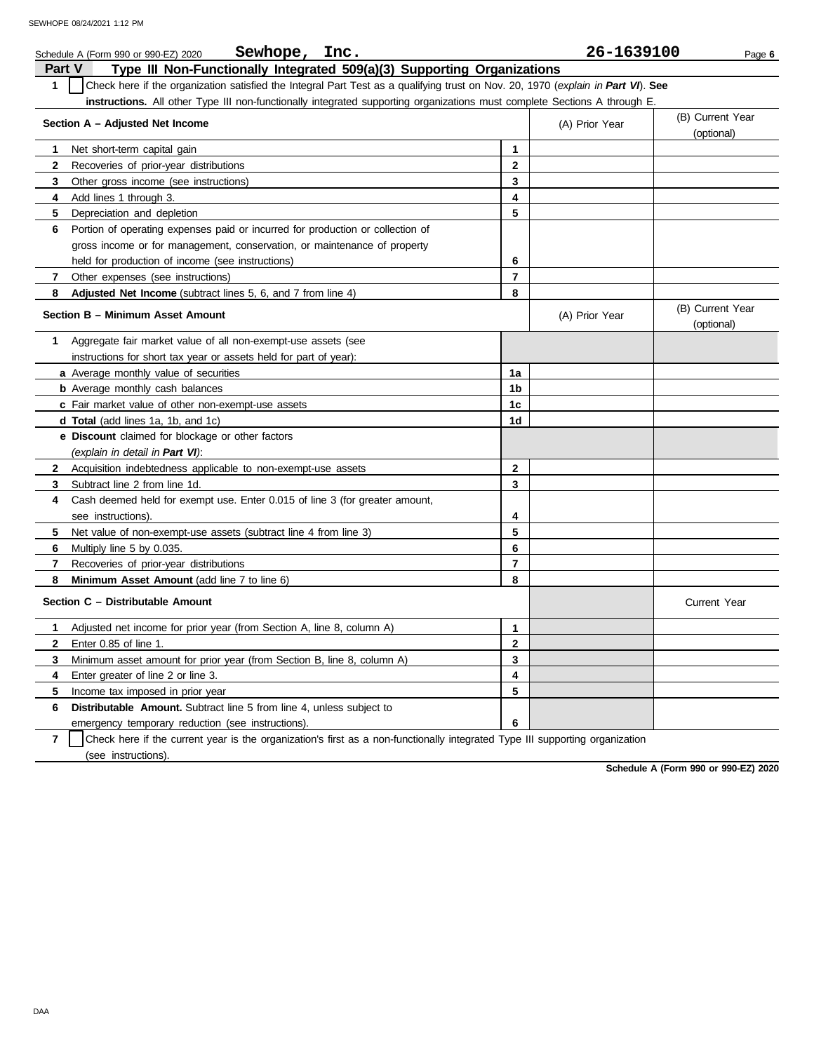|                | Sewhope, Inc.<br>Schedule A (Form 990 or 990-EZ) 2020                                                                            |                         | 26-1639100     | Page 6                         |
|----------------|----------------------------------------------------------------------------------------------------------------------------------|-------------------------|----------------|--------------------------------|
| <b>Part V</b>  | Type III Non-Functionally Integrated 509(a)(3) Supporting Organizations                                                          |                         |                |                                |
| 1              | Check here if the organization satisfied the Integral Part Test as a qualifying trust on Nov. 20, 1970 (explain in Part VI). See |                         |                |                                |
|                | instructions. All other Type III non-functionally integrated supporting organizations must complete Sections A through E.        |                         |                |                                |
|                | Section A - Adjusted Net Income                                                                                                  |                         | (A) Prior Year | (B) Current Year<br>(optional) |
| 1.             | Net short-term capital gain                                                                                                      | 1                       |                |                                |
| 2              | Recoveries of prior-year distributions                                                                                           | $\mathbf 2$             |                |                                |
| 3              | Other gross income (see instructions)                                                                                            | 3                       |                |                                |
| 4              | Add lines 1 through 3.                                                                                                           | 4                       |                |                                |
| 5              | Depreciation and depletion                                                                                                       | 5                       |                |                                |
| 6              | Portion of operating expenses paid or incurred for production or collection of                                                   |                         |                |                                |
|                | gross income or for management, conservation, or maintenance of property                                                         |                         |                |                                |
|                | held for production of income (see instructions)                                                                                 | 6                       |                |                                |
| 7              | Other expenses (see instructions)                                                                                                | $\overline{\mathbf{r}}$ |                |                                |
| 8              | Adjusted Net Income (subtract lines 5, 6, and 7 from line 4)                                                                     | 8                       |                |                                |
|                | Section B - Minimum Asset Amount                                                                                                 |                         | (A) Prior Year | (B) Current Year<br>(optional) |
| 1.             | Aggregate fair market value of all non-exempt-use assets (see                                                                    |                         |                |                                |
|                | instructions for short tax year or assets held for part of year):                                                                |                         |                |                                |
|                | a Average monthly value of securities                                                                                            | 1a                      |                |                                |
|                | <b>b</b> Average monthly cash balances                                                                                           | 1b                      |                |                                |
|                | c Fair market value of other non-exempt-use assets                                                                               | 1c                      |                |                                |
|                | <b>d Total</b> (add lines 1a, 1b, and 1c)                                                                                        | 1d                      |                |                                |
|                | e Discount claimed for blockage or other factors                                                                                 |                         |                |                                |
|                | (explain in detail in Part VI):                                                                                                  |                         |                |                                |
| $\mathbf{2}$   | Acquisition indebtedness applicable to non-exempt-use assets                                                                     | $\mathbf{2}$            |                |                                |
| 3              | Subtract line 2 from line 1d.                                                                                                    | 3                       |                |                                |
| 4              | Cash deemed held for exempt use. Enter 0.015 of line 3 (for greater amount,                                                      |                         |                |                                |
|                | see instructions).                                                                                                               | 4                       |                |                                |
| 5              | Net value of non-exempt-use assets (subtract line 4 from line 3)                                                                 | 5                       |                |                                |
| 6              | Multiply line 5 by 0.035.                                                                                                        | 6                       |                |                                |
| 7              | Recoveries of prior-year distributions                                                                                           | $\overline{\mathbf{r}}$ |                |                                |
| 8              | Minimum Asset Amount (add line 7 to line 6)                                                                                      | 8                       |                |                                |
|                | Section C - Distributable Amount                                                                                                 |                         |                | <b>Current Year</b>            |
| 1              | Adjusted net income for prior year (from Section A, line 8, column A)                                                            | 1                       |                |                                |
| 2              | Enter 0.85 of line 1.                                                                                                            | 2                       |                |                                |
| 3              | Minimum asset amount for prior year (from Section B, line 8, column A)                                                           | 3                       |                |                                |
| 4              | Enter greater of line 2 or line 3.                                                                                               | 4                       |                |                                |
| 5              | Income tax imposed in prior year                                                                                                 | 5                       |                |                                |
| 6              | Distributable Amount. Subtract line 5 from line 4, unless subject to                                                             |                         |                |                                |
|                | emergency temporary reduction (see instructions).                                                                                | 6                       |                |                                |
| $\overline{7}$ | Check here if the current year is the organization's first as a non-functionally integrated Type III supporting organization     |                         |                |                                |

(see instructions).

**Schedule A (Form 990 or 990-EZ) 2020**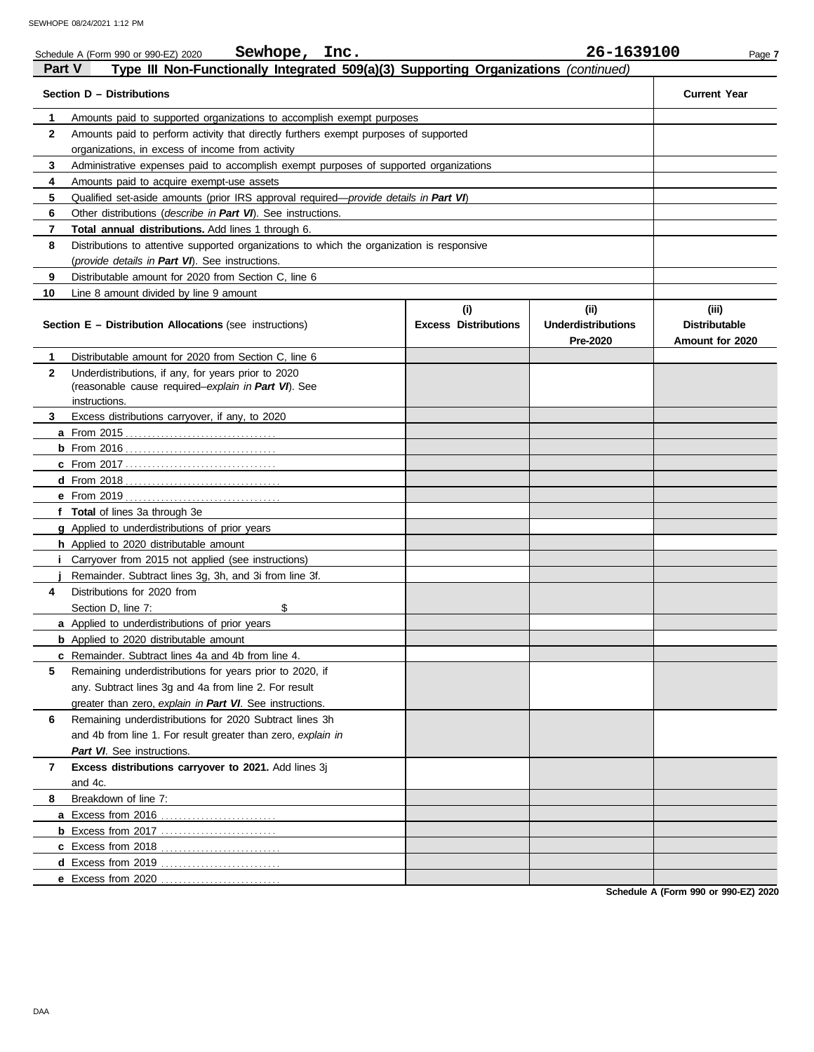|                   | Sewhope, Inc.<br>Schedule A (Form 990 or 990-EZ) 2020                                                       |                             | 26-1639100                | Page 7               |
|-------------------|-------------------------------------------------------------------------------------------------------------|-----------------------------|---------------------------|----------------------|
| <b>Part V</b>     | Type III Non-Functionally Integrated 509(a)(3) Supporting Organizations (continued)                         |                             |                           |                      |
|                   | Section D - Distributions                                                                                   |                             |                           | <b>Current Year</b>  |
| 1                 | Amounts paid to supported organizations to accomplish exempt purposes                                       |                             |                           |                      |
| $\mathbf{2}$      | Amounts paid to perform activity that directly furthers exempt purposes of supported                        |                             |                           |                      |
|                   | organizations, in excess of income from activity                                                            |                             |                           |                      |
| 3                 | Administrative expenses paid to accomplish exempt purposes of supported organizations                       |                             |                           |                      |
| 4                 | Amounts paid to acquire exempt-use assets                                                                   |                             |                           |                      |
| 5                 | Qualified set-aside amounts (prior IRS approval required— <i>provide details in Part VI</i> )               |                             |                           |                      |
| 6                 | Other distributions (describe in Part VI). See instructions.                                                |                             |                           |                      |
| 7                 | Total annual distributions. Add lines 1 through 6.                                                          |                             |                           |                      |
| 8                 | Distributions to attentive supported organizations to which the organization is responsive                  |                             |                           |                      |
|                   | (provide details in Part VI). See instructions.                                                             |                             |                           |                      |
| 9                 | Distributable amount for 2020 from Section C, line 6                                                        |                             |                           |                      |
| 10                | Line 8 amount divided by line 9 amount                                                                      |                             |                           |                      |
|                   |                                                                                                             | (i)                         | (ii)                      | (iii)                |
|                   | <b>Section E - Distribution Allocations (see instructions)</b>                                              | <b>Excess Distributions</b> | <b>Underdistributions</b> | <b>Distributable</b> |
|                   |                                                                                                             |                             | Pre-2020                  | Amount for 2020      |
| 1<br>$\mathbf{2}$ | Distributable amount for 2020 from Section C, line 6<br>Underdistributions, if any, for years prior to 2020 |                             |                           |                      |
|                   | (reasonable cause required-explain in Part VI). See                                                         |                             |                           |                      |
|                   | instructions.                                                                                               |                             |                           |                      |
| 3                 | Excess distributions carryover, if any, to 2020                                                             |                             |                           |                      |
|                   |                                                                                                             |                             |                           |                      |
|                   |                                                                                                             |                             |                           |                      |
|                   |                                                                                                             |                             |                           |                      |
|                   |                                                                                                             |                             |                           |                      |
|                   |                                                                                                             |                             |                           |                      |
|                   | f Total of lines 3a through 3e                                                                              |                             |                           |                      |
|                   | g Applied to underdistributions of prior years                                                              |                             |                           |                      |
|                   | h Applied to 2020 distributable amount                                                                      |                             |                           |                      |
|                   | i Carryover from 2015 not applied (see instructions)                                                        |                             |                           |                      |
|                   | Remainder. Subtract lines 3g, 3h, and 3i from line 3f.                                                      |                             |                           |                      |
| 4                 | Distributions for 2020 from                                                                                 |                             |                           |                      |
|                   | \$<br>Section D, line 7:                                                                                    |                             |                           |                      |
|                   | a Applied to underdistributions of prior years                                                              |                             |                           |                      |
|                   | <b>b</b> Applied to 2020 distributable amount                                                               |                             |                           |                      |
|                   | <b>c</b> Remainder. Subtract lines 4a and 4b from line 4.                                                   |                             |                           |                      |
| 5                 | Remaining underdistributions for years prior to 2020, if                                                    |                             |                           |                      |
|                   | any. Subtract lines 3g and 4a from line 2. For result                                                       |                             |                           |                      |
|                   | greater than zero, explain in Part VI. See instructions.                                                    |                             |                           |                      |
| 6                 | Remaining underdistributions for 2020 Subtract lines 3h                                                     |                             |                           |                      |
|                   | and 4b from line 1. For result greater than zero, explain in                                                |                             |                           |                      |
|                   | Part VI. See instructions.                                                                                  |                             |                           |                      |
| 7                 | Excess distributions carryover to 2021. Add lines 3j                                                        |                             |                           |                      |
|                   | and 4c.                                                                                                     |                             |                           |                      |
| 8                 | Breakdown of line 7:                                                                                        |                             |                           |                      |
|                   |                                                                                                             |                             |                           |                      |
|                   |                                                                                                             |                             |                           |                      |
|                   |                                                                                                             |                             |                           |                      |
|                   |                                                                                                             |                             |                           |                      |
|                   | e Excess from 2020                                                                                          |                             |                           |                      |

**Schedule A (Form 990 or 990-EZ) 2020**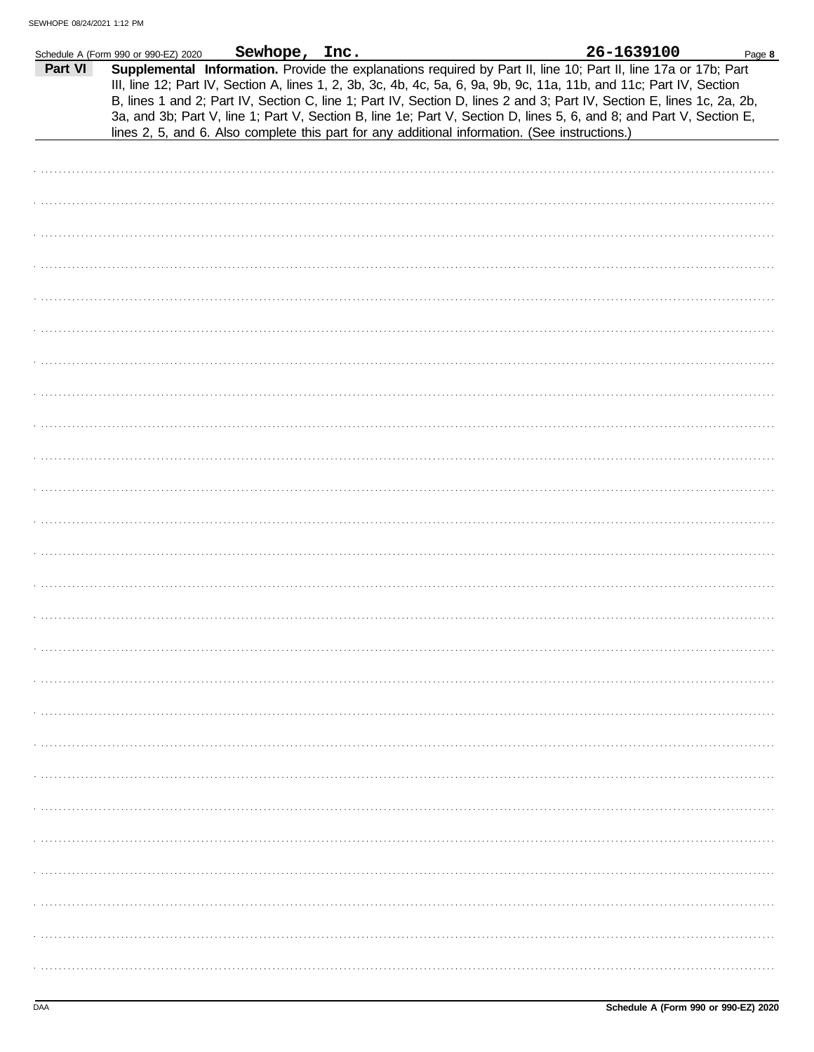|         | Schedule A (Form 990 or 990-EZ) 2020 | Sewhope, Inc. |                                                                                                                                                                                                                                                                                                                                                                                                                                                                                                                                                                                             | 26-1639100 | Page 8 |
|---------|--------------------------------------|---------------|---------------------------------------------------------------------------------------------------------------------------------------------------------------------------------------------------------------------------------------------------------------------------------------------------------------------------------------------------------------------------------------------------------------------------------------------------------------------------------------------------------------------------------------------------------------------------------------------|------------|--------|
| Part VI |                                      |               | Supplemental Information. Provide the explanations required by Part II, line 10; Part II, line 17a or 17b; Part<br>III, line 12; Part IV, Section A, lines 1, 2, 3b, 3c, 4b, 4c, 5a, 6, 9a, 9b, 9c, 11a, 11b, and 11c; Part IV, Section<br>B, lines 1 and 2; Part IV, Section C, line 1; Part IV, Section D, lines 2 and 3; Part IV, Section E, lines 1c, 2a, 2b,<br>3a, and 3b; Part V, line 1; Part V, Section B, line 1e; Part V, Section D, lines 5, 6, and 8; and Part V, Section E,<br>lines 2, 5, and 6. Also complete this part for any additional information. (See instructions.) |            |        |
|         |                                      |               |                                                                                                                                                                                                                                                                                                                                                                                                                                                                                                                                                                                             |            |        |
|         |                                      |               |                                                                                                                                                                                                                                                                                                                                                                                                                                                                                                                                                                                             |            |        |
|         |                                      |               |                                                                                                                                                                                                                                                                                                                                                                                                                                                                                                                                                                                             |            |        |
|         |                                      |               |                                                                                                                                                                                                                                                                                                                                                                                                                                                                                                                                                                                             |            |        |
|         |                                      |               |                                                                                                                                                                                                                                                                                                                                                                                                                                                                                                                                                                                             |            |        |
|         |                                      |               |                                                                                                                                                                                                                                                                                                                                                                                                                                                                                                                                                                                             |            |        |
|         |                                      |               |                                                                                                                                                                                                                                                                                                                                                                                                                                                                                                                                                                                             |            |        |
|         |                                      |               |                                                                                                                                                                                                                                                                                                                                                                                                                                                                                                                                                                                             |            |        |
|         |                                      |               |                                                                                                                                                                                                                                                                                                                                                                                                                                                                                                                                                                                             |            |        |
|         |                                      |               |                                                                                                                                                                                                                                                                                                                                                                                                                                                                                                                                                                                             |            |        |
|         |                                      |               |                                                                                                                                                                                                                                                                                                                                                                                                                                                                                                                                                                                             |            |        |
|         |                                      |               |                                                                                                                                                                                                                                                                                                                                                                                                                                                                                                                                                                                             |            |        |
|         |                                      |               |                                                                                                                                                                                                                                                                                                                                                                                                                                                                                                                                                                                             |            |        |
|         |                                      |               |                                                                                                                                                                                                                                                                                                                                                                                                                                                                                                                                                                                             |            |        |
|         |                                      |               |                                                                                                                                                                                                                                                                                                                                                                                                                                                                                                                                                                                             |            |        |
|         |                                      |               |                                                                                                                                                                                                                                                                                                                                                                                                                                                                                                                                                                                             |            |        |
|         |                                      |               |                                                                                                                                                                                                                                                                                                                                                                                                                                                                                                                                                                                             |            |        |
|         |                                      |               |                                                                                                                                                                                                                                                                                                                                                                                                                                                                                                                                                                                             |            |        |
|         |                                      |               |                                                                                                                                                                                                                                                                                                                                                                                                                                                                                                                                                                                             |            |        |
|         |                                      |               |                                                                                                                                                                                                                                                                                                                                                                                                                                                                                                                                                                                             |            |        |
|         |                                      |               |                                                                                                                                                                                                                                                                                                                                                                                                                                                                                                                                                                                             |            |        |
|         |                                      |               |                                                                                                                                                                                                                                                                                                                                                                                                                                                                                                                                                                                             |            |        |
|         |                                      |               |                                                                                                                                                                                                                                                                                                                                                                                                                                                                                                                                                                                             |            |        |
|         |                                      |               |                                                                                                                                                                                                                                                                                                                                                                                                                                                                                                                                                                                             |            |        |
|         |                                      |               |                                                                                                                                                                                                                                                                                                                                                                                                                                                                                                                                                                                             |            |        |
|         |                                      |               |                                                                                                                                                                                                                                                                                                                                                                                                                                                                                                                                                                                             |            |        |
|         |                                      |               |                                                                                                                                                                                                                                                                                                                                                                                                                                                                                                                                                                                             |            |        |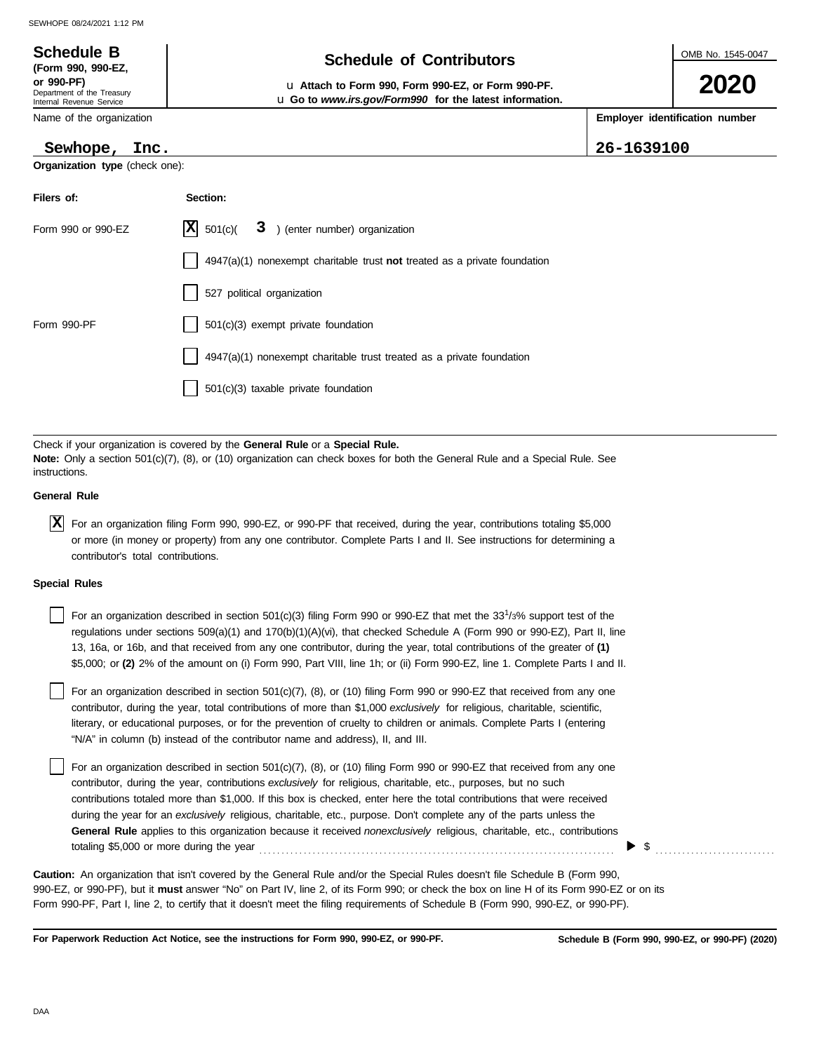| <b>Schedule B</b><br>(Form 990, 990-EZ,                              | <b>Schedule of Contributors</b>                                                                                      | OMB No. 1545-0047 |                                |  |
|----------------------------------------------------------------------|----------------------------------------------------------------------------------------------------------------------|-------------------|--------------------------------|--|
| or 990-PF)<br>Department of the Treasury<br>Internal Revenue Service | u Attach to Form 990, Form 990-EZ, or Form 990-PF.<br><b>u</b> Go to www.irs.gov/Form990 for the latest information. |                   | 2020                           |  |
| Name of the organization                                             |                                                                                                                      |                   | Employer identification number |  |
| Sewhope,<br>Inc.                                                     |                                                                                                                      | 26-1639100        |                                |  |
| <b>Organization type (check one):</b>                                |                                                                                                                      |                   |                                |  |
| Filers of:                                                           | Section:                                                                                                             |                   |                                |  |
| Form 990 or 990-EZ                                                   | X<br>3<br>) (enter number) organization<br>501(c)(                                                                   |                   |                                |  |
|                                                                      | $4947(a)(1)$ nonexempt charitable trust not treated as a private foundation                                          |                   |                                |  |
|                                                                      | 527 political organization                                                                                           |                   |                                |  |
| Form 990-PF                                                          | 501(c)(3) exempt private foundation                                                                                  |                   |                                |  |

4947(a)(1) nonexempt charitable trust treated as a private foundation

501(c)(3) taxable private foundation

Check if your organization is covered by the **General Rule** or a **Special Rule. Note:** Only a section 501(c)(7), (8), or (10) organization can check boxes for both the General Rule and a Special Rule. See instructions.

#### **General Rule**

For an organization filing Form 990, 990-EZ, or 990-PF that received, during the year, contributions totaling \$5,000 **X** or more (in money or property) from any one contributor. Complete Parts I and II. See instructions for determining a contributor's total contributions.

#### **Special Rules**

For an organization described in section 501(c)(3) filing Form 990 or 990-EZ that met the 33<sup>1</sup>/3% support test of the regulations under sections 509(a)(1) and 170(b)(1)(A)(vi), that checked Schedule A (Form 990 or 990-EZ), Part II, line 13, 16a, or 16b, and that received from any one contributor, during the year, total contributions of the greater of **(1)** \$5,000; or **(2)** 2% of the amount on (i) Form 990, Part VIII, line 1h; or (ii) Form 990-EZ, line 1. Complete Parts I and II.

literary, or educational purposes, or for the prevention of cruelty to children or animals. Complete Parts I (entering For an organization described in section 501(c)(7), (8), or (10) filing Form 990 or 990-EZ that received from any one contributor, during the year, total contributions of more than \$1,000 *exclusively* for religious, charitable, scientific, "N/A" in column (b) instead of the contributor name and address), II, and III.

For an organization described in section 501(c)(7), (8), or (10) filing Form 990 or 990-EZ that received from any one contributor, during the year, contributions *exclusively* for religious, charitable, etc., purposes, but no such contributions totaled more than \$1,000. If this box is checked, enter here the total contributions that were received during the year for an *exclusively* religious, charitable, etc., purpose. Don't complete any of the parts unless the **General Rule** applies to this organization because it received *nonexclusively* religious, charitable, etc., contributions totaling \$5,000 or more during the year . . . . . . . . . . . . . . . . . . . . . . . . . . . . . . . . . . . . . . . . . . . . . . . . . . . . . . . . . . . . . . . . . . . . . . . . . . . . . . . .

990-EZ, or 990-PF), but it **must** answer "No" on Part IV, line 2, of its Form 990; or check the box on line H of its Form 990-EZ or on its Form 990-PF, Part I, line 2, to certify that it doesn't meet the filing requirements of Schedule B (Form 990, 990-EZ, or 990-PF). **Caution:** An organization that isn't covered by the General Rule and/or the Special Rules doesn't file Schedule B (Form 990,

**For Paperwork Reduction Act Notice, see the instructions for Form 990, 990-EZ, or 990-PF.**

 $\blacktriangleright$  \$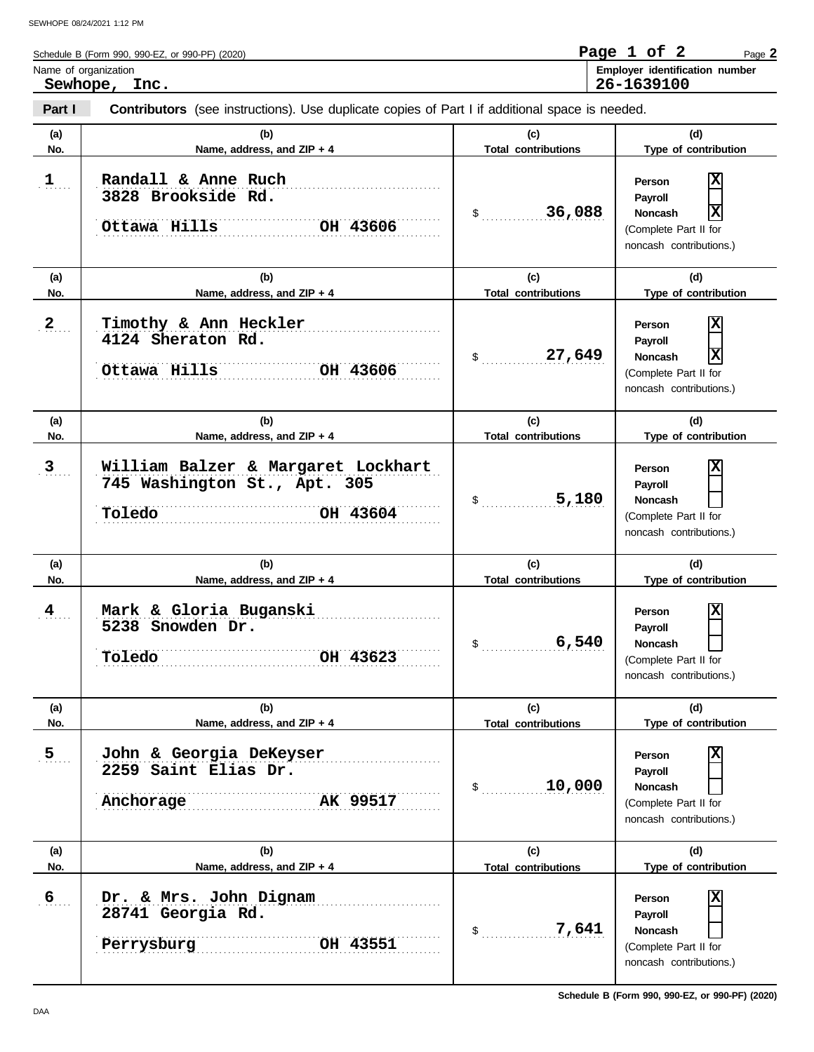| Schedule B (Form 990, 990-EZ, or 990-PF) (2020) | Page 1 of .    |  | Page 2                         |
|-------------------------------------------------|----------------|--|--------------------------------|
| Name of organization                            |                |  | Employer identification number |
| Sewhope,<br>Inc.                                | $26 - 1639100$ |  |                                |

| Part I               | <b>Contributors</b> (see instructions). Use duplicate copies of Part I if additional space is needed. |                                   |                                                                                                                            |
|----------------------|-------------------------------------------------------------------------------------------------------|-----------------------------------|----------------------------------------------------------------------------------------------------------------------------|
| (a)<br>No.           | (b)<br>Name, address, and ZIP + 4                                                                     | (c)<br><b>Total contributions</b> | (d)<br>Type of contribution                                                                                                |
| 1                    | Randall & Anne Ruch<br>3828 Brookside Rd.<br>Ottawa Hills<br>OH 43606                                 | 36,088<br>\$                      | X<br>Person<br>Payroll<br>X<br>Noncash<br>(Complete Part II for<br>noncash contributions.)                                 |
| (a)                  | (b)                                                                                                   | (c)<br><b>Total contributions</b> | (d)                                                                                                                        |
| No.<br>$\mathbf{2}$  | Name, address, and ZIP + 4<br>Timothy & Ann Heckler<br>4124 Sheraton Rd.<br>Ottawa Hills<br>OH 43606  | 27,649<br>\$                      | Type of contribution<br> X<br>Person<br>Payroll<br>X<br><b>Noncash</b><br>(Complete Part II for<br>noncash contributions.) |
| (a)<br>No.           | (b)<br>Name, address, and ZIP + 4                                                                     | (c)<br><b>Total contributions</b> | (d)<br>Type of contribution                                                                                                |
| $\mathbf{3}_{\cdot}$ | William Balzer & Margaret Lockhart<br>745 Washington St., Apt. 305<br>Toledo<br>OH 43604              | 5,180<br>\$                       | X<br>Person<br>Payroll<br><b>Noncash</b><br>(Complete Part II for<br>noncash contributions.)                               |
| (a)<br>No.           | (b)<br>Name, address, and ZIP + 4                                                                     | (c)<br><b>Total contributions</b> | (d)<br>Type of contribution                                                                                                |
| $\frac{4}{1}$        | Mark & Gloria Buganski<br>5238 Snowden Dr.<br>Toledo<br>OH 43623                                      | 6,540<br>\$                       | X<br>Person<br>Payroll<br><b>Noncash</b><br>(Complete Part II for<br>noncash contributions.)                               |
| (a)<br>No.           | (b)<br>Name, address, and ZIP + 4                                                                     | (c)<br><b>Total contributions</b> | (d)<br>Type of contribution                                                                                                |
| 5 <sub>1</sub>       | John & Georgia DeKeyser<br>2259 Saint Elias Dr.<br>AK 99517<br>Anchorage                              | 10,000<br>$\frac{1}{2}$           | x<br>Person<br>Payroll<br><b>Noncash</b><br>(Complete Part II for<br>noncash contributions.)                               |
| (a)<br>No.           | (b)<br>Name, address, and ZIP + 4                                                                     | (c)<br><b>Total contributions</b> | (d)<br>Type of contribution                                                                                                |
| 6                    | Dr. & Mrs. John Dignam<br>28741 Georgia Rd.<br>Perrysburg<br>OH 43551                                 | 7,641<br>$\sim$                   | x<br>Person<br>Payroll<br>Noncash<br>(Complete Part II for<br>noncash contributions.)                                      |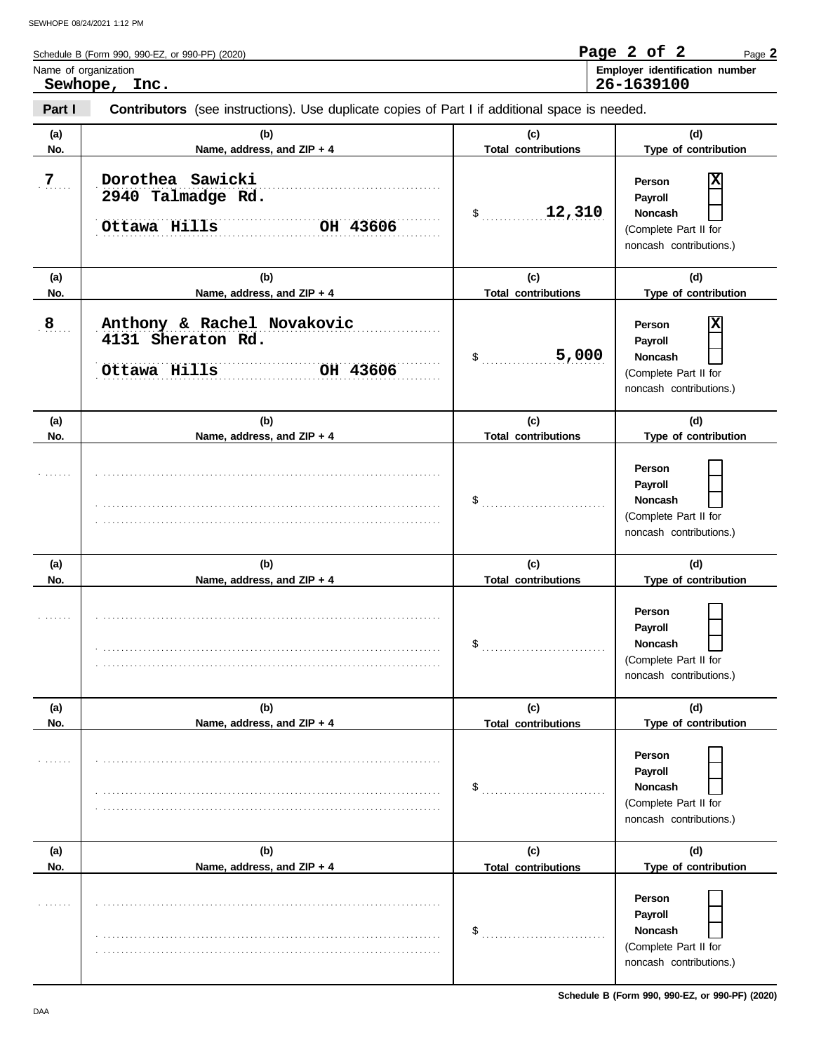|                                       | Schedule B (Form 990, 990-EZ, or 990-PF) (2020)                                                       |     | Page 2 of 2                                  | Page 2 |  |  |  |
|---------------------------------------|-------------------------------------------------------------------------------------------------------|-----|----------------------------------------------|--------|--|--|--|
| Name of organization<br>Sewhope, Inc. |                                                                                                       |     | Employer identification number<br>26-1639100 |        |  |  |  |
| Part I                                | <b>Contributors</b> (see instructions). Use duplicate copies of Part I if additional space is needed. |     |                                              |        |  |  |  |
| (a)                                   | (b)                                                                                                   | (c) | (d)                                          |        |  |  |  |

| No.              | Name, address, and ZIP + 4                                                  | <b>Total contributions</b>        | Type of contribution                                                                                            |  |
|------------------|-----------------------------------------------------------------------------|-----------------------------------|-----------------------------------------------------------------------------------------------------------------|--|
| $\overline{Z}$ . | Dorothea Sawicki<br>2940 Talmadge Rd.<br>Ottawa Hills<br>OH 43606           | 12,310<br>$\frac{1}{2}$           | х<br>Person<br>Payroll<br>Noncash<br>(Complete Part II for<br>noncash contributions.)                           |  |
| (a)<br>No.       | (b)<br>Name, address, and ZIP + 4                                           | (c)<br><b>Total contributions</b> | (d)<br>Type of contribution                                                                                     |  |
| 8 <sub>1</sub>   | Anthony & Rachel Novakovic<br>4131 Sheraton Rd.<br>Ottawa Hills<br>OH 43606 | 5,000<br>\$                       | х<br>Person<br>Payroll<br>Noncash<br>(Complete Part II for<br>noncash contributions.)                           |  |
| (a)              | (b)                                                                         | (c)                               | (d)                                                                                                             |  |
| No.              | Name, address, and ZIP + 4                                                  | <b>Total contributions</b>        | Type of contribution<br>Person<br>Payroll<br>Noncash                                                            |  |
|                  |                                                                             | $\$\$                             | (Complete Part II for<br>noncash contributions.)                                                                |  |
| (a)<br>No.       | (b)<br>Name, address, and ZIP + 4                                           | (c)<br><b>Total contributions</b> | (d)<br>Type of contribution                                                                                     |  |
|                  |                                                                             | \$                                | Person<br>Payroll<br>Noncash<br>(Complete Part II for<br>noncash contributions.)                                |  |
| (a)              | (b)                                                                         | (c)                               | (d)                                                                                                             |  |
| No.              | Name, address, and ZIP + 4                                                  | <b>Total contributions</b><br>\$  | Type of contribution<br>Person<br>Payroll<br>Noncash<br>(Complete Part II for<br>noncash contributions.)        |  |
| (a)              | (b)                                                                         | (c)                               | (d)                                                                                                             |  |
| No.              | Name, address, and ZIP + 4                                                  | <b>Total contributions</b><br>\$  | Type of contribution<br>Person<br>Payroll<br><b>Noncash</b><br>(Complete Part II for<br>noncash contributions.) |  |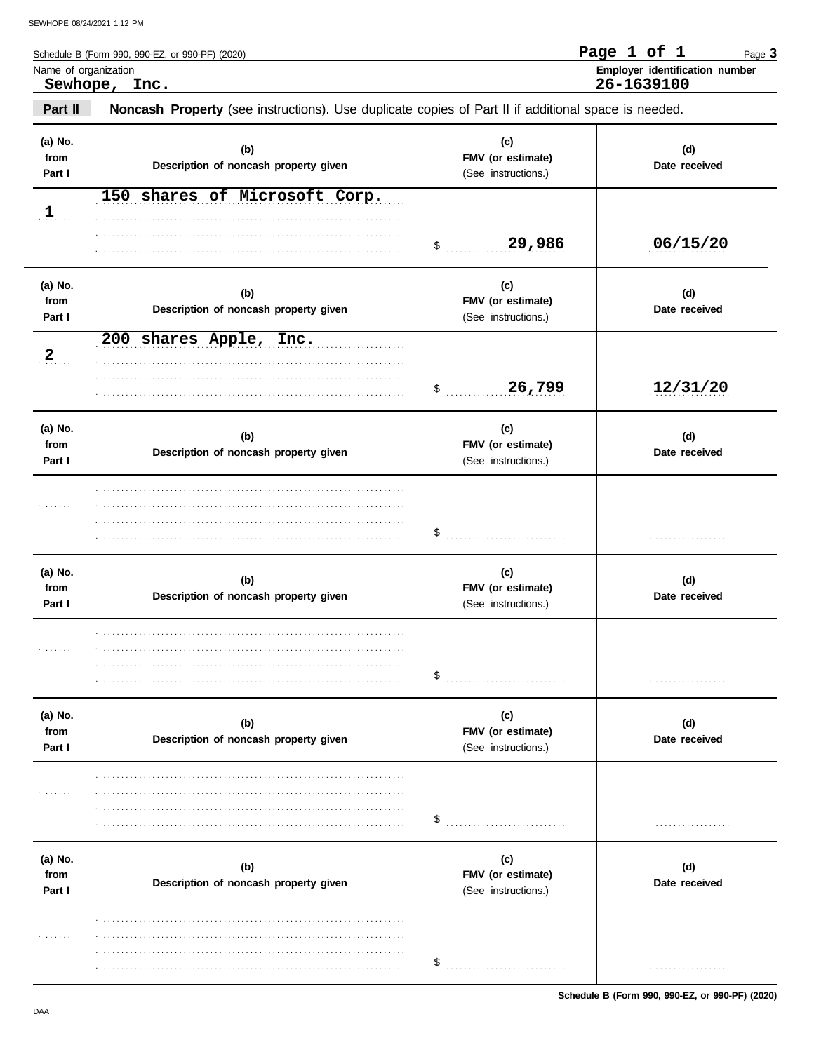$\overline{a}$ 

| Schedule B (Form 990, 990-EZ, or 990-PF) (2020)                                                                | Page 1 of 1 |  | Page 3                         |
|----------------------------------------------------------------------------------------------------------------|-------------|--|--------------------------------|
| Name of organization<br>Sewhope, Inc.                                                                          | 26-1639100  |  | Employer identification number |
| Part II<br>Noncash Property (see instructions). Use duplicate copies of Part II if additional space is needed. |             |  |                                |

| (a) No.<br>from<br>Part I | (b)<br>Description of noncash property given | (c)<br>FMV (or estimate)<br>(See instructions.) | (d)<br>Date received |
|---------------------------|----------------------------------------------|-------------------------------------------------|----------------------|
| $\mathbf{1}$              | 150 shares of Microsoft Corp.                | 29,986<br>$\mathsf{\$}$                         | 06/15/20             |
| (a) No.<br>from<br>Part I | (b)<br>Description of noncash property given | (c)<br>FMV (or estimate)<br>(See instructions.) | (d)<br>Date received |
| 2                         | 200 shares Apple, Inc.                       | 26,799<br>$\updownarrow$                        | 12/31/20             |
| (a) No.<br>from<br>Part I | (b)<br>Description of noncash property given | (c)<br>FMV (or estimate)<br>(See instructions.) | (d)<br>Date received |
| .                         |                                              | \$                                              | .                    |
| (a) No.<br>from<br>Part I | (b)<br>Description of noncash property given | (c)<br>FMV (or estimate)<br>(See instructions.) | (d)<br>Date received |
| .                         |                                              | \$                                              | .                    |
| (a) No.<br>from<br>Part I | (b)<br>Description of noncash property given | (c)<br>FMV (or estimate)<br>(See instructions.) | (d)<br>Date received |
| .                         |                                              | \$                                              | .                    |
| (a) No.<br>from<br>Part I | (b)<br>Description of noncash property given | (c)<br>FMV (or estimate)<br>(See instructions.) | (d)<br>Date received |
| .                         |                                              | \$                                              | .                    |

Schedule B (Form 990, 990-EZ, or 990-PF) (2020)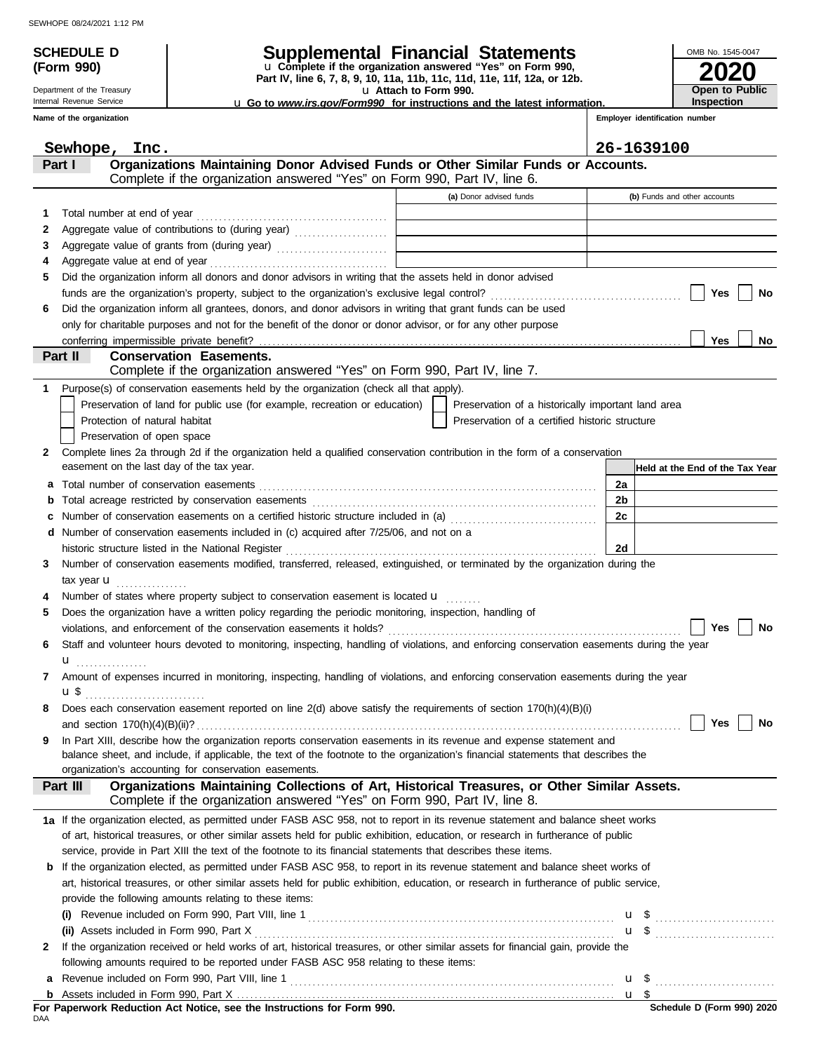|            | <b>SCHEDULE D</b>                         |                                                                                                                                                                                                                                       | Supplemental Financial Statements                                                                    |                                | OMB No. 1545-0047               |  |
|------------|-------------------------------------------|---------------------------------------------------------------------------------------------------------------------------------------------------------------------------------------------------------------------------------------|------------------------------------------------------------------------------------------------------|--------------------------------|---------------------------------|--|
| (Form 990) |                                           |                                                                                                                                                                                                                                       | u Complete if the organization answered "Yes" on Form 990,                                           |                                |                                 |  |
|            | Department of the Treasury                |                                                                                                                                                                                                                                       | Part IV, line 6, 7, 8, 9, 10, 11a, 11b, 11c, 11d, 11e, 11f, 12a, or 12b.<br>La Attach to Form 990.   | Open to Public                 |                                 |  |
|            | Internal Revenue Service                  |                                                                                                                                                                                                                                       | <b>u</b> Go to www.irs.gov/Form990 for instructions and the latest information.                      |                                | <b>Inspection</b>               |  |
|            | Name of the organization                  |                                                                                                                                                                                                                                       |                                                                                                      | Employer identification number |                                 |  |
|            | Sewhope, Inc.                             |                                                                                                                                                                                                                                       |                                                                                                      | 26-1639100                     |                                 |  |
|            | Part I                                    | Organizations Maintaining Donor Advised Funds or Other Similar Funds or Accounts.                                                                                                                                                     |                                                                                                      |                                |                                 |  |
|            |                                           | Complete if the organization answered "Yes" on Form 990, Part IV, line 6.                                                                                                                                                             |                                                                                                      |                                |                                 |  |
|            |                                           |                                                                                                                                                                                                                                       | (a) Donor advised funds                                                                              |                                | (b) Funds and other accounts    |  |
| 1          |                                           |                                                                                                                                                                                                                                       |                                                                                                      |                                |                                 |  |
| 2          |                                           |                                                                                                                                                                                                                                       |                                                                                                      |                                |                                 |  |
| 3          |                                           |                                                                                                                                                                                                                                       |                                                                                                      |                                |                                 |  |
| 4<br>5     |                                           | Did the organization inform all donors and donor advisors in writing that the assets held in donor advised                                                                                                                            |                                                                                                      |                                |                                 |  |
|            |                                           |                                                                                                                                                                                                                                       |                                                                                                      |                                | Yes<br><b>No</b>                |  |
| 6          |                                           | Did the organization inform all grantees, donors, and donor advisors in writing that grant funds can be used                                                                                                                          |                                                                                                      |                                |                                 |  |
|            |                                           | only for charitable purposes and not for the benefit of the donor or donor advisor, or for any other purpose                                                                                                                          |                                                                                                      |                                |                                 |  |
|            |                                           |                                                                                                                                                                                                                                       |                                                                                                      |                                | <b>Yes</b><br>No                |  |
|            | Part II                                   | <b>Conservation Easements.</b>                                                                                                                                                                                                        |                                                                                                      |                                |                                 |  |
|            |                                           | Complete if the organization answered "Yes" on Form 990, Part IV, line 7.                                                                                                                                                             |                                                                                                      |                                |                                 |  |
|            |                                           | Purpose(s) of conservation easements held by the organization (check all that apply).                                                                                                                                                 |                                                                                                      |                                |                                 |  |
|            | Protection of natural habitat             | Preservation of land for public use (for example, recreation or education)                                                                                                                                                            | Preservation of a historically important land area<br>Preservation of a certified historic structure |                                |                                 |  |
|            | Preservation of open space                |                                                                                                                                                                                                                                       |                                                                                                      |                                |                                 |  |
| 2.         |                                           | Complete lines 2a through 2d if the organization held a qualified conservation contribution in the form of a conservation                                                                                                             |                                                                                                      |                                |                                 |  |
|            | easement on the last day of the tax year. |                                                                                                                                                                                                                                       |                                                                                                      |                                | Held at the End of the Tax Year |  |
|            |                                           |                                                                                                                                                                                                                                       |                                                                                                      | 2a                             |                                 |  |
| b          |                                           |                                                                                                                                                                                                                                       |                                                                                                      | 2 <sub>b</sub>                 |                                 |  |
| c          |                                           | Number of conservation easements on a certified historic structure included in (a) [11] Number of conservation easements on a certified historic structure included in (a)                                                            |                                                                                                      | 2c                             |                                 |  |
|            |                                           | d Number of conservation easements included in (c) acquired after 7/25/06, and not on a                                                                                                                                               |                                                                                                      |                                |                                 |  |
|            |                                           | historic structure listed in the National Register                                                                                                                                                                                    |                                                                                                      | 2d                             |                                 |  |
| 3          |                                           | Number of conservation easements modified, transferred, released, extinguished, or terminated by the organization during the                                                                                                          |                                                                                                      |                                |                                 |  |
|            | tax year <b>u</b>                         |                                                                                                                                                                                                                                       |                                                                                                      |                                |                                 |  |
|            |                                           | Number of states where property subject to conservation easement is located u                                                                                                                                                         |                                                                                                      |                                |                                 |  |
| 5          |                                           | Does the organization have a written policy regarding the periodic monitoring, inspection, handling of                                                                                                                                |                                                                                                      |                                |                                 |  |
|            |                                           | violations, and enforcement of the conservation easements it holds? $\Box$ Yes $\Box$ No<br>Staff and volunteer hours devoted to monitoring, inspecting, handling of violations, and enforcing conservation easements during the year |                                                                                                      |                                |                                 |  |
| 6          | u                                         |                                                                                                                                                                                                                                       |                                                                                                      |                                |                                 |  |
| 7          | .                                         | Amount of expenses incurred in monitoring, inspecting, handling of violations, and enforcing conservation easements during the year                                                                                                   |                                                                                                      |                                |                                 |  |
|            | u \$                                      |                                                                                                                                                                                                                                       |                                                                                                      |                                |                                 |  |
| 8          |                                           | Does each conservation easement reported on line 2(d) above satisfy the requirements of section 170(h)(4)(B)(i)                                                                                                                       |                                                                                                      |                                |                                 |  |
|            |                                           |                                                                                                                                                                                                                                       |                                                                                                      |                                | Yes<br>No                       |  |
| 9          |                                           | In Part XIII, describe how the organization reports conservation easements in its revenue and expense statement and                                                                                                                   |                                                                                                      |                                |                                 |  |
|            |                                           | balance sheet, and include, if applicable, the text of the footnote to the organization's financial statements that describes the                                                                                                     |                                                                                                      |                                |                                 |  |
|            |                                           | organization's accounting for conservation easements.                                                                                                                                                                                 |                                                                                                      |                                |                                 |  |
|            | Part III                                  | Organizations Maintaining Collections of Art, Historical Treasures, or Other Similar Assets.<br>Complete if the organization answered "Yes" on Form 990, Part IV, line 8.                                                             |                                                                                                      |                                |                                 |  |
|            |                                           | 1a If the organization elected, as permitted under FASB ASC 958, not to report in its revenue statement and balance sheet works                                                                                                       |                                                                                                      |                                |                                 |  |
|            |                                           | of art, historical treasures, or other similar assets held for public exhibition, education, or research in furtherance of public                                                                                                     |                                                                                                      |                                |                                 |  |
|            |                                           | service, provide in Part XIII the text of the footnote to its financial statements that describes these items.                                                                                                                        |                                                                                                      |                                |                                 |  |
|            |                                           | <b>b</b> If the organization elected, as permitted under FASB ASC 958, to report in its revenue statement and balance sheet works of                                                                                                  |                                                                                                      |                                |                                 |  |
|            |                                           | art, historical treasures, or other similar assets held for public exhibition, education, or research in furtherance of public service,                                                                                               |                                                                                                      |                                |                                 |  |
|            |                                           | provide the following amounts relating to these items:                                                                                                                                                                                |                                                                                                      |                                |                                 |  |
|            |                                           |                                                                                                                                                                                                                                       |                                                                                                      |                                |                                 |  |
|            | (ii) Assets included in Form 990, Part X  |                                                                                                                                                                                                                                       |                                                                                                      |                                | $\mathbf{u}$ \$                 |  |
| 2          |                                           | If the organization received or held works of art, historical treasures, or other similar assets for financial gain, provide the                                                                                                      |                                                                                                      |                                |                                 |  |
|            |                                           | following amounts required to be reported under FASB ASC 958 relating to these items:                                                                                                                                                 |                                                                                                      |                                |                                 |  |
| a          |                                           |                                                                                                                                                                                                                                       |                                                                                                      |                                |                                 |  |
|            |                                           |                                                                                                                                                                                                                                       |                                                                                                      |                                |                                 |  |

For Paperwork Reduction Act Notice, see the Instructions for Form 990.<br><sub>DAA</sub>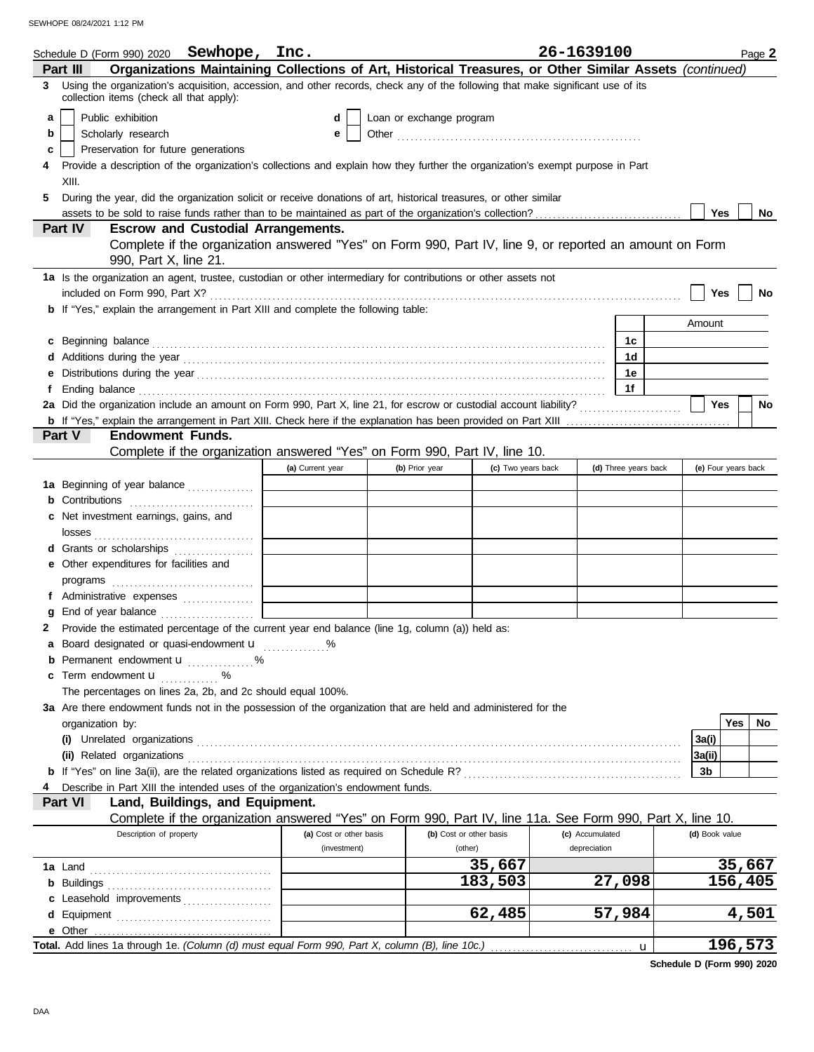|   | Schedule D (Form 990) 2020 Sewhope, Inc.                                                                                                                                                                                            |                         |                          |                         | 26-1639100      |                      |                | Page 2              |  |
|---|-------------------------------------------------------------------------------------------------------------------------------------------------------------------------------------------------------------------------------------|-------------------------|--------------------------|-------------------------|-----------------|----------------------|----------------|---------------------|--|
|   | Organizations Maintaining Collections of Art, Historical Treasures, or Other Similar Assets (continued)<br>Part III                                                                                                                 |                         |                          |                         |                 |                      |                |                     |  |
|   | 3 Using the organization's acquisition, accession, and other records, check any of the following that make significant use of its<br>collection items (check all that apply):                                                       |                         |                          |                         |                 |                      |                |                     |  |
| a | Public exhibition                                                                                                                                                                                                                   | d                       | Loan or exchange program |                         |                 |                      |                |                     |  |
| b | Scholarly research                                                                                                                                                                                                                  | е                       |                          |                         |                 |                      |                |                     |  |
| c | Preservation for future generations                                                                                                                                                                                                 |                         |                          |                         |                 |                      |                |                     |  |
| 4 | Provide a description of the organization's collections and explain how they further the organization's exempt purpose in Part                                                                                                      |                         |                          |                         |                 |                      |                |                     |  |
|   | XIII.                                                                                                                                                                                                                               |                         |                          |                         |                 |                      |                |                     |  |
| 5 | During the year, did the organization solicit or receive donations of art, historical treasures, or other similar                                                                                                                   |                         |                          |                         |                 |                      |                |                     |  |
|   |                                                                                                                                                                                                                                     |                         |                          |                         |                 |                      | Yes            | <b>No</b>           |  |
|   | Part IV<br><b>Escrow and Custodial Arrangements.</b>                                                                                                                                                                                |                         |                          |                         |                 |                      |                |                     |  |
|   | Complete if the organization answered "Yes" on Form 990, Part IV, line 9, or reported an amount on Form                                                                                                                             |                         |                          |                         |                 |                      |                |                     |  |
|   | 990, Part X, line 21.                                                                                                                                                                                                               |                         |                          |                         |                 |                      |                |                     |  |
|   | 1a Is the organization an agent, trustee, custodian or other intermediary for contributions or other assets not                                                                                                                     |                         |                          |                         |                 |                      |                |                     |  |
|   |                                                                                                                                                                                                                                     |                         |                          |                         |                 |                      | Yes            | No                  |  |
|   | b If "Yes," explain the arrangement in Part XIII and complete the following table:                                                                                                                                                  |                         |                          |                         |                 |                      |                |                     |  |
|   |                                                                                                                                                                                                                                     |                         |                          |                         |                 |                      | Amount         |                     |  |
|   | c Beginning balance contract and contract and contract and contract and contract and contract and contract and contract and contract and contract and contract and contract and contract and contract and contract and contrac      |                         |                          |                         |                 | 1c                   |                |                     |  |
| d |                                                                                                                                                                                                                                     |                         |                          |                         |                 | 1d                   |                |                     |  |
| е |                                                                                                                                                                                                                                     |                         |                          |                         |                 | 1е                   |                |                     |  |
| f | Ending balance <b>construction and the construction of the construction</b> of the construction of the construction of the construction of the construction of the construction of the construction of the construction of the cons |                         |                          |                         |                 | 1f                   |                |                     |  |
|   | 2a Did the organization include an amount on Form 990, Part X, line 21, for escrow or custodial account liability?                                                                                                                  |                         |                          |                         |                 |                      | Yes            | <b>No</b>           |  |
|   |                                                                                                                                                                                                                                     |                         |                          |                         |                 |                      |                |                     |  |
|   | <b>Endowment Funds.</b><br>Part V                                                                                                                                                                                                   |                         |                          |                         |                 |                      |                |                     |  |
|   | Complete if the organization answered "Yes" on Form 990, Part IV, line 10.                                                                                                                                                          |                         |                          |                         |                 |                      |                |                     |  |
|   |                                                                                                                                                                                                                                     | (a) Current year        | (b) Prior year           | (c) Two years back      |                 | (d) Three years back |                | (e) Four years back |  |
|   | 1a Beginning of year balance                                                                                                                                                                                                        |                         |                          |                         |                 |                      |                |                     |  |
|   | <b>b</b> Contributions <b>contributions</b>                                                                                                                                                                                         |                         |                          |                         |                 |                      |                |                     |  |
|   | c Net investment earnings, gains, and                                                                                                                                                                                               |                         |                          |                         |                 |                      |                |                     |  |
|   |                                                                                                                                                                                                                                     |                         |                          |                         |                 |                      |                |                     |  |
|   | d Grants or scholarships<br>e Other expenditures for facilities and                                                                                                                                                                 |                         |                          |                         |                 |                      |                |                     |  |
|   |                                                                                                                                                                                                                                     |                         |                          |                         |                 |                      |                |                     |  |
|   | f Administrative expenses                                                                                                                                                                                                           |                         |                          |                         |                 |                      |                |                     |  |
| g |                                                                                                                                                                                                                                     |                         |                          |                         |                 |                      |                |                     |  |
| 2 | Provide the estimated percentage of the current year end balance (line 1g, column (a)) held as:                                                                                                                                     |                         |                          |                         |                 |                      |                |                     |  |
|   | a Board designated or quasi-endowment u                                                                                                                                                                                             | %                       |                          |                         |                 |                      |                |                     |  |
|   | Permanent endowment <b>u</b> %                                                                                                                                                                                                      |                         |                          |                         |                 |                      |                |                     |  |
| c | Term endowment <b>u</b>                                                                                                                                                                                                             |                         |                          |                         |                 |                      |                |                     |  |
|   | The percentages on lines 2a, 2b, and 2c should equal 100%.                                                                                                                                                                          |                         |                          |                         |                 |                      |                |                     |  |
|   | 3a Are there endowment funds not in the possession of the organization that are held and administered for the                                                                                                                       |                         |                          |                         |                 |                      |                |                     |  |
|   | organization by:                                                                                                                                                                                                                    |                         |                          |                         |                 |                      |                | Yes<br>No           |  |
|   |                                                                                                                                                                                                                                     |                         |                          |                         |                 |                      | 3a(i)          |                     |  |
|   |                                                                                                                                                                                                                                     |                         |                          |                         |                 |                      | 3a(ii)         |                     |  |
|   |                                                                                                                                                                                                                                     |                         |                          |                         |                 |                      | 3b             |                     |  |
|   | Describe in Part XIII the intended uses of the organization's endowment funds.                                                                                                                                                      |                         |                          |                         |                 |                      |                |                     |  |
|   | Land, Buildings, and Equipment.<br>Part VI                                                                                                                                                                                          |                         |                          |                         |                 |                      |                |                     |  |
|   | Complete if the organization answered "Yes" on Form 990, Part IV, line 11a. See Form 990, Part X, line 10.                                                                                                                          |                         |                          |                         |                 |                      |                |                     |  |
|   | Description of property                                                                                                                                                                                                             | (a) Cost or other basis |                          | (b) Cost or other basis | (c) Accumulated |                      | (d) Book value |                     |  |
|   |                                                                                                                                                                                                                                     | (investment)            |                          | (other)                 | depreciation    |                      |                |                     |  |
|   |                                                                                                                                                                                                                                     |                         |                          | 35,667                  |                 |                      |                | 35,667              |  |
|   |                                                                                                                                                                                                                                     |                         |                          | 183,503                 |                 | 27,098               |                | 156,405             |  |
|   | c Leasehold improvements                                                                                                                                                                                                            |                         |                          |                         |                 |                      |                |                     |  |
| d |                                                                                                                                                                                                                                     |                         |                          | 62,485                  |                 | 57,984               |                | 4,501               |  |
|   |                                                                                                                                                                                                                                     |                         |                          |                         |                 |                      |                |                     |  |
|   | Total. Add lines 1a through 1e. (Column (d) must equal Form 990, Part X, column (B), line 10c.)                                                                                                                                     |                         |                          |                         |                 | u                    |                | 196,573             |  |

**Schedule D (Form 990) 2020**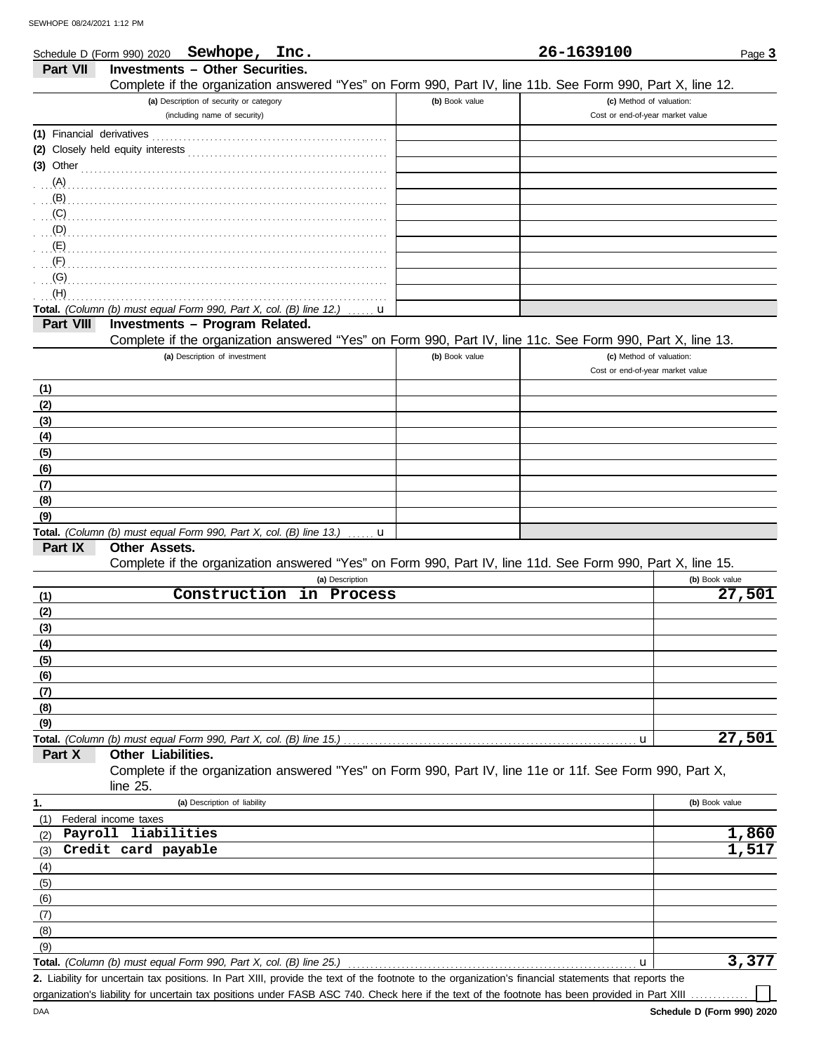DAA

|                              | Sewhope, Inc.<br>Schedule D (Form 990) 2020                                                                |                | 26-1639100                       | Page 3         |
|------------------------------|------------------------------------------------------------------------------------------------------------|----------------|----------------------------------|----------------|
| Part VII                     | <b>Investments - Other Securities.</b>                                                                     |                |                                  |                |
|                              | Complete if the organization answered "Yes" on Form 990, Part IV, line 11b. See Form 990, Part X, line 12. |                |                                  |                |
|                              | (a) Description of security or category                                                                    | (b) Book value | (c) Method of valuation:         |                |
|                              | (including name of security)                                                                               |                | Cost or end-of-year market value |                |
|                              |                                                                                                            |                |                                  |                |
|                              |                                                                                                            |                |                                  |                |
|                              |                                                                                                            |                |                                  |                |
|                              |                                                                                                            |                |                                  |                |
| (B)                          |                                                                                                            |                |                                  |                |
| (C)                          |                                                                                                            |                |                                  |                |
| (D)                          |                                                                                                            |                |                                  |                |
| $\mathbf{E}(\mathsf{E})$     |                                                                                                            |                |                                  |                |
| $\overline{\mathcal{F}}$ (F) |                                                                                                            |                |                                  |                |
| (G)                          |                                                                                                            |                |                                  |                |
| (H)                          |                                                                                                            |                |                                  |                |
|                              | Total. (Column (b) must equal Form 990, Part X, col. (B) line 12.)<br>u                                    |                |                                  |                |
| Part VIII                    | Investments - Program Related.                                                                             |                |                                  |                |
|                              | Complete if the organization answered "Yes" on Form 990, Part IV, line 11c. See Form 990, Part X, line 13. |                |                                  |                |
|                              | (a) Description of investment                                                                              | (b) Book value | (c) Method of valuation:         |                |
|                              |                                                                                                            |                | Cost or end-of-year market value |                |
| (1)                          |                                                                                                            |                |                                  |                |
| (2)                          |                                                                                                            |                |                                  |                |
| (3)                          |                                                                                                            |                |                                  |                |
| (4)                          |                                                                                                            |                |                                  |                |
| (5)                          |                                                                                                            |                |                                  |                |
| (6)                          |                                                                                                            |                |                                  |                |
| (7)                          |                                                                                                            |                |                                  |                |
| (8)                          |                                                                                                            |                |                                  |                |
| (9)                          | Total. (Column (b) must equal Form 990, Part X, col. (B) line 13.)<br>u                                    |                |                                  |                |
| Part IX                      | Other Assets.                                                                                              |                |                                  |                |
|                              | Complete if the organization answered "Yes" on Form 990, Part IV, line 11d. See Form 990, Part X, line 15. |                |                                  |                |
|                              | (a) Description                                                                                            |                |                                  | (b) Book value |
| (1)                          | Construction<br>in Process                                                                                 |                |                                  | 27,501         |
| (2)                          |                                                                                                            |                |                                  |                |
| (3)                          |                                                                                                            |                |                                  |                |
| <u>(4)</u>                   |                                                                                                            |                |                                  |                |
| (5)                          |                                                                                                            |                |                                  |                |
| (6)                          |                                                                                                            |                |                                  |                |
| (7)                          |                                                                                                            |                |                                  |                |
| (8)                          |                                                                                                            |                |                                  |                |
| (9)                          |                                                                                                            |                |                                  |                |
|                              | Total. (Column (b) must equal Form 990, Part X, col. (B) line 15.)                                         |                | u                                | 27,501         |
| Part X                       | Other Liabilities.                                                                                         |                |                                  |                |
|                              | Complete if the organization answered "Yes" on Form 990, Part IV, line 11e or 11f. See Form 990, Part X,   |                |                                  |                |
|                              | line 25.                                                                                                   |                |                                  |                |
| 1.                           | (a) Description of liability                                                                               |                |                                  | (b) Book value |
| (1)                          | Federal income taxes                                                                                       |                |                                  |                |
| (2)                          | Payroll liabilities                                                                                        |                |                                  | 1,860          |
| (3)                          | Credit card payable                                                                                        |                |                                  | 1,517          |
| (4)                          |                                                                                                            |                |                                  |                |
| (5)                          |                                                                                                            |                |                                  |                |
| (6)                          |                                                                                                            |                |                                  |                |
| (7)                          |                                                                                                            |                |                                  |                |
| (8)                          |                                                                                                            |                |                                  |                |
| (9)                          | Total. (Column (b) must equal Form 990, Part X, col. (B) line 25.)                                         |                |                                  | 3,377          |
|                              |                                                                                                            |                | u                                |                |

Liability for uncertain tax positions. In Part XIII, provide the text of the footnote to the organization's financial statements that reports the **2.** organization's liability for uncertain tax positions under FASB ASC 740. Check here if the text of the footnote has been provided in Part XIII ..........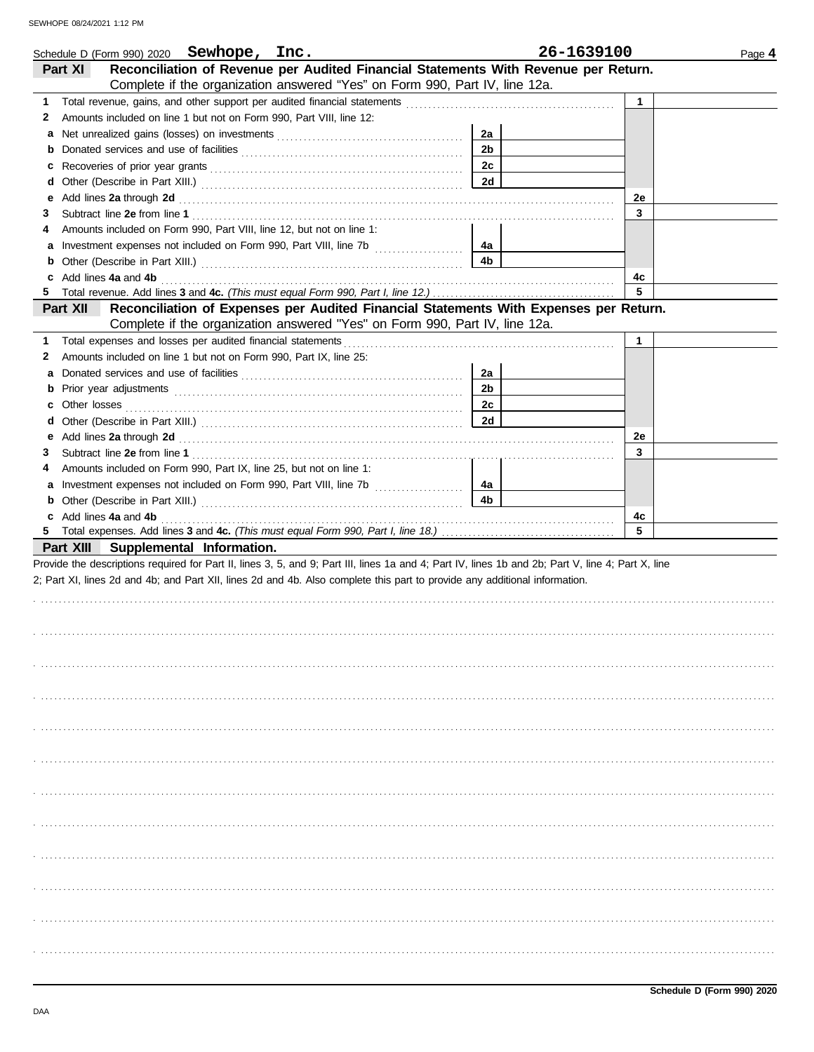| Schedule D (Form 990) 2020 Sewhope, Inc.                                                                                                                                                                                           |                | 26-1639100   | Page 4 |
|------------------------------------------------------------------------------------------------------------------------------------------------------------------------------------------------------------------------------------|----------------|--------------|--------|
| Reconciliation of Revenue per Audited Financial Statements With Revenue per Return.<br>Part XI                                                                                                                                     |                |              |        |
| Complete if the organization answered "Yes" on Form 990, Part IV, line 12a.                                                                                                                                                        |                |              |        |
| Total revenue, gains, and other support per audited financial statements [111][11][11][11][11][11][11][11][11]<br>1                                                                                                                |                | $\mathbf{1}$ |        |
| Amounts included on line 1 but not on Form 990, Part VIII, line 12:<br>2                                                                                                                                                           |                |              |        |
| a                                                                                                                                                                                                                                  | 2a             |              |        |
| b                                                                                                                                                                                                                                  | 2 <sub>b</sub> |              |        |
| c                                                                                                                                                                                                                                  | 2c             |              |        |
| d                                                                                                                                                                                                                                  | 2d             |              |        |
| Add lines 2a through 2d [11] Additional Property and Property and Property and Property and Property and Property and Property and Property and Property and Property and Property and Property and Property and Property and<br>е |                | 2e           |        |
| 3                                                                                                                                                                                                                                  |                | 3            |        |
| Amounts included on Form 990, Part VIII, line 12, but not on line 1:<br>4                                                                                                                                                          |                |              |        |
| a Investment expenses not included on Form 990, Part VIII, line 7b                                                                                                                                                                 | 4a             |              |        |
| b                                                                                                                                                                                                                                  | 4b             |              |        |
| Add lines 4a and 4b<br>C                                                                                                                                                                                                           |                | 4c           |        |
|                                                                                                                                                                                                                                    |                | 5            |        |
| Reconciliation of Expenses per Audited Financial Statements With Expenses per Return.<br>Part XII                                                                                                                                  |                |              |        |
| Complete if the organization answered "Yes" on Form 990, Part IV, line 12a.                                                                                                                                                        |                |              |        |
| 1.                                                                                                                                                                                                                                 |                | $\mathbf{1}$ |        |
| Amounts included on line 1 but not on Form 990, Part IX, line 25:<br>2                                                                                                                                                             |                |              |        |
| a                                                                                                                                                                                                                                  | 2a             |              |        |
| b                                                                                                                                                                                                                                  | 2 <sub>b</sub> |              |        |
| c                                                                                                                                                                                                                                  | 2c             |              |        |
| d                                                                                                                                                                                                                                  | 2d             |              |        |
|                                                                                                                                                                                                                                    |                | 2e           |        |
| 3                                                                                                                                                                                                                                  |                | 3            |        |
| Amounts included on Form 990, Part IX, line 25, but not on line 1:<br>4                                                                                                                                                            |                |              |        |
| Investment expenses not included on Form 990, Part VIII, line 7b [<br>a                                                                                                                                                            | 4a             |              |        |
| b                                                                                                                                                                                                                                  | 4 <sub>b</sub> |              |        |
| c Add lines 4a and 4b                                                                                                                                                                                                              |                | 4c           |        |
|                                                                                                                                                                                                                                    |                | 5            |        |
| Part XIII Supplemental Information.                                                                                                                                                                                                |                |              |        |
| Provide the descriptions required for Part II, lines 3, 5, and 9; Part III, lines 1a and 4; Part IV, lines 1b and 2b; Part V, line 4; Part X, line                                                                                 |                |              |        |
| 2; Part XI, lines 2d and 4b; and Part XII, lines 2d and 4b. Also complete this part to provide any additional information.                                                                                                         |                |              |        |
|                                                                                                                                                                                                                                    |                |              |        |
|                                                                                                                                                                                                                                    |                |              |        |
|                                                                                                                                                                                                                                    |                |              |        |
|                                                                                                                                                                                                                                    |                |              |        |
|                                                                                                                                                                                                                                    |                |              |        |
|                                                                                                                                                                                                                                    |                |              |        |
|                                                                                                                                                                                                                                    |                |              |        |
|                                                                                                                                                                                                                                    |                |              |        |
|                                                                                                                                                                                                                                    |                |              |        |
|                                                                                                                                                                                                                                    |                |              |        |
|                                                                                                                                                                                                                                    |                |              |        |
|                                                                                                                                                                                                                                    |                |              |        |
|                                                                                                                                                                                                                                    |                |              |        |
|                                                                                                                                                                                                                                    |                |              |        |
|                                                                                                                                                                                                                                    |                |              |        |
|                                                                                                                                                                                                                                    |                |              |        |
|                                                                                                                                                                                                                                    |                |              |        |
|                                                                                                                                                                                                                                    |                |              |        |
|                                                                                                                                                                                                                                    |                |              |        |
|                                                                                                                                                                                                                                    |                |              |        |
|                                                                                                                                                                                                                                    |                |              |        |
|                                                                                                                                                                                                                                    |                |              |        |
|                                                                                                                                                                                                                                    |                |              |        |
|                                                                                                                                                                                                                                    |                |              |        |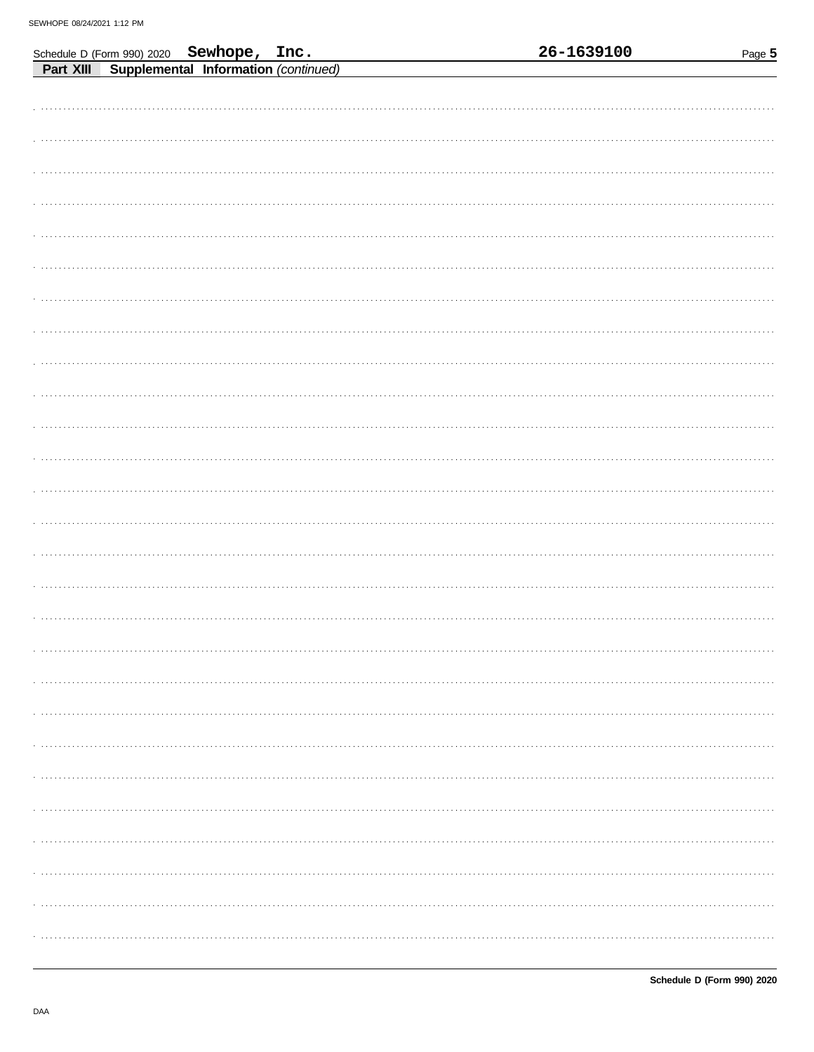|  | Schedule D (Form 990) 2020 Sewhope, Inc.<br>Part XIII Supplemental Information (continued) |  | 26-1639100 | Page 5 |
|--|--------------------------------------------------------------------------------------------|--|------------|--------|
|  |                                                                                            |  |            |        |
|  |                                                                                            |  |            |        |
|  |                                                                                            |  |            |        |
|  |                                                                                            |  |            |        |
|  |                                                                                            |  |            |        |
|  |                                                                                            |  |            |        |
|  |                                                                                            |  |            |        |
|  |                                                                                            |  |            |        |
|  |                                                                                            |  |            |        |
|  |                                                                                            |  |            |        |
|  |                                                                                            |  |            |        |
|  |                                                                                            |  |            |        |
|  |                                                                                            |  |            |        |
|  |                                                                                            |  |            |        |
|  |                                                                                            |  |            |        |
|  |                                                                                            |  |            |        |
|  |                                                                                            |  |            |        |
|  |                                                                                            |  |            |        |
|  |                                                                                            |  |            |        |
|  |                                                                                            |  |            |        |
|  |                                                                                            |  |            |        |
|  |                                                                                            |  |            |        |
|  |                                                                                            |  |            |        |
|  |                                                                                            |  |            |        |
|  |                                                                                            |  |            |        |
|  |                                                                                            |  |            |        |
|  |                                                                                            |  |            |        |
|  |                                                                                            |  |            |        |
|  |                                                                                            |  |            |        |
|  |                                                                                            |  |            |        |
|  |                                                                                            |  |            |        |
|  |                                                                                            |  |            |        |
|  |                                                                                            |  |            |        |
|  |                                                                                            |  |            |        |
|  |                                                                                            |  |            |        |
|  |                                                                                            |  |            |        |
|  |                                                                                            |  |            |        |
|  |                                                                                            |  |            |        |
|  |                                                                                            |  |            |        |
|  |                                                                                            |  |            |        |
|  |                                                                                            |  |            |        |
|  |                                                                                            |  |            |        |
|  |                                                                                            |  |            |        |
|  |                                                                                            |  |            |        |
|  |                                                                                            |  |            |        |
|  |                                                                                            |  |            |        |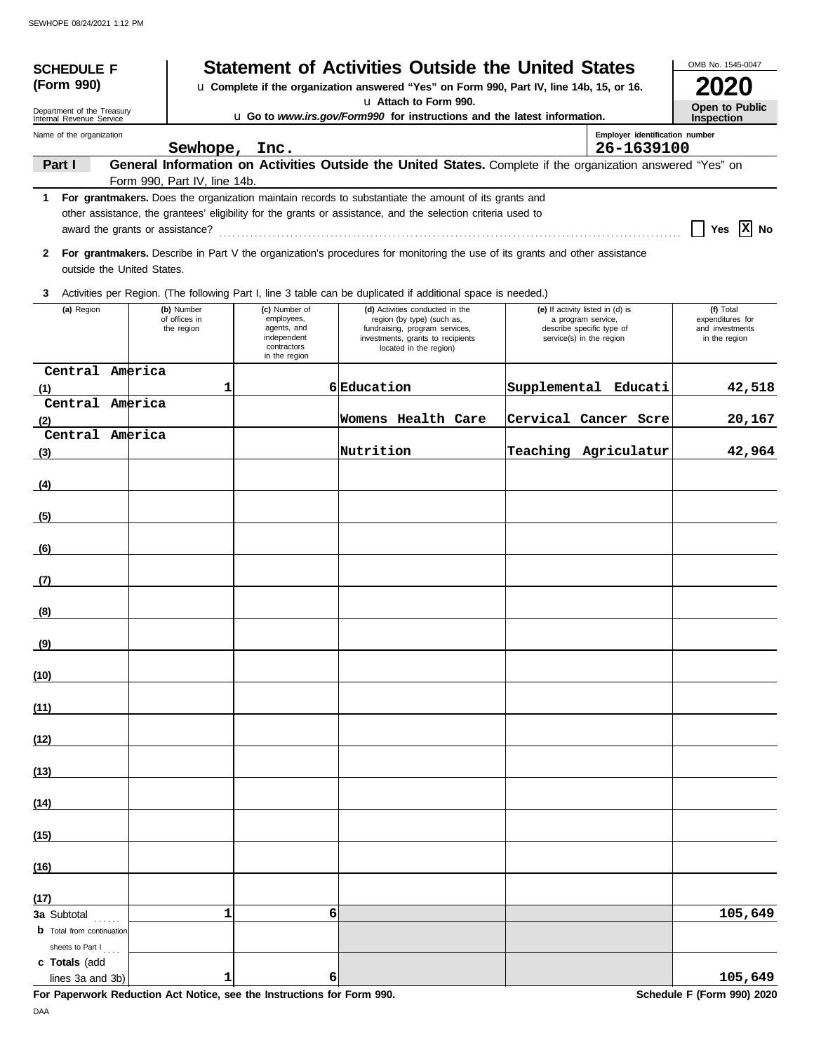| <b>Statement of Activities Outside the United States</b><br><b>SCHEDULE F</b><br>(Form 990)<br>u Complete if the organization answered "Yes" on Form 990, Part IV, line 14b, 15, or 16. |  |                                           |                                                                                           |                                                                                                                                                                                                                        |                                                                                    | OMB No. 1545-0047              |                                                                   |
|-----------------------------------------------------------------------------------------------------------------------------------------------------------------------------------------|--|-------------------------------------------|-------------------------------------------------------------------------------------------|------------------------------------------------------------------------------------------------------------------------------------------------------------------------------------------------------------------------|------------------------------------------------------------------------------------|--------------------------------|-------------------------------------------------------------------|
| Department of the Treasury                                                                                                                                                              |  |                                           |                                                                                           | La Attach to Form 990.                                                                                                                                                                                                 |                                                                                    |                                | Open to Public                                                    |
| Internal Revenue Service<br>Name of the organization                                                                                                                                    |  |                                           |                                                                                           | u Go to www.irs.gov/Form990 for instructions and the latest information.                                                                                                                                               |                                                                                    | Employer identification number | Inspection                                                        |
| Part I                                                                                                                                                                                  |  | Sewhope, Inc.                             |                                                                                           | General Information on Activities Outside the United States. Complete if the organization answered "Yes" on                                                                                                            |                                                                                    | 26-1639100                     |                                                                   |
|                                                                                                                                                                                         |  | Form 990, Part IV, line 14b.              |                                                                                           |                                                                                                                                                                                                                        |                                                                                    |                                |                                                                   |
|                                                                                                                                                                                         |  |                                           |                                                                                           | 1 For grantmakers. Does the organization maintain records to substantiate the amount of its grants and<br>other assistance, the grantees' eligibility for the grants or assistance, and the selection criteria used to |                                                                                    |                                | Yes $X$ No                                                        |
| outside the United States.                                                                                                                                                              |  |                                           |                                                                                           | 2 For grantmakers. Describe in Part V the organization's procedures for monitoring the use of its grants and other assistance                                                                                          |                                                                                    |                                |                                                                   |
| 3                                                                                                                                                                                       |  |                                           |                                                                                           | Activities per Region. (The following Part I, line 3 table can be duplicated if additional space is needed.)                                                                                                           |                                                                                    |                                |                                                                   |
| (a) Region                                                                                                                                                                              |  | (b) Number<br>of offices in<br>the region | (c) Number of<br>employees,<br>agents, and<br>independent<br>contractors<br>in the region | (d) Activities conducted in the<br>region (by type) (such as,<br>fundraising, program services,<br>investments, grants to recipients<br>located in the region)                                                         | (e) If activity listed in (d) is<br>a program service,<br>service(s) in the region | describe specific type of      | (f) Total<br>expenditures for<br>and investments<br>in the region |
| Central America<br>(1)                                                                                                                                                                  |  | 1                                         |                                                                                           | 6 Education                                                                                                                                                                                                            |                                                                                    | Supplemental Educati           | 42,518                                                            |
| Central America                                                                                                                                                                         |  |                                           |                                                                                           | Womens Health Care                                                                                                                                                                                                     |                                                                                    | Cervical Cancer Scre           | 20,167                                                            |
| (2)<br>Central America                                                                                                                                                                  |  |                                           |                                                                                           |                                                                                                                                                                                                                        |                                                                                    |                                |                                                                   |
| (3)                                                                                                                                                                                     |  |                                           |                                                                                           | Nutrition                                                                                                                                                                                                              |                                                                                    | Teaching Agriculatur           | 42,964                                                            |
| (4)                                                                                                                                                                                     |  |                                           |                                                                                           |                                                                                                                                                                                                                        |                                                                                    |                                |                                                                   |
| (5)                                                                                                                                                                                     |  |                                           |                                                                                           |                                                                                                                                                                                                                        |                                                                                    |                                |                                                                   |
| (6)                                                                                                                                                                                     |  |                                           |                                                                                           |                                                                                                                                                                                                                        |                                                                                    |                                |                                                                   |
| (7)                                                                                                                                                                                     |  |                                           |                                                                                           |                                                                                                                                                                                                                        |                                                                                    |                                |                                                                   |
| (8)                                                                                                                                                                                     |  |                                           |                                                                                           |                                                                                                                                                                                                                        |                                                                                    |                                |                                                                   |
| (9)                                                                                                                                                                                     |  |                                           |                                                                                           |                                                                                                                                                                                                                        |                                                                                    |                                |                                                                   |
| (10)                                                                                                                                                                                    |  |                                           |                                                                                           |                                                                                                                                                                                                                        |                                                                                    |                                |                                                                   |
| (11)                                                                                                                                                                                    |  |                                           |                                                                                           |                                                                                                                                                                                                                        |                                                                                    |                                |                                                                   |
| (12)                                                                                                                                                                                    |  |                                           |                                                                                           |                                                                                                                                                                                                                        |                                                                                    |                                |                                                                   |
| (13)                                                                                                                                                                                    |  |                                           |                                                                                           |                                                                                                                                                                                                                        |                                                                                    |                                |                                                                   |
| (14)                                                                                                                                                                                    |  |                                           |                                                                                           |                                                                                                                                                                                                                        |                                                                                    |                                |                                                                   |
| (15)                                                                                                                                                                                    |  |                                           |                                                                                           |                                                                                                                                                                                                                        |                                                                                    |                                |                                                                   |
| (16)                                                                                                                                                                                    |  |                                           |                                                                                           |                                                                                                                                                                                                                        |                                                                                    |                                |                                                                   |
| (17)                                                                                                                                                                                    |  |                                           |                                                                                           |                                                                                                                                                                                                                        |                                                                                    |                                |                                                                   |
| <b>3a</b> Subtotal<br><b>b</b> Total from continuation                                                                                                                                  |  | 1                                         | 6                                                                                         |                                                                                                                                                                                                                        |                                                                                    |                                | 105,649                                                           |
| sheets to Part I<br>c Totals (add                                                                                                                                                       |  |                                           |                                                                                           |                                                                                                                                                                                                                        |                                                                                    |                                |                                                                   |
| lines 3a and 3b)                                                                                                                                                                        |  | 1                                         | 6                                                                                         |                                                                                                                                                                                                                        |                                                                                    |                                | 105,649                                                           |

**For Paperwork Reduction Act Notice, see the Instructions for Form 990.** Schedule F (Form 990) 2020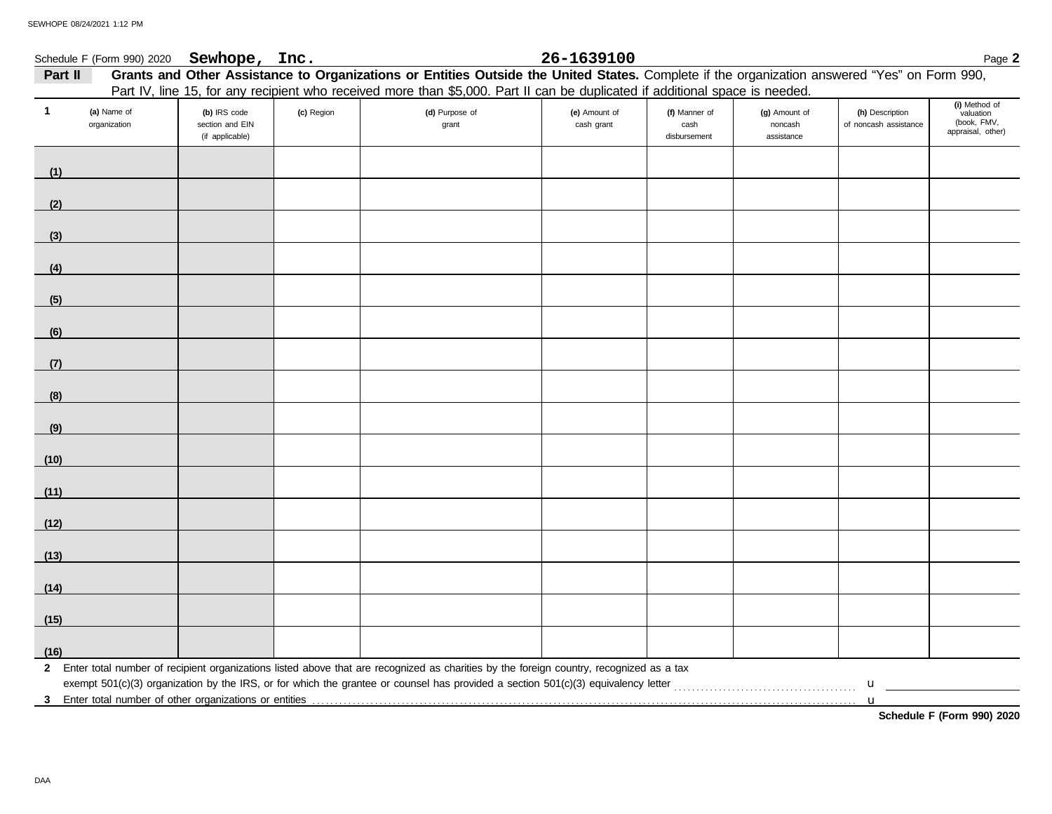| Part II      |                             |                                                    |            | Grants and Other Assistance to Organizations or Entities Outside the United States. Complete if the organization answered "Yes" on Form 990,<br>Part IV, line 15, for any recipient who received more than \$5,000. Part II can be duplicated if additional space is needed. |                             |                                       |                                        |                                          |                                                                |
|--------------|-----------------------------|----------------------------------------------------|------------|------------------------------------------------------------------------------------------------------------------------------------------------------------------------------------------------------------------------------------------------------------------------------|-----------------------------|---------------------------------------|----------------------------------------|------------------------------------------|----------------------------------------------------------------|
| $\mathbf{1}$ | (a) Name of<br>organization | (b) IRS code<br>section and EIN<br>(if applicable) | (c) Region | (d) Purpose of<br>grant                                                                                                                                                                                                                                                      | (e) Amount of<br>cash grant | (f) Manner of<br>cash<br>disbursement | (g) Amount of<br>noncash<br>assistance | (h) Description<br>of noncash assistance | (i) Method of<br>valuation<br>(book, FMV,<br>appraisal, other) |
| (1)          |                             |                                                    |            |                                                                                                                                                                                                                                                                              |                             |                                       |                                        |                                          |                                                                |
| (2)          |                             |                                                    |            |                                                                                                                                                                                                                                                                              |                             |                                       |                                        |                                          |                                                                |
| (3)          |                             |                                                    |            |                                                                                                                                                                                                                                                                              |                             |                                       |                                        |                                          |                                                                |
| (4)          |                             |                                                    |            |                                                                                                                                                                                                                                                                              |                             |                                       |                                        |                                          |                                                                |
| (5)          |                             |                                                    |            |                                                                                                                                                                                                                                                                              |                             |                                       |                                        |                                          |                                                                |
| (6)          |                             |                                                    |            |                                                                                                                                                                                                                                                                              |                             |                                       |                                        |                                          |                                                                |
| (7)          |                             |                                                    |            |                                                                                                                                                                                                                                                                              |                             |                                       |                                        |                                          |                                                                |
| (8)          |                             |                                                    |            |                                                                                                                                                                                                                                                                              |                             |                                       |                                        |                                          |                                                                |
| (9)          |                             |                                                    |            |                                                                                                                                                                                                                                                                              |                             |                                       |                                        |                                          |                                                                |
| (10)         |                             |                                                    |            |                                                                                                                                                                                                                                                                              |                             |                                       |                                        |                                          |                                                                |
| (11)         |                             |                                                    |            |                                                                                                                                                                                                                                                                              |                             |                                       |                                        |                                          |                                                                |
| (12)         |                             |                                                    |            |                                                                                                                                                                                                                                                                              |                             |                                       |                                        |                                          |                                                                |
| (13)         |                             |                                                    |            |                                                                                                                                                                                                                                                                              |                             |                                       |                                        |                                          |                                                                |
| (14)         |                             |                                                    |            |                                                                                                                                                                                                                                                                              |                             |                                       |                                        |                                          |                                                                |
| (15)         |                             |                                                    |            |                                                                                                                                                                                                                                                                              |                             |                                       |                                        |                                          |                                                                |
| (16)         |                             |                                                    |            |                                                                                                                                                                                                                                                                              |                             |                                       |                                        |                                          |                                                                |
|              |                             |                                                    |            | 2 Enter total number of recipient organizations listed above that are recognized as charities by the foreign country, recognized as a tax                                                                                                                                    |                             |                                       |                                        | $\mathbf{u}$                             |                                                                |

**Schedule F (Form 990) 2020**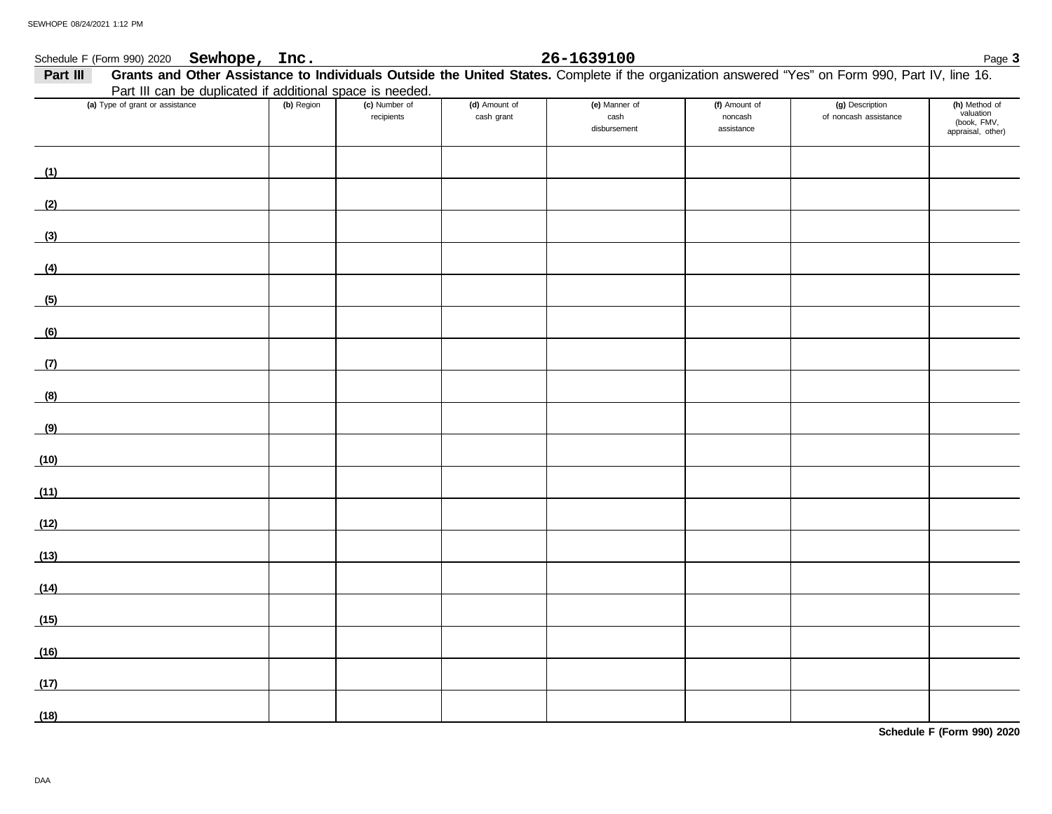## Schedule F (Form 990) 2020 Page **3 Sewhope, Inc. 26-1639100**

| Part III | Grants and Other Assistance to Individuals Outside the United States. Complete if the organization answered "Yes" on Form 990, Part IV, line 16. |            |                             |                             |                                       |                                        |                                          |                                                                |
|----------|--------------------------------------------------------------------------------------------------------------------------------------------------|------------|-----------------------------|-----------------------------|---------------------------------------|----------------------------------------|------------------------------------------|----------------------------------------------------------------|
|          | Part III can be duplicated if additional space is needed.                                                                                        |            |                             |                             |                                       |                                        |                                          |                                                                |
|          | (a) Type of grant or assistance                                                                                                                  | (b) Region | (c) Number of<br>recipients | (d) Amount of<br>cash grant | (e) Manner of<br>cash<br>disbursement | (f) Amount of<br>noncash<br>assistance | (g) Description<br>of noncash assistance | (h) Method of<br>valuation<br>(book, FMV,<br>appraisal, other) |
| (1)      |                                                                                                                                                  |            |                             |                             |                                       |                                        |                                          |                                                                |
| (2)      |                                                                                                                                                  |            |                             |                             |                                       |                                        |                                          |                                                                |
| (3)      |                                                                                                                                                  |            |                             |                             |                                       |                                        |                                          |                                                                |
| (4)      |                                                                                                                                                  |            |                             |                             |                                       |                                        |                                          |                                                                |
| (5)      |                                                                                                                                                  |            |                             |                             |                                       |                                        |                                          |                                                                |
| (6)      |                                                                                                                                                  |            |                             |                             |                                       |                                        |                                          |                                                                |
| (7)      |                                                                                                                                                  |            |                             |                             |                                       |                                        |                                          |                                                                |
| (8)      |                                                                                                                                                  |            |                             |                             |                                       |                                        |                                          |                                                                |
| (9)      |                                                                                                                                                  |            |                             |                             |                                       |                                        |                                          |                                                                |
| (10)     |                                                                                                                                                  |            |                             |                             |                                       |                                        |                                          |                                                                |
| (11)     |                                                                                                                                                  |            |                             |                             |                                       |                                        |                                          |                                                                |
| (12)     |                                                                                                                                                  |            |                             |                             |                                       |                                        |                                          |                                                                |
| (13)     | <u> 1989 - Jan Stein Stein Stein Stein Stein Stein Stein Stein Stein Stein Stein Stein Stein Stein Stein Stein St</u>                            |            |                             |                             |                                       |                                        |                                          |                                                                |
| (14)     |                                                                                                                                                  |            |                             |                             |                                       |                                        |                                          |                                                                |
| (15)     |                                                                                                                                                  |            |                             |                             |                                       |                                        |                                          |                                                                |
| (16)     | the control of the control of the control of                                                                                                     |            |                             |                             |                                       |                                        |                                          |                                                                |
| (17)     |                                                                                                                                                  |            |                             |                             |                                       |                                        |                                          |                                                                |
| (18)     |                                                                                                                                                  |            |                             |                             |                                       |                                        |                                          |                                                                |

**Schedule F (Form 990) 2020**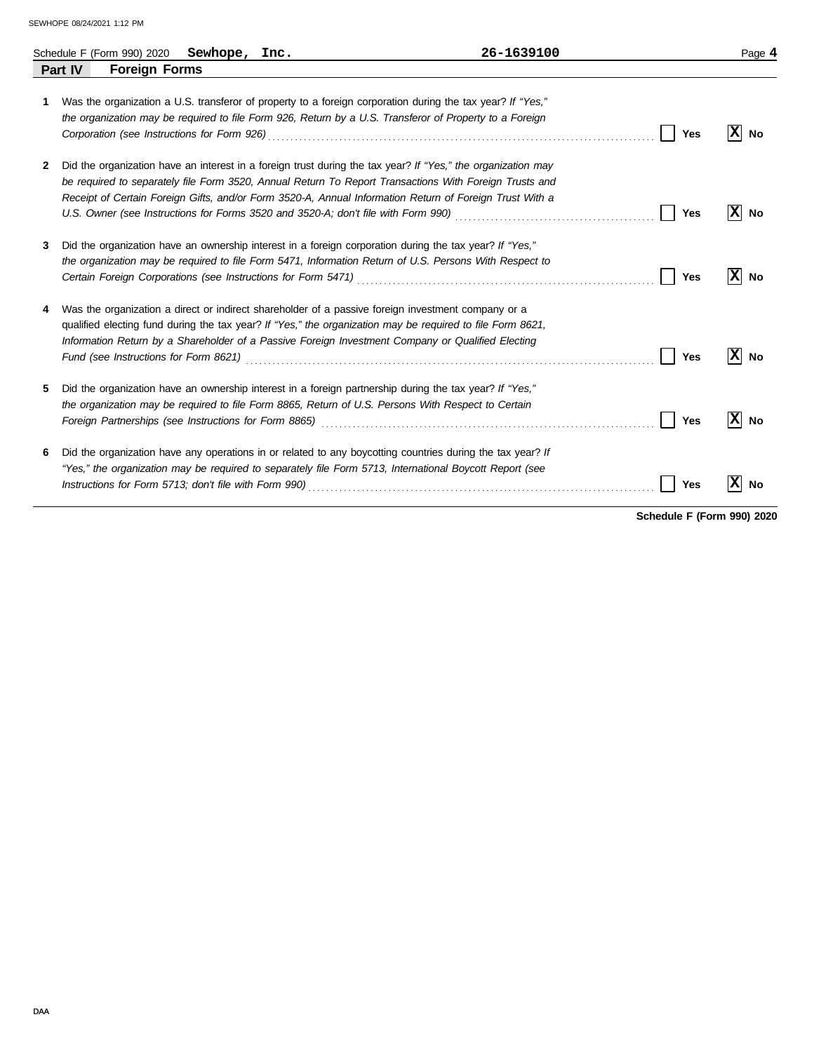|              |                | Schedule F (Form 990) 2020 | Sewhope, Inc. |                                                               | 26-1639100                                                                                                                                                                                                                                                                                                                                                                                                                                      |     | Page 4    |
|--------------|----------------|----------------------------|---------------|---------------------------------------------------------------|-------------------------------------------------------------------------------------------------------------------------------------------------------------------------------------------------------------------------------------------------------------------------------------------------------------------------------------------------------------------------------------------------------------------------------------------------|-----|-----------|
|              | <b>Part IV</b> | <b>Foreign Forms</b>       |               |                                                               |                                                                                                                                                                                                                                                                                                                                                                                                                                                 |     |           |
| 1            |                |                            |               |                                                               | Was the organization a U.S. transferor of property to a foreign corporation during the tax year? If "Yes,"<br>the organization may be required to file Form 926, Return by a U.S. Transferor of Property to a Foreign                                                                                                                                                                                                                           | Yes | ΙxΙ<br>No |
| $\mathbf{2}$ |                |                            |               |                                                               | Did the organization have an interest in a foreign trust during the tax year? If "Yes," the organization may<br>be required to separately file Form 3520, Annual Return To Report Transactions With Foreign Trusts and<br>Receipt of Certain Foreign Gifts, and/or Form 3520-A, Annual Information Return of Foreign Trust With a                                                                                                               | Yes | X <br>No  |
| 3            |                |                            |               | Certain Foreign Corporations (see Instructions for Form 5471) | Did the organization have an ownership interest in a foreign corporation during the tax year? If "Yes,"<br>the organization may be required to file Form 5471, Information Return of U.S. Persons With Respect to                                                                                                                                                                                                                               | Yes | x <br>No  |
| 4            |                |                            |               |                                                               | Was the organization a direct or indirect shareholder of a passive foreign investment company or a<br>qualified electing fund during the tax year? If "Yes," the organization may be required to file Form 8621,<br>Information Return by a Shareholder of a Passive Foreign Investment Company or Qualified Electing                                                                                                                           | Yes | X<br>No   |
| 5.           |                |                            |               |                                                               | Did the organization have an ownership interest in a foreign partnership during the tax year? If "Yes,"<br>the organization may be required to file Form 8865, Return of U.S. Persons With Respect to Certain<br>Foreign Partnerships (see Instructions for Form 8865) Material Construction Construction Construction Construction Construction Construction Construction Construction Construction Construction Construction Construction Con | Yes | X<br>No   |
| 6            |                |                            |               |                                                               | Did the organization have any operations in or related to any boycotting countries during the tax year? If<br>"Yes," the organization may be required to separately file Form 5713, International Boycott Report (see                                                                                                                                                                                                                           | Yes | х<br>No   |

**Schedule F (Form 990) 2020**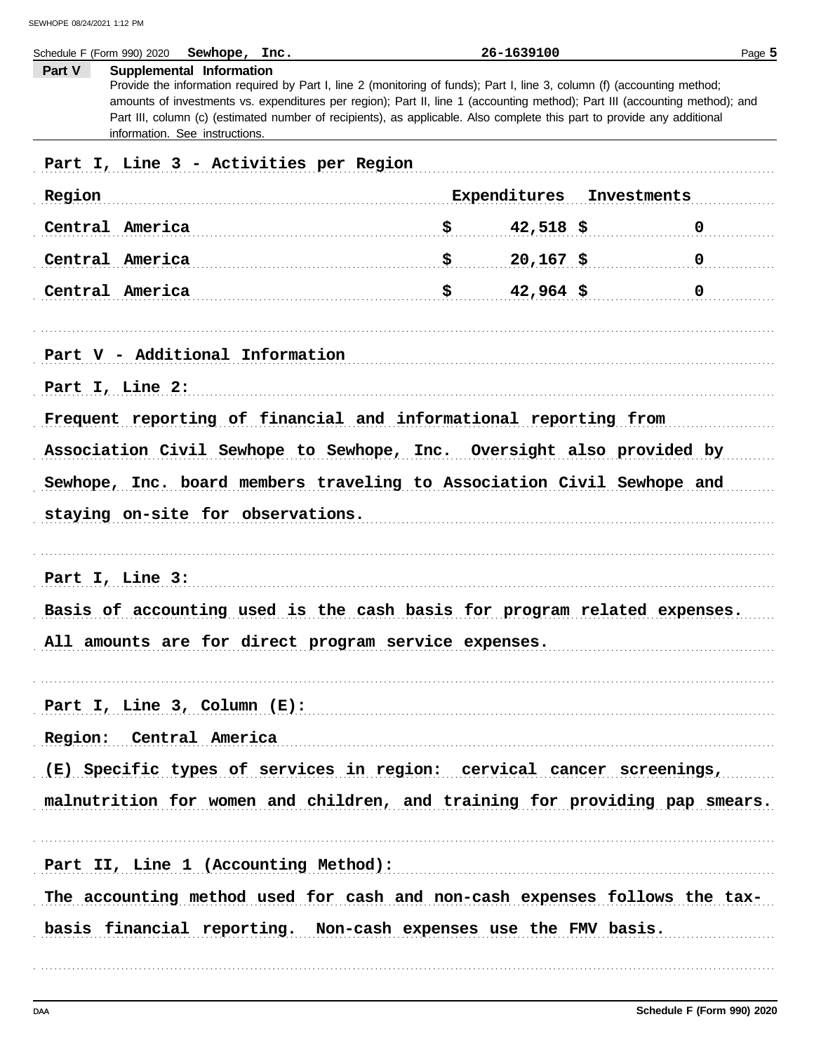| Schedule F (Form 990) 2020 Sewhope, Inc.                                                                                                                                                                                                                                                                                                                                                                                                                   |     | 26-1639100   | Page 5      |
|------------------------------------------------------------------------------------------------------------------------------------------------------------------------------------------------------------------------------------------------------------------------------------------------------------------------------------------------------------------------------------------------------------------------------------------------------------|-----|--------------|-------------|
| Part V<br>Supplemental Information<br>Provide the information required by Part I, line 2 (monitoring of funds); Part I, line 3, column (f) (accounting method;<br>amounts of investments vs. expenditures per region); Part II, line 1 (accounting method); Part III (accounting method); and<br>Part III, column (c) (estimated number of recipients), as applicable. Also complete this part to provide any additional<br>information. See instructions. |     |              |             |
| Part I, Line 3 - Activities per Region                                                                                                                                                                                                                                                                                                                                                                                                                     |     |              |             |
| Region                                                                                                                                                                                                                                                                                                                                                                                                                                                     |     | Expenditures | Investments |
| Central America                                                                                                                                                                                                                                                                                                                                                                                                                                            | \$. | $42,518$ \$  | 0           |
| Central America                                                                                                                                                                                                                                                                                                                                                                                                                                            | \$  | $20,167$ \$  | 0           |
| Central America                                                                                                                                                                                                                                                                                                                                                                                                                                            | \$  | $42,964$ \$  | 0           |
| Part V - Additional Information                                                                                                                                                                                                                                                                                                                                                                                                                            |     |              |             |
| Part I, Line 2:                                                                                                                                                                                                                                                                                                                                                                                                                                            |     |              |             |
| Frequent reporting of financial and informational reporting from                                                                                                                                                                                                                                                                                                                                                                                           |     |              |             |
| Association Civil Sewhope to Sewhope, Inc. Oversight also provided by                                                                                                                                                                                                                                                                                                                                                                                      |     |              |             |
| Sewhope, Inc. board members traveling to Association Civil Sewhope and                                                                                                                                                                                                                                                                                                                                                                                     |     |              |             |
| staying on-site for observations.                                                                                                                                                                                                                                                                                                                                                                                                                          |     |              |             |
| Part I, Line 3:                                                                                                                                                                                                                                                                                                                                                                                                                                            |     |              |             |
| Basis of accounting used is the cash basis for program related expenses.                                                                                                                                                                                                                                                                                                                                                                                   |     |              |             |
| All amounts are for direct program service expenses.                                                                                                                                                                                                                                                                                                                                                                                                       |     |              |             |
| Part I, Line 3, Column $(E)$ :                                                                                                                                                                                                                                                                                                                                                                                                                             |     |              |             |
| Region: Central America                                                                                                                                                                                                                                                                                                                                                                                                                                    |     |              |             |
| (E) Specific types of services in region: cervical cancer screenings,                                                                                                                                                                                                                                                                                                                                                                                      |     |              |             |
| malnutrition for women and children, and training for providing pap smears.                                                                                                                                                                                                                                                                                                                                                                                |     |              |             |
| Part II, Line 1 (Accounting Method):                                                                                                                                                                                                                                                                                                                                                                                                                       |     |              |             |
| The accounting method used for cash and non-cash expenses follows the tax-<br>basis financial reporting. Non-cash expenses use the FMV basis.                                                                                                                                                                                                                                                                                                              |     |              |             |
|                                                                                                                                                                                                                                                                                                                                                                                                                                                            |     |              |             |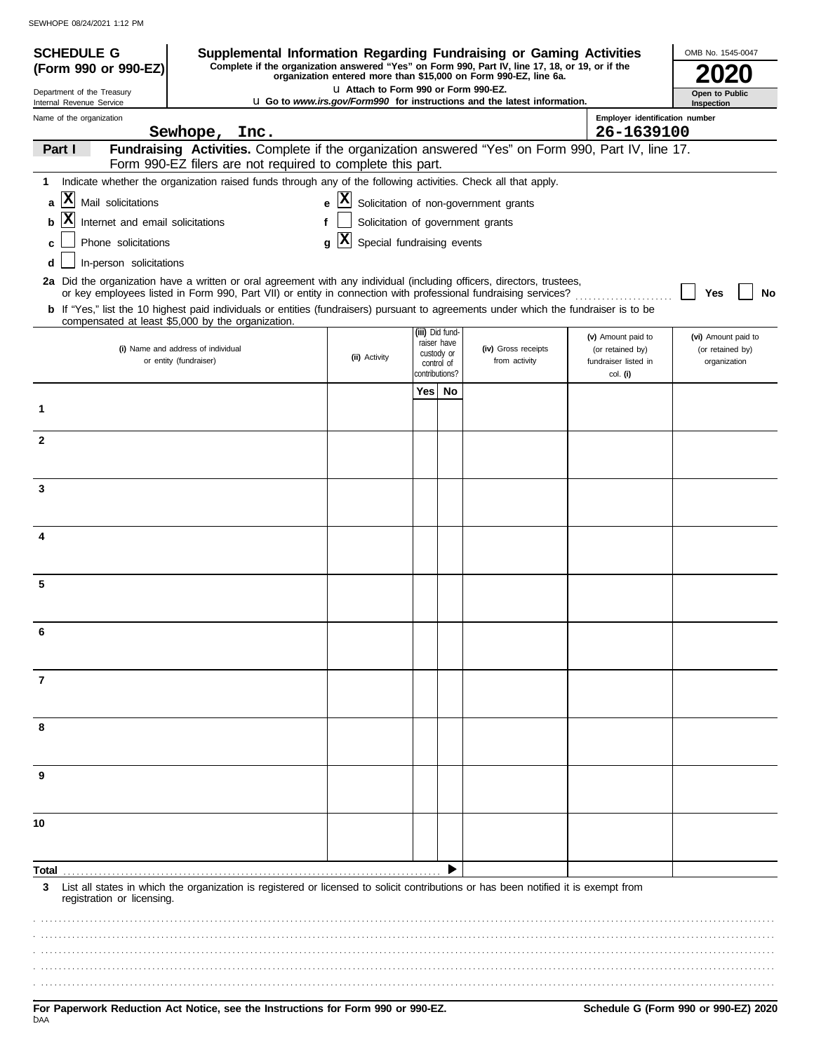| <b>SCHEDULE G</b><br>(Form 990 or 990-EZ) | Supplemental Information Regarding Fundraising or Gaming Activities<br>Complete if the organization answered "Yes" on Form 990, Part IV, line 17, 18, or 19, or if the                                                                   |                                                   |                        |                                                            |                                                                                 |                                                                | OMB No. 1545-0047                                       |
|-------------------------------------------|------------------------------------------------------------------------------------------------------------------------------------------------------------------------------------------------------------------------------------------|---------------------------------------------------|------------------------|------------------------------------------------------------|---------------------------------------------------------------------------------|----------------------------------------------------------------|---------------------------------------------------------|
| Department of the Treasury                |                                                                                                                                                                                                                                          | LI Attach to Form 990 or Form 990-EZ.             |                        |                                                            | organization entered more than \$15,000 on Form 990-EZ, line 6a.                |                                                                | Open to Public                                          |
| Internal Revenue Service                  |                                                                                                                                                                                                                                          |                                                   |                        |                                                            | <b>u</b> Go to www.irs.gov/Form990 for instructions and the latest information. |                                                                | Inspection                                              |
| Name of the organization                  | Sewhope, Inc.                                                                                                                                                                                                                            |                                                   |                        |                                                            |                                                                                 | Employer identification number<br>26-1639100                   |                                                         |
| Part I                                    | Fundraising Activities. Complete if the organization answered "Yes" on Form 990, Part IV, line 17.<br>Form 990-EZ filers are not required to complete this part.                                                                         |                                                   |                        |                                                            |                                                                                 |                                                                |                                                         |
| 1                                         | Indicate whether the organization raised funds through any of the following activities. Check all that apply.                                                                                                                            |                                                   |                        |                                                            |                                                                                 |                                                                |                                                         |
| X<br>Mail solicitations<br>a              |                                                                                                                                                                                                                                          | $ \mathbf{x} $<br>e                               |                        |                                                            | Solicitation of non-government grants                                           |                                                                |                                                         |
| Internet and email solicitations<br>b     |                                                                                                                                                                                                                                          | f                                                 |                        |                                                            | Solicitation of government grants                                               |                                                                |                                                         |
| Phone solicitations<br>c                  |                                                                                                                                                                                                                                          | $ \mathbf{x} $<br>Special fundraising events<br>g |                        |                                                            |                                                                                 |                                                                |                                                         |
| In-person solicitations<br>d              |                                                                                                                                                                                                                                          |                                                   |                        |                                                            |                                                                                 |                                                                |                                                         |
|                                           | 2a Did the organization have a written or oral agreement with any individual (including officers, directors, trustees,<br>or key employees listed in Form 990, Part VII) or entity in connection with professional fundraising services? |                                                   |                        |                                                            |                                                                                 |                                                                | Yes<br>No                                               |
|                                           | b If "Yes," list the 10 highest paid individuals or entities (fundraisers) pursuant to agreements under which the fundraiser is to be<br>compensated at least \$5,000 by the organization.                                               |                                                   |                        |                                                            |                                                                                 |                                                                |                                                         |
|                                           | (i) Name and address of individual<br>or entity (fundraiser)                                                                                                                                                                             | (ii) Activity                                     |                        | (iii) Did fund-<br>raiser have<br>custody or<br>control of | (iv) Gross receipts<br>from activity                                            | (v) Amount paid to<br>(or retained by)<br>fundraiser listed in | (vi) Amount paid to<br>(or retained by)<br>organization |
|                                           |                                                                                                                                                                                                                                          |                                                   | contributions?<br>Yes⊺ |                                                            |                                                                                 | col. (i)                                                       |                                                         |
| 1                                         |                                                                                                                                                                                                                                          |                                                   |                        | No                                                         |                                                                                 |                                                                |                                                         |
| $\mathbf{2}$                              |                                                                                                                                                                                                                                          |                                                   |                        |                                                            |                                                                                 |                                                                |                                                         |
| 3                                         |                                                                                                                                                                                                                                          |                                                   |                        |                                                            |                                                                                 |                                                                |                                                         |
|                                           |                                                                                                                                                                                                                                          |                                                   |                        |                                                            |                                                                                 |                                                                |                                                         |
| 4                                         |                                                                                                                                                                                                                                          |                                                   |                        |                                                            |                                                                                 |                                                                |                                                         |
| 5                                         |                                                                                                                                                                                                                                          |                                                   |                        |                                                            |                                                                                 |                                                                |                                                         |
| 6                                         |                                                                                                                                                                                                                                          |                                                   |                        |                                                            |                                                                                 |                                                                |                                                         |
| 7                                         |                                                                                                                                                                                                                                          |                                                   |                        |                                                            |                                                                                 |                                                                |                                                         |
| 8                                         |                                                                                                                                                                                                                                          |                                                   |                        |                                                            |                                                                                 |                                                                |                                                         |
| 9                                         |                                                                                                                                                                                                                                          |                                                   |                        |                                                            |                                                                                 |                                                                |                                                         |
| 10                                        |                                                                                                                                                                                                                                          |                                                   |                        |                                                            |                                                                                 |                                                                |                                                         |
|                                           |                                                                                                                                                                                                                                          |                                                   |                        |                                                            |                                                                                 |                                                                |                                                         |
| Total<br>3<br>registration or licensing.  | List all states in which the organization is registered or licensed to solicit contributions or has been notified it is exempt from                                                                                                      |                                                   |                        |                                                            |                                                                                 |                                                                |                                                         |
|                                           |                                                                                                                                                                                                                                          |                                                   |                        |                                                            |                                                                                 |                                                                |                                                         |
|                                           |                                                                                                                                                                                                                                          |                                                   |                        |                                                            |                                                                                 |                                                                |                                                         |
|                                           |                                                                                                                                                                                                                                          |                                                   |                        |                                                            |                                                                                 |                                                                |                                                         |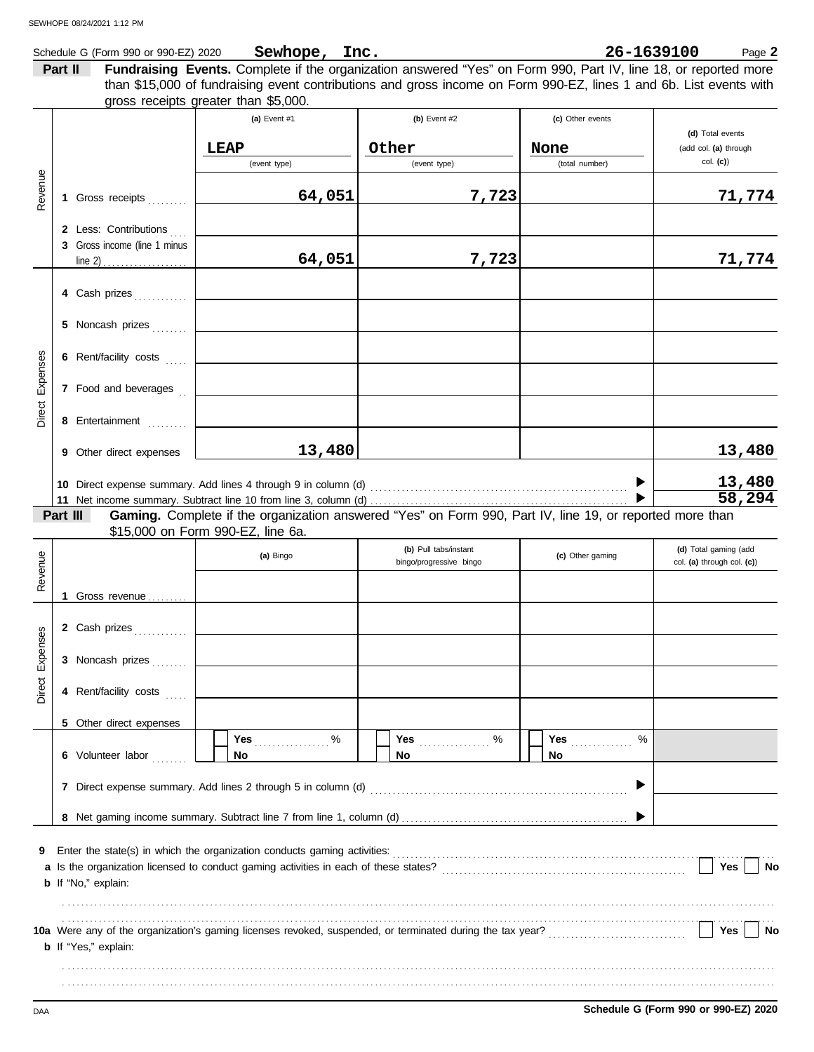|                    |         | Schedule G (Form 990 or 990-EZ) 2020 | Sewhope, Inc.                                                                                                                                              |                         | 26-1639100                     | Page 2                     |
|--------------------|---------|--------------------------------------|------------------------------------------------------------------------------------------------------------------------------------------------------------|-------------------------|--------------------------------|----------------------------|
|                    | Part II |                                      | Fundraising Events. Complete if the organization answered "Yes" on Form 990, Part IV, line 18, or reported more                                            |                         |                                |                            |
|                    |         |                                      | than \$15,000 of fundraising event contributions and gross income on Form 990-EZ, lines 1 and 6b. List events with<br>gross receipts greater than \$5,000. |                         |                                |                            |
|                    |         |                                      | (a) Event #1                                                                                                                                               | (b) Event $#2$          | (c) Other events               |                            |
|                    |         |                                      |                                                                                                                                                            |                         |                                | (d) Total events           |
|                    |         |                                      | <b>LEAP</b>                                                                                                                                                | Other                   | None                           | (add col. (a) through      |
|                    |         |                                      | (event type)                                                                                                                                               | (event type)            | (total number)                 | $col.$ (c))                |
| Revenue            |         |                                      |                                                                                                                                                            |                         |                                |                            |
|                    |         | 1 Gross receipts [1]                 | 64,051                                                                                                                                                     | 7,723                   |                                | 71,774                     |
|                    |         | 2 Less: Contributions                |                                                                                                                                                            |                         |                                |                            |
|                    |         | 3 Gross income (line 1 minus         |                                                                                                                                                            |                         |                                |                            |
|                    |         |                                      | 64,051                                                                                                                                                     | 7,723                   |                                | 71,774                     |
|                    |         |                                      |                                                                                                                                                            |                         |                                |                            |
|                    |         | 4 Cash prizes                        |                                                                                                                                                            |                         |                                |                            |
|                    |         | 5 Noncash prizes                     |                                                                                                                                                            |                         |                                |                            |
|                    |         | 6 Rent/facility costs                |                                                                                                                                                            |                         |                                |                            |
| Expenses<br>Direct |         | 7 Food and beverages                 |                                                                                                                                                            |                         |                                |                            |
|                    |         |                                      |                                                                                                                                                            |                         |                                |                            |
|                    |         | 8 Entertainment                      |                                                                                                                                                            |                         |                                |                            |
|                    |         | 9 Other direct expenses              | 13,480                                                                                                                                                     |                         |                                | 13,480                     |
|                    |         |                                      |                                                                                                                                                            |                         |                                | <u>13,480</u>              |
|                    |         |                                      |                                                                                                                                                            |                         |                                | $\overline{58,294}$        |
|                    |         | Part III                             | Gaming. Complete if the organization answered "Yes" on Form 990, Part IV, line 19, or reported more than                                                   |                         |                                |                            |
|                    |         |                                      | \$15,000 on Form 990-EZ, line 6a.                                                                                                                          | (b) Pull tabs/instant   |                                | (d) Total gaming (add      |
|                    |         |                                      | (a) Bingo                                                                                                                                                  | bingo/progressive bingo | (c) Other gaming               | col. (a) through col. (c)) |
| Revenue            |         |                                      |                                                                                                                                                            |                         |                                |                            |
|                    |         | 1 Gross revenue                      |                                                                                                                                                            |                         |                                |                            |
|                    |         |                                      |                                                                                                                                                            |                         |                                |                            |
| 8                  |         |                                      |                                                                                                                                                            |                         |                                |                            |
| Expens             |         | 3 Noncash prizes                     |                                                                                                                                                            |                         |                                |                            |
|                    |         |                                      |                                                                                                                                                            |                         |                                |                            |
| Direct             |         | 4 Rent/facility costs                |                                                                                                                                                            |                         |                                |                            |
|                    |         | 5 Other direct expenses              |                                                                                                                                                            |                         |                                |                            |
|                    |         |                                      | Yes $%$                                                                                                                                                    |                         | <b>Yes</b> ______________<br>% |                            |
|                    |         | 6 Volunteer labor                    | No                                                                                                                                                         | No.                     | No.                            |                            |
|                    |         |                                      |                                                                                                                                                            |                         |                                |                            |
|                    |         |                                      |                                                                                                                                                            |                         |                                |                            |
|                    |         |                                      |                                                                                                                                                            |                         |                                |                            |
| 9                  |         |                                      |                                                                                                                                                            |                         |                                |                            |
|                    |         |                                      |                                                                                                                                                            |                         |                                | Yes<br>No                  |
|                    |         | <b>b</b> If "No," explain:           |                                                                                                                                                            |                         |                                |                            |
|                    |         |                                      |                                                                                                                                                            |                         |                                |                            |
|                    |         |                                      |                                                                                                                                                            |                         |                                | Yes<br>No                  |
|                    |         | <b>b</b> If "Yes," explain:          |                                                                                                                                                            |                         |                                |                            |
|                    |         |                                      |                                                                                                                                                            |                         |                                |                            |
|                    |         |                                      |                                                                                                                                                            |                         |                                |                            |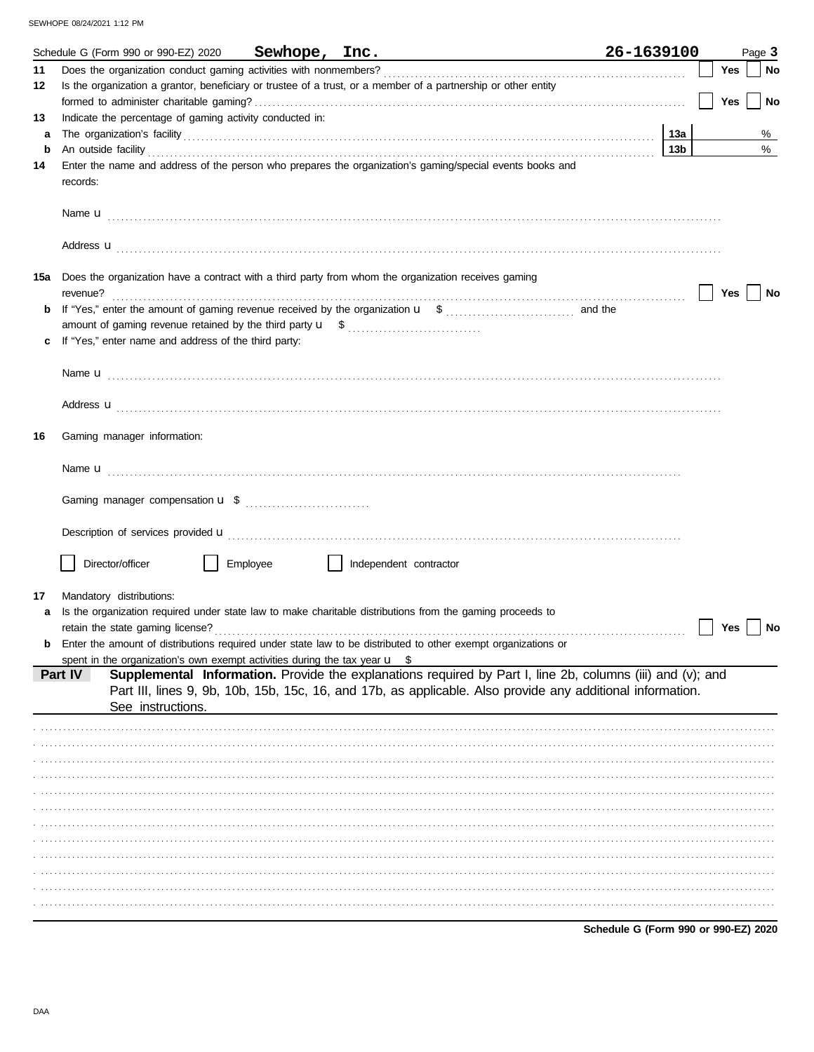|        | Schedule G (Form 990 or 990-EZ) 2020                                                  | Sewhope, Inc. |                                                                                                                                                                                                                                                                                                                                                  | 26-1639100 |            | Page 3    |
|--------|---------------------------------------------------------------------------------------|---------------|--------------------------------------------------------------------------------------------------------------------------------------------------------------------------------------------------------------------------------------------------------------------------------------------------------------------------------------------------|------------|------------|-----------|
| 11     |                                                                                       |               |                                                                                                                                                                                                                                                                                                                                                  |            | Yes        | No        |
| 12     |                                                                                       |               | Is the organization a grantor, beneficiary or trustee of a trust, or a member of a partnership or other entity                                                                                                                                                                                                                                   |            |            |           |
|        |                                                                                       |               |                                                                                                                                                                                                                                                                                                                                                  |            | <b>Yes</b> | No        |
| 13     | Indicate the percentage of gaming activity conducted in:                              |               |                                                                                                                                                                                                                                                                                                                                                  |            |            |           |
| a<br>b |                                                                                       |               | The organization's facility contains and contains a series of the organization's facility contains a series of the series of the series of the series of the series of the series of the series of the series of the series of                                                                                                                   | 13а<br>13b |            | %<br>$\%$ |
| 14     |                                                                                       |               | An outside facility <b>contract and the contract of a contract and the contract of a contract of a contract of a contract of a contract of a contract of a contract of a contract of a contract of a contract of a contract of a</b><br>Enter the name and address of the person who prepares the organization's gaming/special events books and |            |            |           |
|        | records:                                                                              |               |                                                                                                                                                                                                                                                                                                                                                  |            |            |           |
|        |                                                                                       |               |                                                                                                                                                                                                                                                                                                                                                  |            |            |           |
|        |                                                                                       |               | Address <b>u</b>                                                                                                                                                                                                                                                                                                                                 |            |            |           |
| 15a    | revenue?                                                                              |               | Does the organization have a contract with a third party from whom the organization receives gaming                                                                                                                                                                                                                                              |            | Yes        | No        |
| b      |                                                                                       |               |                                                                                                                                                                                                                                                                                                                                                  |            |            |           |
|        |                                                                                       |               |                                                                                                                                                                                                                                                                                                                                                  |            |            |           |
| c      | If "Yes," enter name and address of the third party:                                  |               |                                                                                                                                                                                                                                                                                                                                                  |            |            |           |
|        |                                                                                       |               |                                                                                                                                                                                                                                                                                                                                                  |            |            |           |
|        |                                                                                       |               |                                                                                                                                                                                                                                                                                                                                                  |            |            |           |
|        |                                                                                       |               | Address <b>u</b>                                                                                                                                                                                                                                                                                                                                 |            |            |           |
| 16     | Gaming manager information:                                                           |               |                                                                                                                                                                                                                                                                                                                                                  |            |            |           |
|        |                                                                                       |               |                                                                                                                                                                                                                                                                                                                                                  |            |            |           |
|        |                                                                                       |               |                                                                                                                                                                                                                                                                                                                                                  |            |            |           |
|        |                                                                                       |               |                                                                                                                                                                                                                                                                                                                                                  |            |            |           |
|        | Director/officer                                                                      | Employee      | Independent contractor                                                                                                                                                                                                                                                                                                                           |            |            |           |
| 17     | Mandatory distributions:                                                              |               |                                                                                                                                                                                                                                                                                                                                                  |            |            |           |
|        |                                                                                       |               | Is the organization required under state law to make charitable distributions from the gaming proceeds to                                                                                                                                                                                                                                        |            |            |           |
|        |                                                                                       |               |                                                                                                                                                                                                                                                                                                                                                  |            | Yes        | No        |
| b      |                                                                                       |               | Enter the amount of distributions required under state law to be distributed to other exempt organizations or                                                                                                                                                                                                                                    |            |            |           |
|        | spent in the organization's own exempt activities during the tax year $\mathbf{u}$ \$ |               |                                                                                                                                                                                                                                                                                                                                                  |            |            |           |
|        | Part IV<br>See instructions.                                                          |               | Supplemental Information. Provide the explanations required by Part I, line 2b, columns (iii) and (v); and<br>Part III, lines 9, 9b, 10b, 15b, 15c, 16, and 17b, as applicable. Also provide any additional information.                                                                                                                         |            |            |           |
|        |                                                                                       |               |                                                                                                                                                                                                                                                                                                                                                  |            |            |           |
|        |                                                                                       |               |                                                                                                                                                                                                                                                                                                                                                  |            |            |           |
|        |                                                                                       |               |                                                                                                                                                                                                                                                                                                                                                  |            |            |           |
|        |                                                                                       |               |                                                                                                                                                                                                                                                                                                                                                  |            |            |           |
|        |                                                                                       |               |                                                                                                                                                                                                                                                                                                                                                  |            |            |           |
|        |                                                                                       |               |                                                                                                                                                                                                                                                                                                                                                  |            |            |           |
|        |                                                                                       |               |                                                                                                                                                                                                                                                                                                                                                  |            |            |           |
|        |                                                                                       |               |                                                                                                                                                                                                                                                                                                                                                  |            |            |           |
|        |                                                                                       |               |                                                                                                                                                                                                                                                                                                                                                  |            |            |           |
|        |                                                                                       |               |                                                                                                                                                                                                                                                                                                                                                  |            |            |           |
|        |                                                                                       |               |                                                                                                                                                                                                                                                                                                                                                  |            |            |           |
|        |                                                                                       |               |                                                                                                                                                                                                                                                                                                                                                  |            |            |           |

Schedule G (Form 990 or 990-EZ) 2020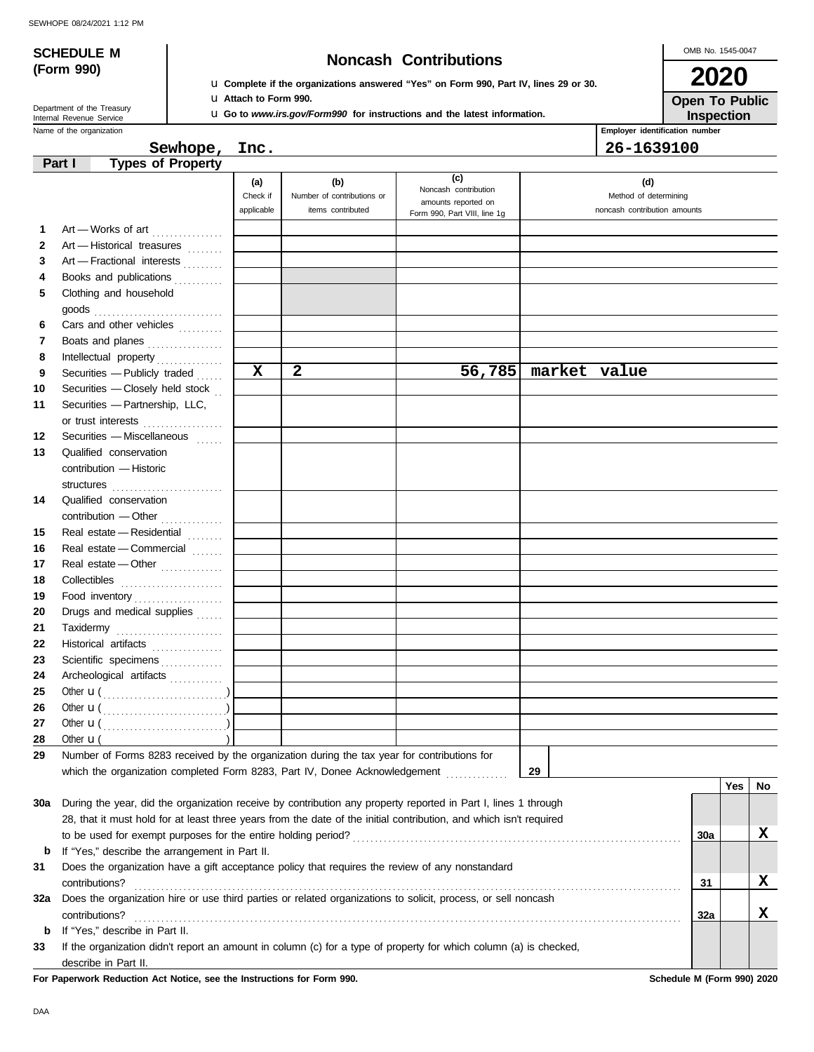# **SCHEDULE M Noncash Contributions**

OMB No. 1545-0047 **2020**

| (Form 990) |  |
|------------|--|

Department of the Treasury<br>Internal Revenue Service

u **Complete if the organizations answered "Yes" on Form 990, Part IV, lines 29 or 30.** u **Attach to Form 990.**

u **Go to** *www.irs.gov/Form990* **for instructions and the latest information.**

**Inspection Open To Public**

|     | Name of the organization                                                                                                                                                                                                                                         |                               |                                                        |                                                                                    |              | Employer identification number                               |            |     |    |
|-----|------------------------------------------------------------------------------------------------------------------------------------------------------------------------------------------------------------------------------------------------------------------|-------------------------------|--------------------------------------------------------|------------------------------------------------------------------------------------|--------------|--------------------------------------------------------------|------------|-----|----|
|     | Sewhope, Inc.                                                                                                                                                                                                                                                    |                               |                                                        |                                                                                    |              | 26-1639100                                                   |            |     |    |
|     | <b>Types of Property</b><br>Part I                                                                                                                                                                                                                               |                               |                                                        |                                                                                    |              |                                                              |            |     |    |
|     |                                                                                                                                                                                                                                                                  | (a)<br>Check if<br>applicable | (b)<br>Number of contributions or<br>items contributed | (c)<br>Noncash contribution<br>amounts reported on<br>Form 990, Part VIII, line 1g |              | (d)<br>Method of determining<br>noncash contribution amounts |            |     |    |
| 1   | Art - Works of art                                                                                                                                                                                                                                               |                               |                                                        |                                                                                    |              |                                                              |            |     |    |
| 2   | Art - Historical treasures                                                                                                                                                                                                                                       |                               |                                                        |                                                                                    |              |                                                              |            |     |    |
| 3   | Art - Fractional interests                                                                                                                                                                                                                                       |                               |                                                        |                                                                                    |              |                                                              |            |     |    |
| 4   | Books and publications                                                                                                                                                                                                                                           |                               |                                                        |                                                                                    |              |                                                              |            |     |    |
| 5   | Clothing and household<br>goods<br><i>compare in the set of the set of the set of the set of the set of the set of the set of the set of the set of the set of the set of the set of the set of the set of the set of the set of the set of the set of the s</i> |                               |                                                        |                                                                                    |              |                                                              |            |     |    |
| 6   | Cars and other vehicles                                                                                                                                                                                                                                          |                               |                                                        |                                                                                    |              |                                                              |            |     |    |
| 7   | Boats and planes                                                                                                                                                                                                                                                 |                               |                                                        |                                                                                    |              |                                                              |            |     |    |
| 8   | Intellectual property                                                                                                                                                                                                                                            |                               |                                                        |                                                                                    |              |                                                              |            |     |    |
| 9   | Securities - Publicly traded                                                                                                                                                                                                                                     | $\mathbf x$                   | $\mathbf{2}$                                           | 56,785                                                                             | market value |                                                              |            |     |    |
| 10  | Securities - Closely held stock                                                                                                                                                                                                                                  |                               |                                                        |                                                                                    |              |                                                              |            |     |    |
| 11  | Securities - Partnership, LLC,                                                                                                                                                                                                                                   |                               |                                                        |                                                                                    |              |                                                              |            |     |    |
|     | or trust interests                                                                                                                                                                                                                                               |                               |                                                        |                                                                                    |              |                                                              |            |     |    |
| 12  | Securities - Miscellaneous                                                                                                                                                                                                                                       |                               |                                                        |                                                                                    |              |                                                              |            |     |    |
| 13  | Qualified conservation<br>contribution - Historic                                                                                                                                                                                                                |                               |                                                        |                                                                                    |              |                                                              |            |     |    |
|     | structures                                                                                                                                                                                                                                                       |                               |                                                        |                                                                                    |              |                                                              |            |     |    |
| 14  | Qualified conservation                                                                                                                                                                                                                                           |                               |                                                        |                                                                                    |              |                                                              |            |     |    |
|     | contribution - Other                                                                                                                                                                                                                                             |                               |                                                        |                                                                                    |              |                                                              |            |     |    |
| 15  | Real estate - Residential                                                                                                                                                                                                                                        |                               |                                                        |                                                                                    |              |                                                              |            |     |    |
| 16  | Real estate - Commercial                                                                                                                                                                                                                                         |                               |                                                        |                                                                                    |              |                                                              |            |     |    |
| 17  | Real estate - Other                                                                                                                                                                                                                                              |                               |                                                        |                                                                                    |              |                                                              |            |     |    |
| 18  |                                                                                                                                                                                                                                                                  |                               |                                                        |                                                                                    |              |                                                              |            |     |    |
| 19  | Food inventory                                                                                                                                                                                                                                                   |                               |                                                        |                                                                                    |              |                                                              |            |     |    |
| 20  | Drugs and medical supplies                                                                                                                                                                                                                                       |                               |                                                        |                                                                                    |              |                                                              |            |     |    |
| 21  |                                                                                                                                                                                                                                                                  |                               |                                                        |                                                                                    |              |                                                              |            |     |    |
| 22  | Historical artifacts                                                                                                                                                                                                                                             |                               |                                                        |                                                                                    |              |                                                              |            |     |    |
| 23  | Scientific specimens                                                                                                                                                                                                                                             |                               |                                                        |                                                                                    |              |                                                              |            |     |    |
| 24  | Archeological artifacts                                                                                                                                                                                                                                          |                               |                                                        |                                                                                    |              |                                                              |            |     |    |
| 25  | Other $\mathbf{u}(\dots, \dots, \dots, \dots, \dots)$                                                                                                                                                                                                            |                               |                                                        |                                                                                    |              |                                                              |            |     |    |
| 26  | Other $\mathbf{u}(\dots, \dots, \dots, \dots, \dots)$                                                                                                                                                                                                            |                               |                                                        |                                                                                    |              |                                                              |            |     |    |
| 27  | Other $\mathbf{u}$ (                                                                                                                                                                                                                                             |                               |                                                        |                                                                                    |              |                                                              |            |     |    |
| 28  | Other $\mathbf{u}$ (                                                                                                                                                                                                                                             |                               |                                                        |                                                                                    |              |                                                              |            |     |    |
| 29  | Number of Forms 8283 received by the organization during the tax year for contributions for                                                                                                                                                                      |                               |                                                        |                                                                                    |              |                                                              |            |     |    |
|     | which the organization completed Form 8283, Part IV, Donee Acknowledgement                                                                                                                                                                                       |                               |                                                        |                                                                                    | 29           |                                                              |            |     |    |
|     |                                                                                                                                                                                                                                                                  |                               |                                                        |                                                                                    |              |                                                              |            | Yes | No |
| 30a | During the year, did the organization receive by contribution any property reported in Part I, lines 1 through<br>28, that it must hold for at least three years from the date of the initial contribution, and which isn't required                             |                               |                                                        |                                                                                    |              |                                                              |            |     |    |
|     |                                                                                                                                                                                                                                                                  |                               |                                                        |                                                                                    |              |                                                              | <b>30a</b> |     | X  |
| b   | If "Yes," describe the arrangement in Part II.                                                                                                                                                                                                                   |                               |                                                        |                                                                                    |              |                                                              |            |     |    |
| 31  | Does the organization have a gift acceptance policy that requires the review of any nonstandard                                                                                                                                                                  |                               |                                                        |                                                                                    |              |                                                              | 31         |     | X  |
| 32a | contributions?<br>Does the organization hire or use third parties or related organizations to solicit, process, or sell noncash                                                                                                                                  |                               |                                                        |                                                                                    |              |                                                              |            |     |    |
|     | contributions?                                                                                                                                                                                                                                                   |                               |                                                        |                                                                                    |              |                                                              | 32a        |     | X  |
| b   | If "Yes," describe in Part II.                                                                                                                                                                                                                                   |                               |                                                        |                                                                                    |              |                                                              |            |     |    |
| 33  | If the organization didn't report an amount in column (c) for a type of property for which column (a) is checked,                                                                                                                                                |                               |                                                        |                                                                                    |              |                                                              |            |     |    |

describe in Part II.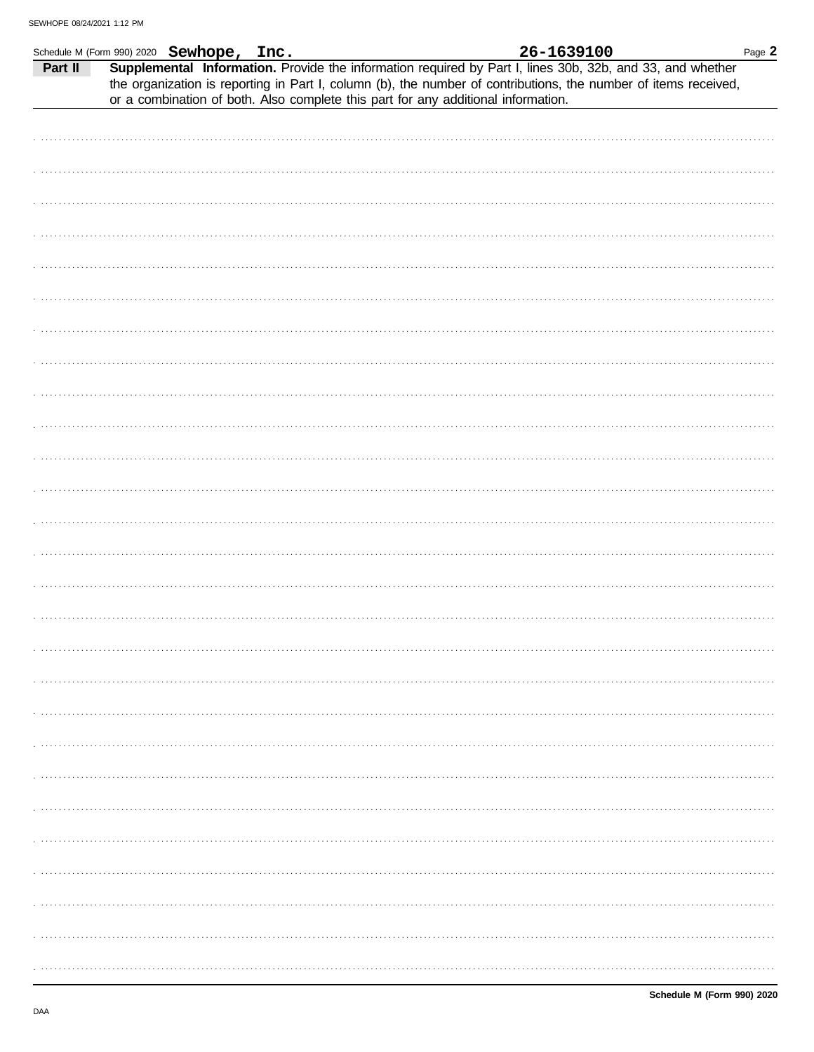|         | Schedule M (Form 990) 2020 Sewhope, Inc. | 26-1639100                                                                                                                                                                                                                                                                                                        | Page 2 |
|---------|------------------------------------------|-------------------------------------------------------------------------------------------------------------------------------------------------------------------------------------------------------------------------------------------------------------------------------------------------------------------|--------|
| Part II |                                          | Supplemental Information. Provide the information required by Part I, lines 30b, 32b, and 33, and whether<br>the organization is reporting in Part I, column (b), the number of contributions, the number of items received,<br>or a combination of both. Also complete this part for any additional information. |        |
|         |                                          |                                                                                                                                                                                                                                                                                                                   |        |
|         |                                          |                                                                                                                                                                                                                                                                                                                   |        |
|         |                                          |                                                                                                                                                                                                                                                                                                                   |        |
|         |                                          |                                                                                                                                                                                                                                                                                                                   |        |
|         |                                          |                                                                                                                                                                                                                                                                                                                   |        |
|         |                                          |                                                                                                                                                                                                                                                                                                                   |        |
|         |                                          |                                                                                                                                                                                                                                                                                                                   |        |
|         |                                          |                                                                                                                                                                                                                                                                                                                   |        |
|         |                                          |                                                                                                                                                                                                                                                                                                                   |        |
|         |                                          |                                                                                                                                                                                                                                                                                                                   |        |
|         |                                          |                                                                                                                                                                                                                                                                                                                   |        |
|         |                                          |                                                                                                                                                                                                                                                                                                                   |        |
|         |                                          |                                                                                                                                                                                                                                                                                                                   |        |
|         |                                          |                                                                                                                                                                                                                                                                                                                   |        |
|         |                                          |                                                                                                                                                                                                                                                                                                                   |        |
|         |                                          |                                                                                                                                                                                                                                                                                                                   |        |
|         |                                          |                                                                                                                                                                                                                                                                                                                   |        |
|         |                                          |                                                                                                                                                                                                                                                                                                                   | .      |
|         |                                          |                                                                                                                                                                                                                                                                                                                   |        |
|         |                                          |                                                                                                                                                                                                                                                                                                                   |        |
|         |                                          |                                                                                                                                                                                                                                                                                                                   |        |
|         |                                          |                                                                                                                                                                                                                                                                                                                   |        |
|         |                                          |                                                                                                                                                                                                                                                                                                                   |        |
|         |                                          |                                                                                                                                                                                                                                                                                                                   |        |
|         |                                          |                                                                                                                                                                                                                                                                                                                   |        |
|         |                                          |                                                                                                                                                                                                                                                                                                                   |        |
|         |                                          |                                                                                                                                                                                                                                                                                                                   |        |
|         |                                          |                                                                                                                                                                                                                                                                                                                   |        |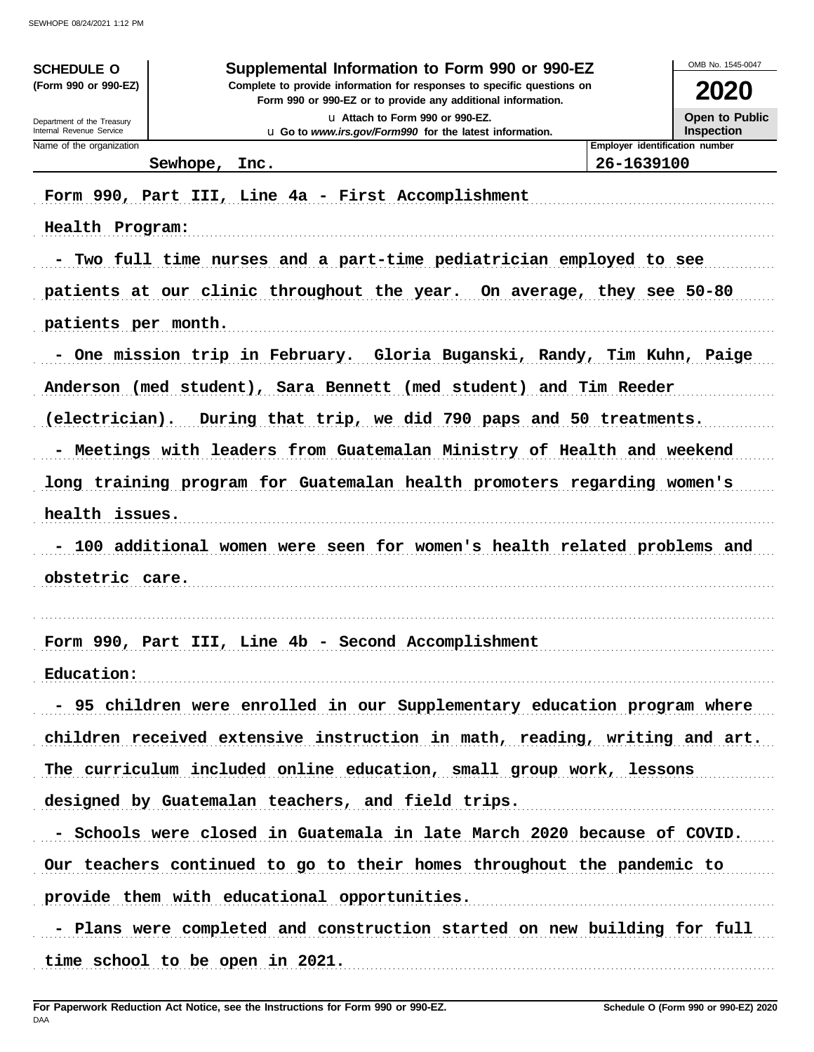| <b>SCHEDULE O</b>                                      | Supplemental Information to Form 990 or 990-EZ                                                                                         |                                              | OMB No. 1545-0047            |
|--------------------------------------------------------|----------------------------------------------------------------------------------------------------------------------------------------|----------------------------------------------|------------------------------|
| (Form 990 or 990-EZ)                                   | Complete to provide information for responses to specific questions on<br>Form 990 or 990-EZ or to provide any additional information. |                                              | 2020                         |
| Department of the Treasury<br>Internal Revenue Service | La Attach to Form 990 or 990-EZ.<br>u Go to www.irs.gov/Form990 for the latest information.                                            |                                              | Open to Public<br>Inspection |
| Name of the organization                               | Sewhope, Inc.                                                                                                                          | Employer identification number<br>26-1639100 |                              |
|                                                        | Form 990, Part III, Line 4a - First Accomplishment                                                                                     |                                              |                              |
|                                                        |                                                                                                                                        |                                              |                              |
| Health Program:                                        |                                                                                                                                        |                                              |                              |
|                                                        | - Two full time nurses and a part-time pediatrician employed to see                                                                    |                                              |                              |
|                                                        | patients at our clinic throughout the year. On average, they see 50-80                                                                 |                                              |                              |
| patients per month.                                    |                                                                                                                                        |                                              |                              |
|                                                        | - One mission trip in February. Gloria Buganski, Randy, Tim Kuhn, Paige                                                                |                                              |                              |
|                                                        | Anderson (med student), Sara Bennett (med student) and Tim Reeder                                                                      |                                              |                              |
| (electrician).                                         | During that trip, we did 790 paps and 50 treatments.                                                                                   |                                              |                              |
|                                                        | - Meetings with leaders from Guatemalan Ministry of Health and weekend                                                                 |                                              |                              |
|                                                        | long training program for Guatemalan health promoters regarding women's                                                                |                                              |                              |
| health issues.                                         |                                                                                                                                        |                                              |                              |
|                                                        | - 100 additional women were seen for women's health related problems and                                                               |                                              |                              |
| obstetric care.                                        |                                                                                                                                        |                                              |                              |
|                                                        |                                                                                                                                        |                                              |                              |
|                                                        | Form 990, Part III, Line 4b - Second Accomplishment                                                                                    |                                              |                              |
| Education:                                             |                                                                                                                                        |                                              |                              |
|                                                        | - 95 children were enrolled in our Supplementary education program where                                                               |                                              |                              |
|                                                        | children received extensive instruction in math, reading, writing and art.                                                             |                                              |                              |
|                                                        | The curriculum included online education, small group work, lessons                                                                    |                                              |                              |
|                                                        |                                                                                                                                        |                                              |                              |
|                                                        | designed by Guatemalan teachers, and field trips.                                                                                      |                                              |                              |
|                                                        | - Schools were closed in Guatemala in late March 2020 because of COVID.                                                                |                                              |                              |
|                                                        | Our teachers continued to go to their homes throughout the pandemic to                                                                 |                                              |                              |
|                                                        | provide them with educational opportunities.                                                                                           |                                              |                              |
|                                                        | - Plans were completed and construction started on new building for full                                                               |                                              |                              |
|                                                        | time school to be open in 2021.                                                                                                        |                                              |                              |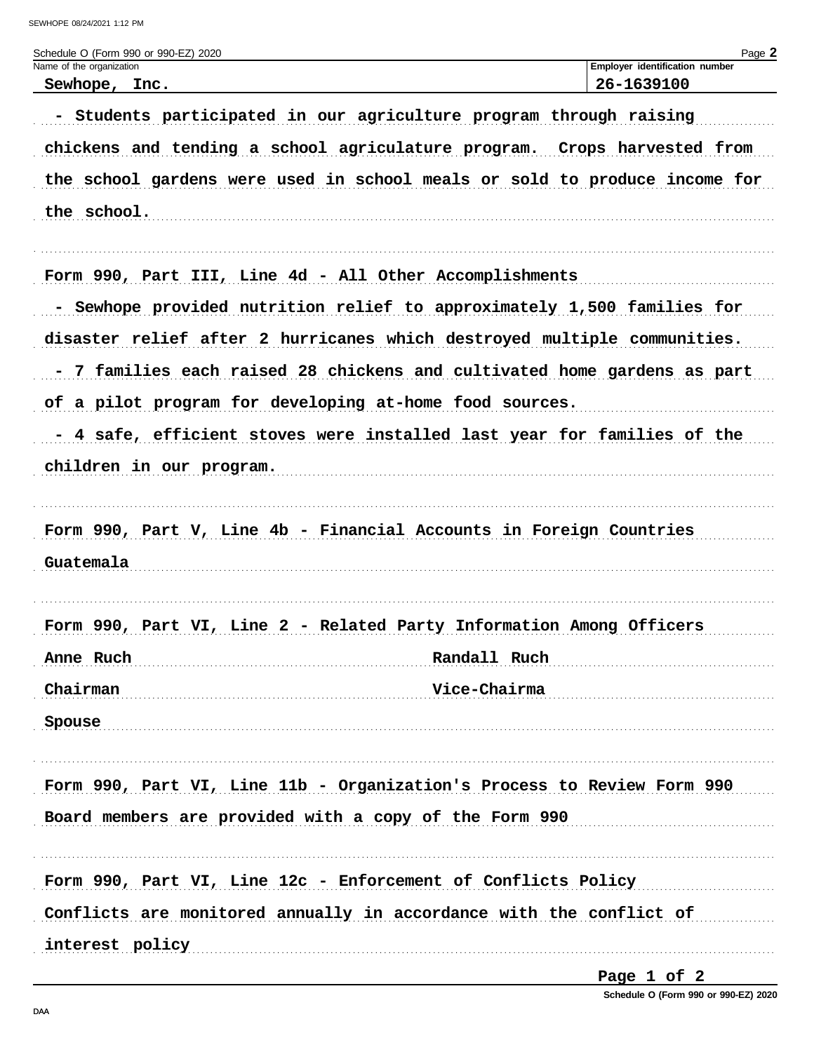| Schedule O (Form 990 or 990-EZ) 2020                                       | Page 2                                       |
|----------------------------------------------------------------------------|----------------------------------------------|
| Name of the organization<br>Sewhope, Inc.                                  | Employer identification number<br>26-1639100 |
| - Students participated in our agriculture program through raising         |                                              |
| chickens and tending a school agriculature program. Crops harvested from   |                                              |
| the school gardens were used in school meals or sold to produce income for |                                              |
| the school.                                                                |                                              |
| Form 990, Part III, Line 4d - All Other Accomplishments                    |                                              |
| - Sewhope provided nutrition relief to approximately 1,500 families for    |                                              |
| disaster relief after 2 hurricanes which destroyed multiple communities.   |                                              |
| - 7 families each raised 28 chickens and cultivated home gardens as part   |                                              |
| of a pilot program for developing at-home food sources.                    |                                              |
| - 4 safe, efficient stoves were installed last year for families of the    |                                              |
| children in our program.                                                   |                                              |
|                                                                            |                                              |
| Form 990, Part V, Line 4b - Financial Accounts in Foreign Countries        |                                              |
| Guatemala                                                                  |                                              |
|                                                                            |                                              |
| Form 990, Part VI, Line 2 - Related Party Information Among Officers       |                                              |
| Randall Ruch<br>Anne Ruch                                                  |                                              |
| Chairman<br>Vice-Chairma                                                   |                                              |
| Spouse                                                                     |                                              |
|                                                                            |                                              |
| Form 990, Part VI, Line 11b - Organization's Process to Review Form 990    |                                              |
| Board members are provided with a copy of the Form 990                     |                                              |
|                                                                            |                                              |
| Form 990, Part VI, Line 12c - Enforcement of Conflicts Policy              |                                              |
| Conflicts are monitored annually in accordance with the conflict of        |                                              |
| interest policy                                                            |                                              |

Page 1 of 2

Schedule O (Form 990 or 990-EZ) 2020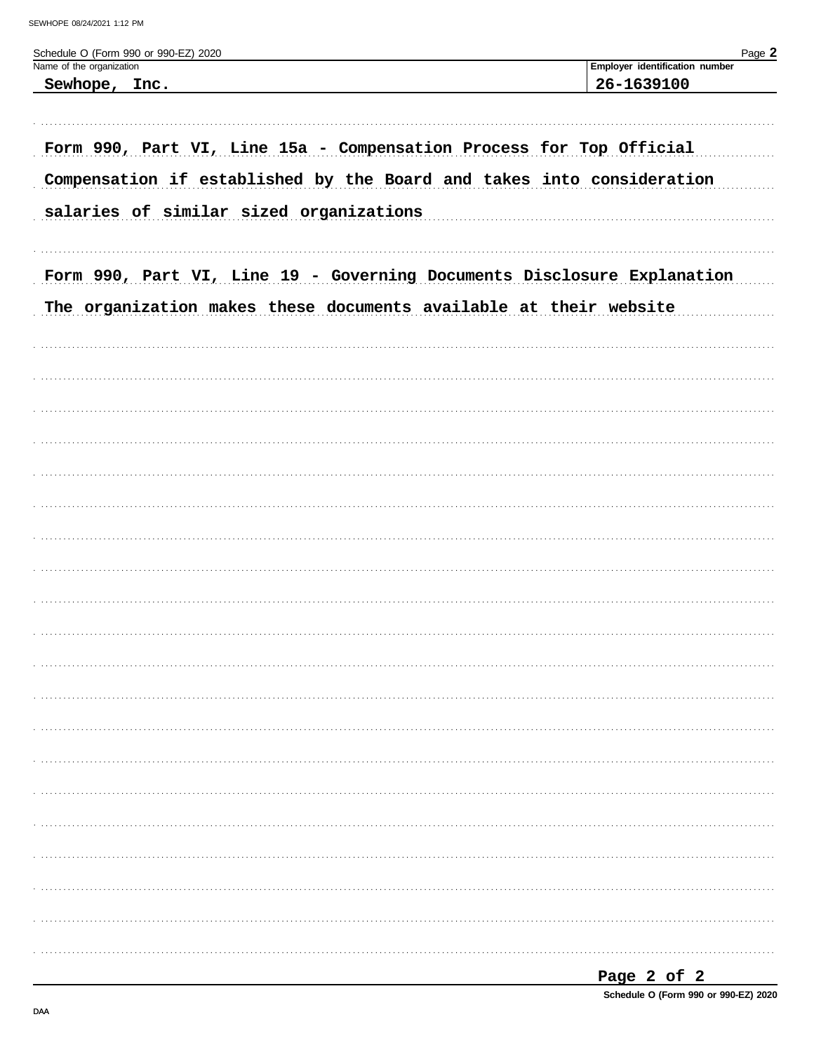| Schedule O (Form 990 or 990-EZ) 2020<br>Name of the organization        | Page 2<br>Employer identification number |
|-------------------------------------------------------------------------|------------------------------------------|
| Sewhope, Inc.                                                           | 26-1639100                               |
|                                                                         |                                          |
| Form 990, Part VI, Line 15a - Compensation Process for Top Official     |                                          |
| Compensation if established by the Board and takes into consideration   |                                          |
| salaries of similar sized organizations                                 |                                          |
|                                                                         |                                          |
| Form 990, Part VI, Line 19 - Governing Documents Disclosure Explanation |                                          |
| The organization makes these documents available at their website       |                                          |
|                                                                         |                                          |
|                                                                         |                                          |
|                                                                         |                                          |
|                                                                         |                                          |
|                                                                         |                                          |
|                                                                         |                                          |
|                                                                         |                                          |
|                                                                         |                                          |
|                                                                         |                                          |
|                                                                         |                                          |
|                                                                         |                                          |
|                                                                         |                                          |
|                                                                         |                                          |
|                                                                         |                                          |
|                                                                         |                                          |
|                                                                         |                                          |
|                                                                         |                                          |
|                                                                         |                                          |
|                                                                         |                                          |
|                                                                         |                                          |
|                                                                         |                                          |
|                                                                         |                                          |

| Page 2 of 2 |  |                                      |
|-------------|--|--------------------------------------|
|             |  | Schedule O (Form 990 or 990-EZ) 2020 |

DAA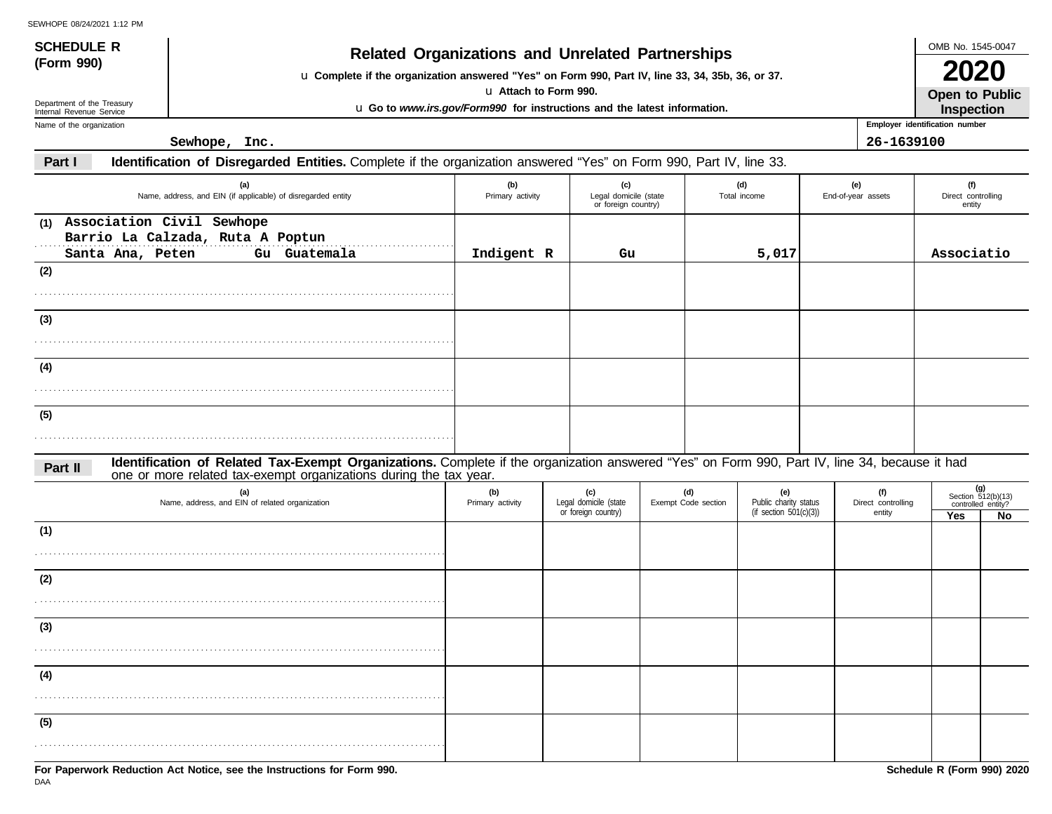| IL VVIIUTLUOIZHIZUZI I.IZ FIVI<br><b>SCHEDULE R</b>    |                                                                                                                                                                                                                    |                         |                                                     |                            |                                                        |                                     | OMB No. 1545-0047                                 |    |  |  |
|--------------------------------------------------------|--------------------------------------------------------------------------------------------------------------------------------------------------------------------------------------------------------------------|-------------------------|-----------------------------------------------------|----------------------------|--------------------------------------------------------|-------------------------------------|---------------------------------------------------|----|--|--|
| (Form 990)                                             | <b>Related Organizations and Unrelated Partnerships</b>                                                                                                                                                            |                         |                                                     |                            |                                                        |                                     | 2020                                              |    |  |  |
|                                                        | u Complete if the organization answered "Yes" on Form 990, Part IV, line 33, 34, 35b, 36, or 37.                                                                                                                   | u Attach to Form 990.   |                                                     |                            |                                                        |                                     |                                                   |    |  |  |
| Department of the Treasury<br>Internal Revenue Service | u Go to www.irs.gov/Form990 for instructions and the latest information.                                                                                                                                           |                         |                                                     |                            |                                                        |                                     | <b>Open to Public</b><br>Inspection               |    |  |  |
| Name of the organization                               |                                                                                                                                                                                                                    |                         |                                                     |                            |                                                        |                                     | Employer identification number                    |    |  |  |
|                                                        | Sewhope, Inc.                                                                                                                                                                                                      |                         |                                                     |                            |                                                        | 26-1639100                          |                                                   |    |  |  |
| Part I                                                 | Identification of Disregarded Entities. Complete if the organization answered "Yes" on Form 990, Part IV, line 33.                                                                                                 |                         |                                                     |                            |                                                        |                                     |                                                   |    |  |  |
|                                                        | (a)<br>Name, address, and EIN (if applicable) of disregarded entity                                                                                                                                                | (b)<br>Primary activity | (c)<br>Legal domicile (state<br>or foreign country) |                            | (d)<br>Total income                                    | (e)<br>End-of-year assets           | (f)<br>Direct controlling<br>entity               |    |  |  |
| Association Civil Sewhope<br>(1)                       | Barrio La Calzada, Ruta A Poptun<br>Gu Guatemala                                                                                                                                                                   |                         |                                                     |                            |                                                        |                                     | Associatio                                        |    |  |  |
| Santa Ana, Peten<br>(2)                                |                                                                                                                                                                                                                    | Indigent R              | Gu                                                  |                            | 5,017                                                  |                                     |                                                   |    |  |  |
|                                                        |                                                                                                                                                                                                                    |                         |                                                     |                            |                                                        |                                     |                                                   |    |  |  |
| (3)                                                    |                                                                                                                                                                                                                    |                         |                                                     |                            |                                                        |                                     |                                                   |    |  |  |
|                                                        |                                                                                                                                                                                                                    |                         |                                                     |                            |                                                        |                                     |                                                   |    |  |  |
| (4)                                                    |                                                                                                                                                                                                                    |                         |                                                     |                            |                                                        |                                     |                                                   |    |  |  |
|                                                        |                                                                                                                                                                                                                    |                         |                                                     |                            |                                                        |                                     |                                                   |    |  |  |
| (5)                                                    |                                                                                                                                                                                                                    |                         |                                                     |                            |                                                        |                                     |                                                   |    |  |  |
|                                                        |                                                                                                                                                                                                                    |                         |                                                     |                            |                                                        |                                     |                                                   |    |  |  |
| Part II                                                | Identification of Related Tax-Exempt Organizations. Complete if the organization answered "Yes" on Form 990, Part IV, line 34, because it had<br>one or more related tax-exempt organizations during the tax year. |                         |                                                     |                            |                                                        |                                     |                                                   |    |  |  |
|                                                        | (a)<br>Name, address, and EIN of related organization                                                                                                                                                              | (b)<br>Primary activity | (c)<br>Legal domicile (state<br>or foreign country) | (d)<br>Exempt Code section | (e)<br>Public charity status<br>(if section 501(c)(3)) | (f)<br>Direct controlling<br>entity | (g)<br>Section $512(b)(13)$<br>controlled entity? |    |  |  |
| (1)                                                    |                                                                                                                                                                                                                    |                         |                                                     |                            |                                                        |                                     | Yes                                               | No |  |  |
|                                                        |                                                                                                                                                                                                                    |                         |                                                     |                            |                                                        |                                     |                                                   |    |  |  |
| (2)                                                    |                                                                                                                                                                                                                    |                         |                                                     |                            |                                                        |                                     |                                                   |    |  |  |
|                                                        |                                                                                                                                                                                                                    |                         |                                                     |                            |                                                        |                                     |                                                   |    |  |  |
| (3)                                                    |                                                                                                                                                                                                                    |                         |                                                     |                            |                                                        |                                     |                                                   |    |  |  |
|                                                        |                                                                                                                                                                                                                    |                         |                                                     |                            |                                                        |                                     |                                                   |    |  |  |
| (4)                                                    |                                                                                                                                                                                                                    |                         |                                                     |                            |                                                        |                                     |                                                   |    |  |  |
|                                                        |                                                                                                                                                                                                                    |                         |                                                     |                            |                                                        |                                     |                                                   |    |  |  |
| (5)                                                    |                                                                                                                                                                                                                    |                         |                                                     |                            |                                                        |                                     |                                                   |    |  |  |
|                                                        |                                                                                                                                                                                                                    |                         |                                                     |                            |                                                        |                                     |                                                   |    |  |  |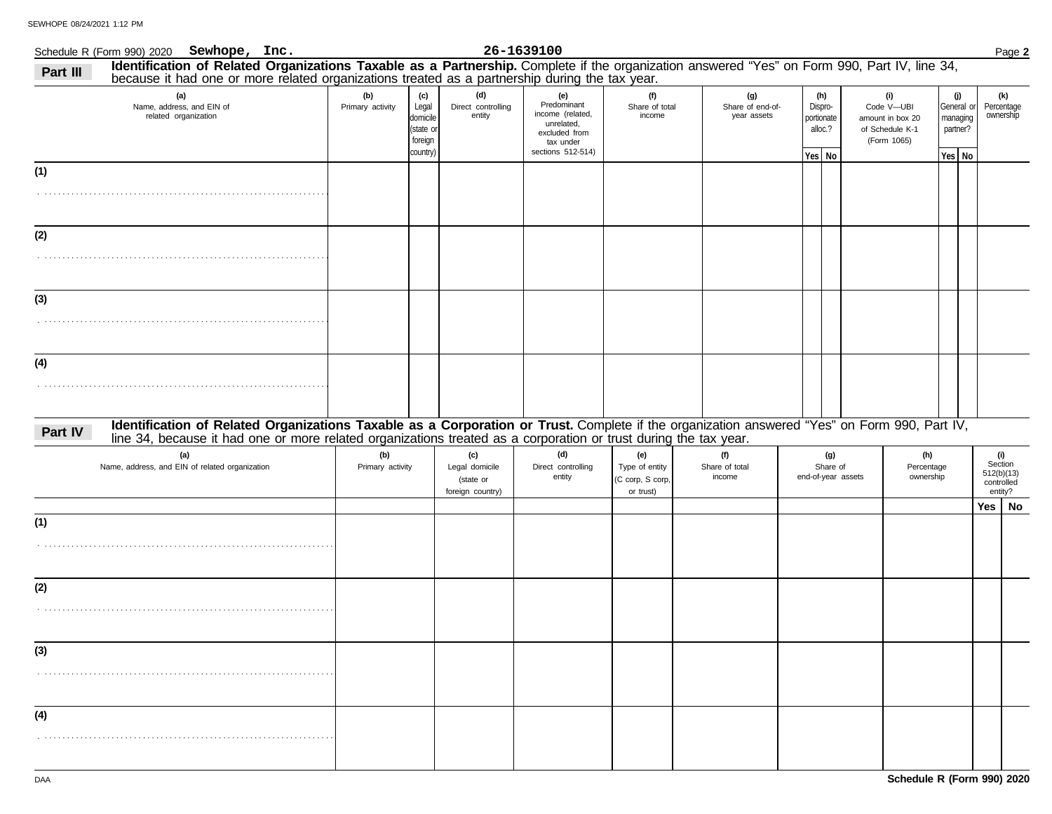|                                                          | Schedule R (Form 990) 2020 Sewhope, Inc.                                                                                                                                                                                                                         |                         |                                                              |                                                        | 26-1639100                                                                                              |                                                        |                                 |                                        |                                                   |  |                                                                         |                                |                                                       |  |                                                       | Page 2 |
|----------------------------------------------------------|------------------------------------------------------------------------------------------------------------------------------------------------------------------------------------------------------------------------------------------------------------------|-------------------------|--------------------------------------------------------------|--------------------------------------------------------|---------------------------------------------------------------------------------------------------------|--------------------------------------------------------|---------------------------------|----------------------------------------|---------------------------------------------------|--|-------------------------------------------------------------------------|--------------------------------|-------------------------------------------------------|--|-------------------------------------------------------|--------|
| Part III                                                 | Identification of Related Organizations Taxable as a Partnership. Complete if the organization answered "Yes" on Form 990, Part IV, line 34,<br>because it had one or more related organizations treated as a partnership during the tax year.                   |                         |                                                              |                                                        |                                                                                                         |                                                        |                                 |                                        |                                                   |  |                                                                         |                                |                                                       |  |                                                       |        |
| (a)<br>Name, address, and EIN of<br>related organization |                                                                                                                                                                                                                                                                  | (b)<br>Primary activity | (c)<br>Legal<br>domicile<br>(state or<br>foreign<br>country) | (d)<br>Direct controlling<br>entity                    | (e)<br>Predominant<br>income (related,<br>unrelated,<br>excluded from<br>tax under<br>sections 512-514) | (f)<br>Share of total<br>income                        |                                 | (g)<br>Share of end-of-<br>year assets | (h)<br>Dispro-<br>portionate<br>alloc.?<br>Yes No |  | (i)<br>Code V-UBI<br>amount in box 20<br>of Schedule K-1<br>(Form 1065) |                                | (j)<br>General or<br>managing<br>partner?<br>Yes   No |  | (k)<br>Percentage<br>ownership                        |        |
| (1)                                                      |                                                                                                                                                                                                                                                                  |                         |                                                              |                                                        |                                                                                                         |                                                        |                                 |                                        |                                                   |  |                                                                         |                                |                                                       |  |                                                       |        |
| (2)                                                      |                                                                                                                                                                                                                                                                  |                         |                                                              |                                                        |                                                                                                         |                                                        |                                 |                                        |                                                   |  |                                                                         |                                |                                                       |  |                                                       |        |
| (3)                                                      |                                                                                                                                                                                                                                                                  |                         |                                                              |                                                        |                                                                                                         |                                                        |                                 |                                        |                                                   |  |                                                                         |                                |                                                       |  |                                                       |        |
| (4)                                                      |                                                                                                                                                                                                                                                                  |                         |                                                              |                                                        |                                                                                                         |                                                        |                                 |                                        |                                                   |  |                                                                         |                                |                                                       |  |                                                       |        |
| Part IV                                                  | Identification of Related Organizations Taxable as a Corporation or Trust. Complete if the organization answered "Yes" on Form 990, Part IV,<br>line 34, because it had one or more related organizations treated as a corporation or trust during the tax year. |                         |                                                              |                                                        |                                                                                                         |                                                        |                                 |                                        |                                                   |  |                                                                         |                                |                                                       |  |                                                       |        |
|                                                          | (a)<br>Name, address, and EIN of related organization                                                                                                                                                                                                            | (b)<br>Primary activity |                                                              | (c)<br>Legal domicile<br>(state or<br>foreign country) | (d)<br>Direct controlling<br>entity                                                                     | (e)<br>Type of entity<br>(C corp, S corp,<br>or trust) | (f)<br>Share of total<br>income |                                        | (g)<br>Share of<br>end-of-year assets             |  |                                                                         | (h)<br>Percentage<br>ownership |                                                       |  | (i)<br>Section<br>512(b)(13)<br>controlled<br>entity? |        |
| (1)                                                      |                                                                                                                                                                                                                                                                  |                         |                                                              |                                                        |                                                                                                         |                                                        |                                 |                                        |                                                   |  |                                                                         |                                |                                                       |  | Yes   No                                              |        |
| (2)                                                      |                                                                                                                                                                                                                                                                  |                         |                                                              |                                                        |                                                                                                         |                                                        |                                 |                                        |                                                   |  |                                                                         |                                |                                                       |  |                                                       |        |
| (3)                                                      |                                                                                                                                                                                                                                                                  |                         |                                                              |                                                        |                                                                                                         |                                                        |                                 |                                        |                                                   |  |                                                                         |                                |                                                       |  |                                                       |        |
| (4)                                                      |                                                                                                                                                                                                                                                                  |                         |                                                              |                                                        |                                                                                                         |                                                        |                                 |                                        |                                                   |  |                                                                         |                                |                                                       |  |                                                       |        |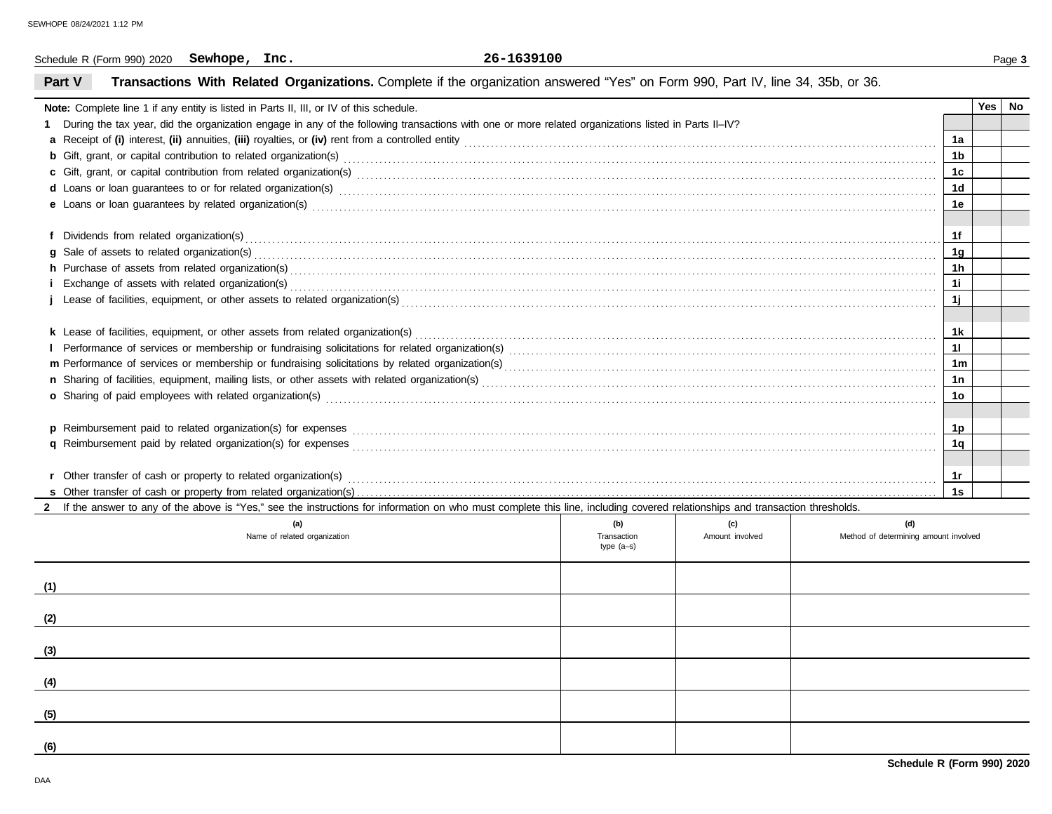| 26-1639100<br>Sewhope, Inc.<br>Schedule R (Form 990) 2020                                                                                                                                                                      | Page 3         |
|--------------------------------------------------------------------------------------------------------------------------------------------------------------------------------------------------------------------------------|----------------|
| Part V<br>Transactions With Related Organizations. Complete if the organization answered "Yes" on Form 990, Part IV, line 34, 35b, or 36.                                                                                      |                |
| Note: Complete line 1 if any entity is listed in Parts II, III, or IV of this schedule.                                                                                                                                        | Yes<br>No      |
| During the tax year, did the organization engage in any of the following transactions with one or more related organizations listed in Parts II-IV?                                                                            |                |
|                                                                                                                                                                                                                                | 1a             |
|                                                                                                                                                                                                                                | 1 <sub>b</sub> |
|                                                                                                                                                                                                                                | 1c             |
| d Loans or loan guarantees to or for related organization(s) encourance contained and contained and contained and contained and contained and contained and contained and contained and contained and contained and contained  | 1d             |
| e Loans or loan guarantees by related organization(s) with an accommodal control of the control of the control or control or control or control or control or control or control or control or control or control or control o | 1е             |
|                                                                                                                                                                                                                                |                |
|                                                                                                                                                                                                                                | 1f             |
| <b>g</b> Sale of assets to related organization(s)                                                                                                                                                                             | 1g             |
|                                                                                                                                                                                                                                | 1 <sub>h</sub> |
| Exchange of assets with related organization(s) excess contact the control of the control of the contact or exchange of assets with related organization(s)                                                                    | 1i             |
|                                                                                                                                                                                                                                | 1j.            |
|                                                                                                                                                                                                                                |                |
|                                                                                                                                                                                                                                | 1k             |
|                                                                                                                                                                                                                                | 11             |
|                                                                                                                                                                                                                                | 1 <sub>m</sub> |
|                                                                                                                                                                                                                                | 1n             |
| o Sharing of paid employees with related organization(s) with the contract the contract contract of the contract or contract or contract or contract or sharing of paid employees with related organization(s) with contract t | 1o             |
|                                                                                                                                                                                                                                |                |
| <b>n</b> Poimburgement paid to related organization(g) for expenses                                                                                                                                                            | 1n             |

| <b>p</b> Reimbursement paid to related organization(s) for expenses      |  |  |
|--------------------------------------------------------------------------|--|--|
| <b>q</b> Reimbursement paid by related organization(s) for expenses      |  |  |
|                                                                          |  |  |
| <b>r</b> Other transfer of cash or property to related organization(s)   |  |  |
| <b>s</b> Other transfer of cash or property from related organization(s) |  |  |

**1s**

2 If the answer to any of the above is "Yes," see the instructions for information on who must complete this line, including covered relationships and transaction thresholds.

| (a)<br>Name of related organization | (b)<br>Transaction<br>type (a-s) | (c)<br>Amount involved | (d)<br>Method of determining amount involved |
|-------------------------------------|----------------------------------|------------------------|----------------------------------------------|
| (1)                                 |                                  |                        |                                              |
| (2)                                 |                                  |                        |                                              |
| (3)                                 |                                  |                        |                                              |
| (4)                                 |                                  |                        |                                              |
| (5)                                 |                                  |                        |                                              |
| (6)                                 |                                  |                        |                                              |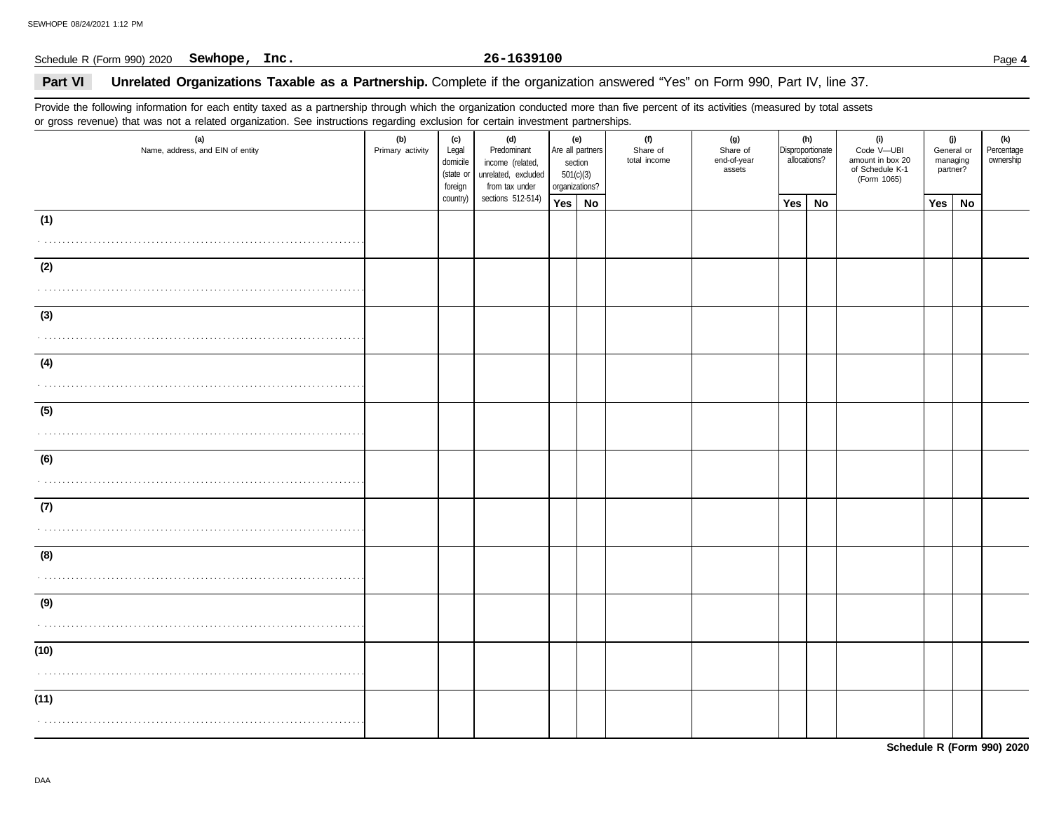#### Schedule R (Form 990) 2020 Page **4 Sewhope, Inc. 26-1639100**

### Part VI **Unrelated Organizations Taxable as a Partnership.** Complete if the organization answered "Yes" on Form 990, Part IV, line 37.

Provide the following information for each entity taxed as a partnership through which the organization conducted more than five percent of its activities (measured by total assets or gross revenue) that was not a related organization. See instructions regarding exclusion for certain investment partnerships.

| gives is come, who was not a country significantly see inconsistent regarding as<br>(a)<br>Name, address, and EIN of entity | (b)<br>Primary activity | (c)<br>Legal<br>domicile<br>(state or<br>foreign | (d)<br>Predominant<br>income (related,<br>unrelated, excluded<br>from tax under<br>sections 512-514) | (e)<br>Are all partners<br>section<br>501(c)(3)<br>organizations? |  | (f)<br>Share of<br>total income | (g)<br>Share of<br>end-of-year<br>assets | (h)<br>Disproportionate<br>allocations? |    | (i)<br>Code V-UBI<br>amount in box 20<br>of Schedule K-1<br>(Form 1065) | (j)<br>General or<br>managing<br>partner? |    | (k)<br>Percentage<br>ownership |
|-----------------------------------------------------------------------------------------------------------------------------|-------------------------|--------------------------------------------------|------------------------------------------------------------------------------------------------------|-------------------------------------------------------------------|--|---------------------------------|------------------------------------------|-----------------------------------------|----|-------------------------------------------------------------------------|-------------------------------------------|----|--------------------------------|
|                                                                                                                             |                         | country)                                         |                                                                                                      | Yes No                                                            |  |                                 |                                          | Yes                                     | No |                                                                         | Yes                                       | No |                                |
| (1)                                                                                                                         |                         |                                                  |                                                                                                      |                                                                   |  |                                 |                                          |                                         |    |                                                                         |                                           |    |                                |
| (2)                                                                                                                         |                         |                                                  |                                                                                                      |                                                                   |  |                                 |                                          |                                         |    |                                                                         |                                           |    |                                |
| (3)                                                                                                                         |                         |                                                  |                                                                                                      |                                                                   |  |                                 |                                          |                                         |    |                                                                         |                                           |    |                                |
| (4)                                                                                                                         |                         |                                                  |                                                                                                      |                                                                   |  |                                 |                                          |                                         |    |                                                                         |                                           |    |                                |
| (5)                                                                                                                         |                         |                                                  |                                                                                                      |                                                                   |  |                                 |                                          |                                         |    |                                                                         |                                           |    |                                |
| (6)                                                                                                                         |                         |                                                  |                                                                                                      |                                                                   |  |                                 |                                          |                                         |    |                                                                         |                                           |    |                                |
| (7)                                                                                                                         |                         |                                                  |                                                                                                      |                                                                   |  |                                 |                                          |                                         |    |                                                                         |                                           |    |                                |
| (8)                                                                                                                         |                         |                                                  |                                                                                                      |                                                                   |  |                                 |                                          |                                         |    |                                                                         |                                           |    |                                |
| (9)                                                                                                                         |                         |                                                  |                                                                                                      |                                                                   |  |                                 |                                          |                                         |    |                                                                         |                                           |    |                                |
| (10)                                                                                                                        |                         |                                                  |                                                                                                      |                                                                   |  |                                 |                                          |                                         |    |                                                                         |                                           |    |                                |
| (11)                                                                                                                        |                         |                                                  |                                                                                                      |                                                                   |  |                                 |                                          |                                         |    |                                                                         |                                           |    |                                |

**Schedule R (Form 990) 2020**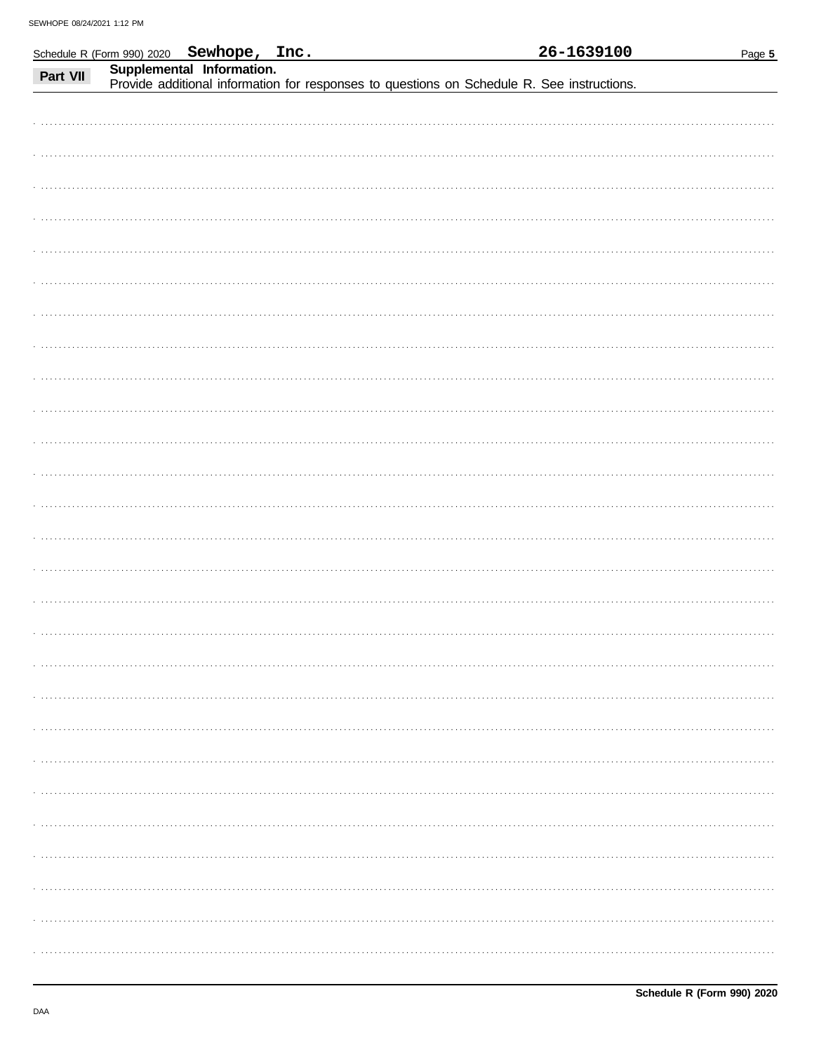|          | Schedule R (Form 990) 2020 Sewhope, Inc. |                           |                                                                                            |  | 26-1639100 | Page 5 |
|----------|------------------------------------------|---------------------------|--------------------------------------------------------------------------------------------|--|------------|--------|
| Part VII |                                          | Supplemental Information. | Provide additional information for responses to questions on Schedule R. See instructions. |  |            |        |
|          |                                          |                           |                                                                                            |  |            |        |
|          |                                          |                           |                                                                                            |  |            |        |
|          |                                          |                           |                                                                                            |  |            |        |
|          |                                          |                           |                                                                                            |  |            |        |
|          |                                          |                           |                                                                                            |  |            |        |
|          |                                          |                           |                                                                                            |  |            |        |
|          |                                          |                           |                                                                                            |  |            |        |
|          |                                          |                           |                                                                                            |  |            |        |
|          |                                          |                           |                                                                                            |  |            |        |
|          |                                          |                           |                                                                                            |  |            |        |
|          |                                          |                           |                                                                                            |  |            |        |
|          |                                          |                           |                                                                                            |  |            |        |
|          |                                          |                           |                                                                                            |  |            |        |
|          |                                          |                           |                                                                                            |  |            |        |
|          |                                          |                           |                                                                                            |  |            |        |
|          |                                          |                           |                                                                                            |  |            |        |
|          |                                          |                           |                                                                                            |  |            |        |
|          |                                          |                           |                                                                                            |  |            |        |
|          |                                          |                           |                                                                                            |  |            |        |
|          |                                          |                           |                                                                                            |  |            |        |
|          |                                          |                           |                                                                                            |  |            |        |
|          |                                          |                           |                                                                                            |  |            |        |
|          |                                          |                           |                                                                                            |  |            |        |
|          |                                          |                           |                                                                                            |  |            |        |
|          |                                          |                           |                                                                                            |  |            |        |
|          |                                          |                           |                                                                                            |  |            |        |
|          |                                          |                           |                                                                                            |  |            |        |
|          |                                          |                           |                                                                                            |  |            |        |
|          |                                          |                           |                                                                                            |  |            |        |